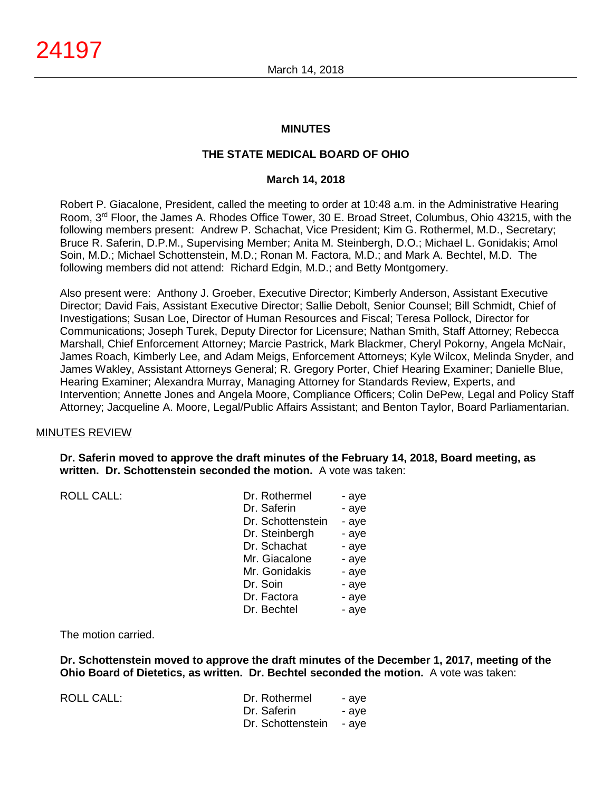## **MINUTES**

# **THE STATE MEDICAL BOARD OF OHIO**

#### **March 14, 2018**

Robert P. Giacalone, President, called the meeting to order at 10:48 a.m. in the Administrative Hearing Room, 3rd Floor, the James A. Rhodes Office Tower, 30 E. Broad Street, Columbus, Ohio 43215, with the following members present: Andrew P. Schachat, Vice President; Kim G. Rothermel, M.D., Secretary; Bruce R. Saferin, D.P.M., Supervising Member; Anita M. Steinbergh, D.O.; Michael L. Gonidakis; Amol Soin, M.D.; Michael Schottenstein, M.D.; Ronan M. Factora, M.D.; and Mark A. Bechtel, M.D. The following members did not attend: Richard Edgin, M.D.; and Betty Montgomery.

Also present were: Anthony J. Groeber, Executive Director; Kimberly Anderson, Assistant Executive Director; David Fais, Assistant Executive Director; Sallie Debolt, Senior Counsel; Bill Schmidt, Chief of Investigations; Susan Loe, Director of Human Resources and Fiscal; Teresa Pollock, Director for Communications; Joseph Turek, Deputy Director for Licensure; Nathan Smith, Staff Attorney; Rebecca Marshall, Chief Enforcement Attorney; Marcie Pastrick, Mark Blackmer, Cheryl Pokorny, Angela McNair, James Roach, Kimberly Lee, and Adam Meigs, Enforcement Attorneys; Kyle Wilcox, Melinda Snyder, and James Wakley, Assistant Attorneys General; R. Gregory Porter, Chief Hearing Examiner; Danielle Blue, Hearing Examiner; Alexandra Murray, Managing Attorney for Standards Review, Experts, and Intervention; Annette Jones and Angela Moore, Compliance Officers; Colin DePew, Legal and Policy Staff Attorney; Jacqueline A. Moore, Legal/Public Affairs Assistant; and Benton Taylor, Board Parliamentarian.

## MINUTES REVIEW

**Dr. Saferin moved to approve the draft minutes of the February 14, 2018, Board meeting, as written. Dr. Schottenstein seconded the motion.** A vote was taken:

ROLL CALL:

| Dr. Rothermel     | - aye |
|-------------------|-------|
| Dr. Saferin       | - aye |
| Dr. Schottenstein | - aye |
| Dr. Steinbergh    | - aye |
| Dr. Schachat      | - aye |
| Mr. Giacalone     | - aye |
| Mr. Gonidakis     | - aye |
| Dr. Soin          | - aye |
| Dr. Factora       | - aye |
| Dr. Bechtel       | - aye |

#### The motion carried.

**Dr. Schottenstein moved to approve the draft minutes of the December 1, 2017, meeting of the Ohio Board of Dietetics, as written. Dr. Bechtel seconded the motion.** A vote was taken:

ROLL CALL: Dr. Rothermel - aye Dr. Saferin - aye Dr. Schottenstein - aye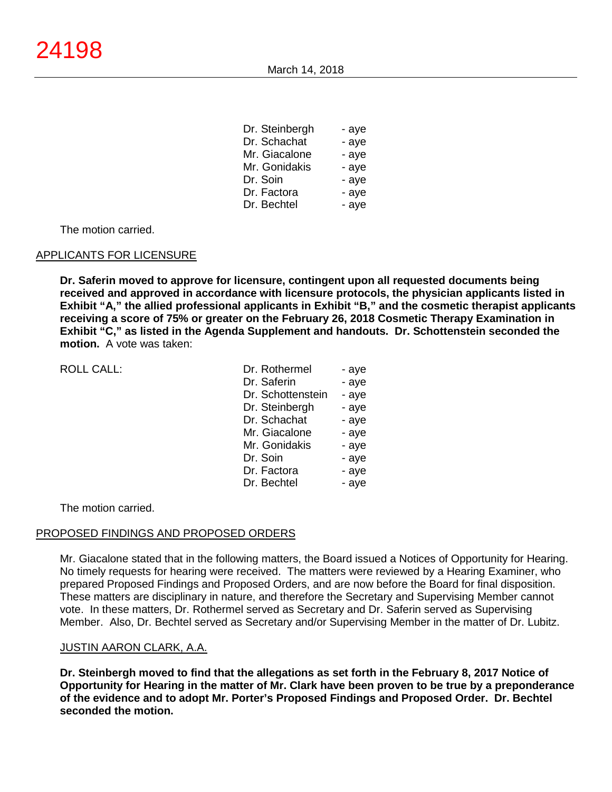| Dr. Steinbergn | - aye |
|----------------|-------|
| Dr. Schachat   | - aye |
| Mr. Giacalone  | - aye |
| Mr. Gonidakis  | - aye |
| Dr. Soin       | - aye |
| Dr. Factora    | - aye |
| Dr. Bechtel    | - aye |
|                |       |

 $D \cap S$ 

The motion carried.

## APPLICANTS FOR LICENSURE

**Dr. Saferin moved to approve for licensure, contingent upon all requested documents being received and approved in accordance with licensure protocols, the physician applicants listed in Exhibit "A," the allied professional applicants in Exhibit "B," and the cosmetic therapist applicants receiving a score of 75% or greater on the February 26, 2018 Cosmetic Therapy Examination in Exhibit "C," as listed in the Agenda Supplement and handouts. Dr. Schottenstein seconded the motion.** A vote was taken:

| <b>ROLL CALL:</b> | Dr. Rothermel     | - aye |
|-------------------|-------------------|-------|
|                   | Dr. Saferin       | - aye |
|                   | Dr. Schottenstein | - aye |
|                   | Dr. Steinbergh    | - aye |
|                   | Dr. Schachat      | - aye |
|                   | Mr. Giacalone     | - aye |
|                   | Mr. Gonidakis     | - aye |
|                   | Dr. Soin          | - aye |
|                   | Dr. Factora       | - aye |
|                   | Dr. Bechtel       | - aye |
|                   |                   |       |

The motion carried.

#### PROPOSED FINDINGS AND PROPOSED ORDERS

Mr. Giacalone stated that in the following matters, the Board issued a Notices of Opportunity for Hearing. No timely requests for hearing were received. The matters were reviewed by a Hearing Examiner, who prepared Proposed Findings and Proposed Orders, and are now before the Board for final disposition. These matters are disciplinary in nature, and therefore the Secretary and Supervising Member cannot vote. In these matters, Dr. Rothermel served as Secretary and Dr. Saferin served as Supervising Member. Also, Dr. Bechtel served as Secretary and/or Supervising Member in the matter of Dr. Lubitz.

## JUSTIN AARON CLARK, A.A.

**Dr. Steinbergh moved to find that the allegations as set forth in the February 8, 2017 Notice of Opportunity for Hearing in the matter of Mr. Clark have been proven to be true by a preponderance of the evidence and to adopt Mr. Porter's Proposed Findings and Proposed Order. Dr. Bechtel seconded the motion.**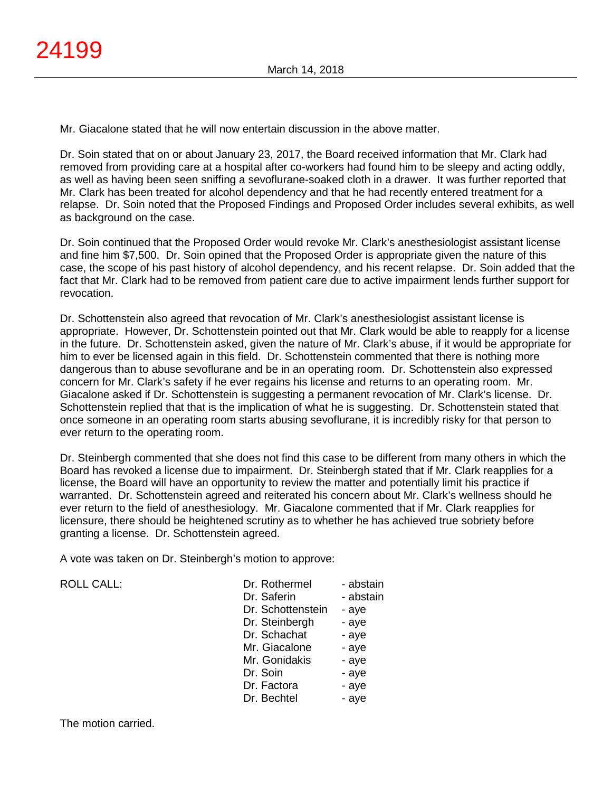Mr. Giacalone stated that he will now entertain discussion in the above matter.

Dr. Soin stated that on or about January 23, 2017, the Board received information that Mr. Clark had removed from providing care at a hospital after co-workers had found him to be sleepy and acting oddly, as well as having been seen sniffing a sevoflurane-soaked cloth in a drawer. It was further reported that Mr. Clark has been treated for alcohol dependency and that he had recently entered treatment for a relapse. Dr. Soin noted that the Proposed Findings and Proposed Order includes several exhibits, as well as background on the case.

Dr. Soin continued that the Proposed Order would revoke Mr. Clark's anesthesiologist assistant license and fine him \$7,500. Dr. Soin opined that the Proposed Order is appropriate given the nature of this case, the scope of his past history of alcohol dependency, and his recent relapse. Dr. Soin added that the fact that Mr. Clark had to be removed from patient care due to active impairment lends further support for revocation.

Dr. Schottenstein also agreed that revocation of Mr. Clark's anesthesiologist assistant license is appropriate. However, Dr. Schottenstein pointed out that Mr. Clark would be able to reapply for a license in the future. Dr. Schottenstein asked, given the nature of Mr. Clark's abuse, if it would be appropriate for him to ever be licensed again in this field. Dr. Schottenstein commented that there is nothing more dangerous than to abuse sevoflurane and be in an operating room. Dr. Schottenstein also expressed concern for Mr. Clark's safety if he ever regains his license and returns to an operating room. Mr. Giacalone asked if Dr. Schottenstein is suggesting a permanent revocation of Mr. Clark's license. Dr. Schottenstein replied that that is the implication of what he is suggesting. Dr. Schottenstein stated that once someone in an operating room starts abusing sevoflurane, it is incredibly risky for that person to ever return to the operating room.

Dr. Steinbergh commented that she does not find this case to be different from many others in which the Board has revoked a license due to impairment. Dr. Steinbergh stated that if Mr. Clark reapplies for a license, the Board will have an opportunity to review the matter and potentially limit his practice if warranted. Dr. Schottenstein agreed and reiterated his concern about Mr. Clark's wellness should he ever return to the field of anesthesiology. Mr. Giacalone commented that if Mr. Clark reapplies for licensure, there should be heightened scrutiny as to whether he has achieved true sobriety before granting a license. Dr. Schottenstein agreed.

A vote was taken on Dr. Steinbergh's motion to approve:

| <b>ROLL CALL:</b> | Dr. Rothermel     | - abstain |
|-------------------|-------------------|-----------|
|                   | Dr. Saferin       | - abstain |
|                   | Dr. Schottenstein | - aye     |
|                   | Dr. Steinbergh    | - aye     |
|                   | Dr. Schachat      | - aye     |
|                   | Mr. Giacalone     | - aye     |
|                   | Mr. Gonidakis     | - aye     |
|                   | Dr. Soin          | - aye     |
|                   | Dr. Factora       | - aye     |
|                   | Dr. Bechtel       | - aye     |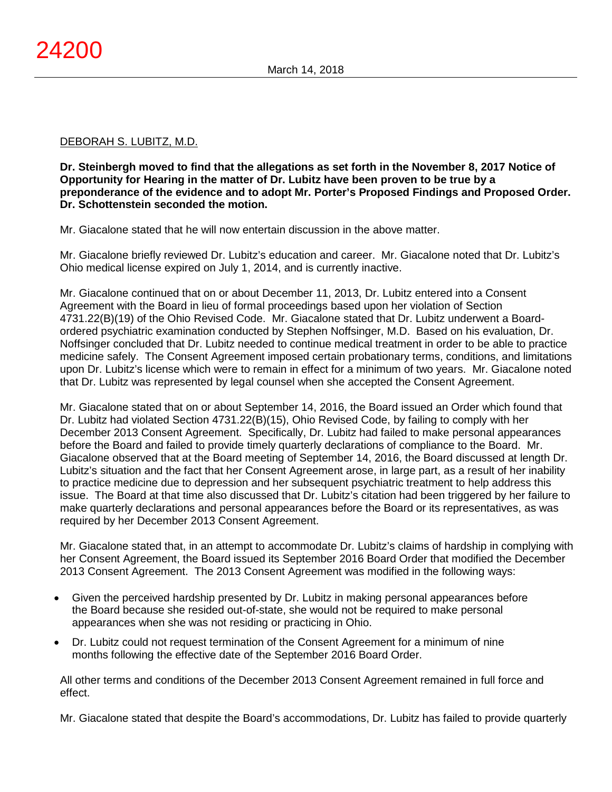## DEBORAH S. LUBITZ, M.D.

**Dr. Steinbergh moved to find that the allegations as set forth in the November 8, 2017 Notice of Opportunity for Hearing in the matter of Dr. Lubitz have been proven to be true by a preponderance of the evidence and to adopt Mr. Porter's Proposed Findings and Proposed Order. Dr. Schottenstein seconded the motion.**

Mr. Giacalone stated that he will now entertain discussion in the above matter.

Mr. Giacalone briefly reviewed Dr. Lubitz's education and career. Mr. Giacalone noted that Dr. Lubitz's Ohio medical license expired on July 1, 2014, and is currently inactive.

Mr. Giacalone continued that on or about December 11, 2013, Dr. Lubitz entered into a Consent Agreement with the Board in lieu of formal proceedings based upon her violation of Section 4731.22(B)(19) of the Ohio Revised Code. Mr. Giacalone stated that Dr. Lubitz underwent a Boardordered psychiatric examination conducted by Stephen Noffsinger, M.D. Based on his evaluation, Dr. Noffsinger concluded that Dr. Lubitz needed to continue medical treatment in order to be able to practice medicine safely. The Consent Agreement imposed certain probationary terms, conditions, and limitations upon Dr. Lubitz's license which were to remain in effect for a minimum of two years. Mr. Giacalone noted that Dr. Lubitz was represented by legal counsel when she accepted the Consent Agreement.

Mr. Giacalone stated that on or about September 14, 2016, the Board issued an Order which found that Dr. Lubitz had violated Section 4731.22(B)(15), Ohio Revised Code, by failing to comply with her December 2013 Consent Agreement. Specifically, Dr. Lubitz had failed to make personal appearances before the Board and failed to provide timely quarterly declarations of compliance to the Board. Mr. Giacalone observed that at the Board meeting of September 14, 2016, the Board discussed at length Dr. Lubitz's situation and the fact that her Consent Agreement arose, in large part, as a result of her inability to practice medicine due to depression and her subsequent psychiatric treatment to help address this issue. The Board at that time also discussed that Dr. Lubitz's citation had been triggered by her failure to make quarterly declarations and personal appearances before the Board or its representatives, as was required by her December 2013 Consent Agreement.

Mr. Giacalone stated that, in an attempt to accommodate Dr. Lubitz's claims of hardship in complying with her Consent Agreement, the Board issued its September 2016 Board Order that modified the December 2013 Consent Agreement. The 2013 Consent Agreement was modified in the following ways:

- Given the perceived hardship presented by Dr. Lubitz in making personal appearances before the Board because she resided out-of-state, she would not be required to make personal appearances when she was not residing or practicing in Ohio.
- Dr. Lubitz could not request termination of the Consent Agreement for a minimum of nine months following the effective date of the September 2016 Board Order.

All other terms and conditions of the December 2013 Consent Agreement remained in full force and effect.

Mr. Giacalone stated that despite the Board's accommodations, Dr. Lubitz has failed to provide quarterly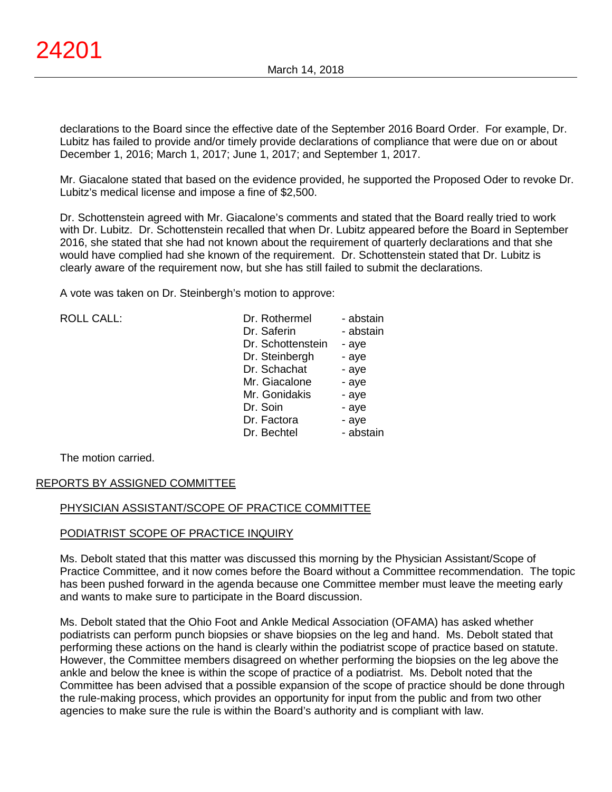declarations to the Board since the effective date of the September 2016 Board Order. For example, Dr. Lubitz has failed to provide and/or timely provide declarations of compliance that were due on or about December 1, 2016; March 1, 2017; June 1, 2017; and September 1, 2017.

Mr. Giacalone stated that based on the evidence provided, he supported the Proposed Oder to revoke Dr. Lubitz's medical license and impose a fine of \$2,500.

Dr. Schottenstein agreed with Mr. Giacalone's comments and stated that the Board really tried to work with Dr. Lubitz. Dr. Schottenstein recalled that when Dr. Lubitz appeared before the Board in September 2016, she stated that she had not known about the requirement of quarterly declarations and that she would have complied had she known of the requirement. Dr. Schottenstein stated that Dr. Lubitz is clearly aware of the requirement now, but she has still failed to submit the declarations.

A vote was taken on Dr. Steinbergh's motion to approve:

| <b>ROLL CALL:</b> | Dr. Rothermel     | - abstain |
|-------------------|-------------------|-----------|
|                   | Dr. Saferin       | - abstain |
|                   | Dr. Schottenstein | - aye     |
|                   | Dr. Steinbergh    | - aye     |
|                   | Dr. Schachat      | - aye     |
|                   | Mr. Giacalone     | - aye     |
|                   | Mr. Gonidakis     | - aye     |
|                   | Dr. Soin          | - aye     |
|                   | Dr. Factora       | - aye     |
|                   | Dr. Bechtel       | - abstain |
|                   |                   |           |

The motion carried.

# REPORTS BY ASSIGNED COMMITTEE

# PHYSICIAN ASSISTANT/SCOPE OF PRACTICE COMMITTEE

## PODIATRIST SCOPE OF PRACTICE INQUIRY

Ms. Debolt stated that this matter was discussed this morning by the Physician Assistant/Scope of Practice Committee, and it now comes before the Board without a Committee recommendation. The topic has been pushed forward in the agenda because one Committee member must leave the meeting early and wants to make sure to participate in the Board discussion.

Ms. Debolt stated that the Ohio Foot and Ankle Medical Association (OFAMA) has asked whether podiatrists can perform punch biopsies or shave biopsies on the leg and hand. Ms. Debolt stated that performing these actions on the hand is clearly within the podiatrist scope of practice based on statute. However, the Committee members disagreed on whether performing the biopsies on the leg above the ankle and below the knee is within the scope of practice of a podiatrist. Ms. Debolt noted that the Committee has been advised that a possible expansion of the scope of practice should be done through the rule-making process, which provides an opportunity for input from the public and from two other agencies to make sure the rule is within the Board's authority and is compliant with law.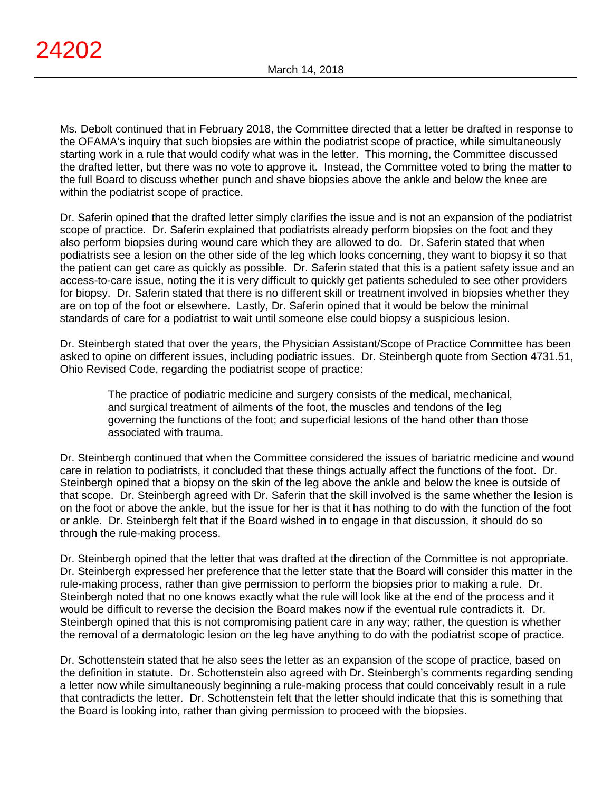Ms. Debolt continued that in February 2018, the Committee directed that a letter be drafted in response to the OFAMA's inquiry that such biopsies are within the podiatrist scope of practice, while simultaneously starting work in a rule that would codify what was in the letter. This morning, the Committee discussed the drafted letter, but there was no vote to approve it. Instead, the Committee voted to bring the matter to the full Board to discuss whether punch and shave biopsies above the ankle and below the knee are within the podiatrist scope of practice.

Dr. Saferin opined that the drafted letter simply clarifies the issue and is not an expansion of the podiatrist scope of practice. Dr. Saferin explained that podiatrists already perform biopsies on the foot and they also perform biopsies during wound care which they are allowed to do. Dr. Saferin stated that when podiatrists see a lesion on the other side of the leg which looks concerning, they want to biopsy it so that the patient can get care as quickly as possible. Dr. Saferin stated that this is a patient safety issue and an access-to-care issue, noting the it is very difficult to quickly get patients scheduled to see other providers for biopsy. Dr. Saferin stated that there is no different skill or treatment involved in biopsies whether they are on top of the foot or elsewhere. Lastly, Dr. Saferin opined that it would be below the minimal standards of care for a podiatrist to wait until someone else could biopsy a suspicious lesion.

Dr. Steinbergh stated that over the years, the Physician Assistant/Scope of Practice Committee has been asked to opine on different issues, including podiatric issues. Dr. Steinbergh quote from Section 4731.51, Ohio Revised Code, regarding the podiatrist scope of practice:

The practice of podiatric medicine and surgery consists of the medical, mechanical, and surgical treatment of ailments of the foot, the muscles and tendons of the leg governing the functions of the foot; and superficial lesions of the hand other than those associated with trauma.

Dr. Steinbergh continued that when the Committee considered the issues of bariatric medicine and wound care in relation to podiatrists, it concluded that these things actually affect the functions of the foot. Dr. Steinbergh opined that a biopsy on the skin of the leg above the ankle and below the knee is outside of that scope. Dr. Steinbergh agreed with Dr. Saferin that the skill involved is the same whether the lesion is on the foot or above the ankle, but the issue for her is that it has nothing to do with the function of the foot or ankle. Dr. Steinbergh felt that if the Board wished in to engage in that discussion, it should do so through the rule-making process.

Dr. Steinbergh opined that the letter that was drafted at the direction of the Committee is not appropriate. Dr. Steinbergh expressed her preference that the letter state that the Board will consider this matter in the rule-making process, rather than give permission to perform the biopsies prior to making a rule. Dr. Steinbergh noted that no one knows exactly what the rule will look like at the end of the process and it would be difficult to reverse the decision the Board makes now if the eventual rule contradicts it. Dr. Steinbergh opined that this is not compromising patient care in any way; rather, the question is whether the removal of a dermatologic lesion on the leg have anything to do with the podiatrist scope of practice.

Dr. Schottenstein stated that he also sees the letter as an expansion of the scope of practice, based on the definition in statute. Dr. Schottenstein also agreed with Dr. Steinbergh's comments regarding sending a letter now while simultaneously beginning a rule-making process that could conceivably result in a rule that contradicts the letter. Dr. Schottenstein felt that the letter should indicate that this is something that the Board is looking into, rather than giving permission to proceed with the biopsies.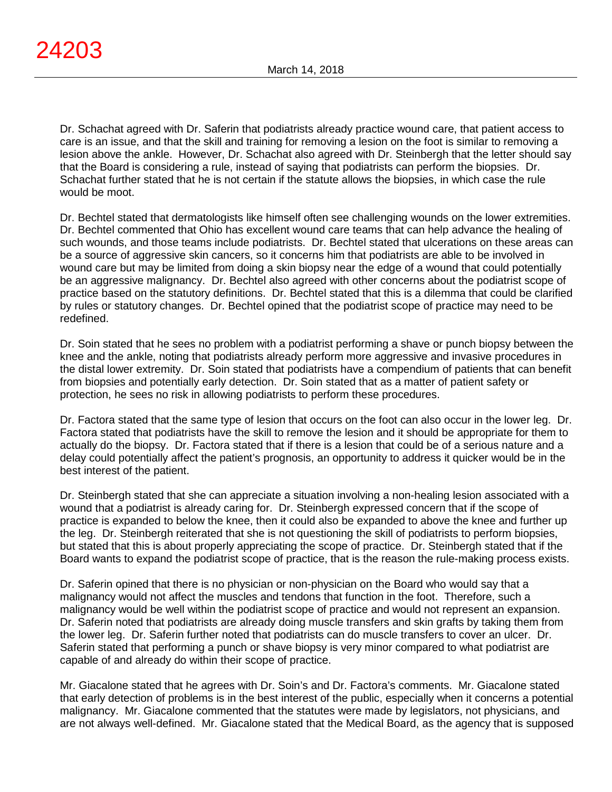Dr. Schachat agreed with Dr. Saferin that podiatrists already practice wound care, that patient access to care is an issue, and that the skill and training for removing a lesion on the foot is similar to removing a lesion above the ankle. However, Dr. Schachat also agreed with Dr. Steinbergh that the letter should say that the Board is considering a rule, instead of saying that podiatrists can perform the biopsies. Dr. Schachat further stated that he is not certain if the statute allows the biopsies, in which case the rule would be moot.

Dr. Bechtel stated that dermatologists like himself often see challenging wounds on the lower extremities. Dr. Bechtel commented that Ohio has excellent wound care teams that can help advance the healing of such wounds, and those teams include podiatrists. Dr. Bechtel stated that ulcerations on these areas can be a source of aggressive skin cancers, so it concerns him that podiatrists are able to be involved in wound care but may be limited from doing a skin biopsy near the edge of a wound that could potentially be an aggressive malignancy. Dr. Bechtel also agreed with other concerns about the podiatrist scope of practice based on the statutory definitions. Dr. Bechtel stated that this is a dilemma that could be clarified by rules or statutory changes. Dr. Bechtel opined that the podiatrist scope of practice may need to be redefined.

Dr. Soin stated that he sees no problem with a podiatrist performing a shave or punch biopsy between the knee and the ankle, noting that podiatrists already perform more aggressive and invasive procedures in the distal lower extremity. Dr. Soin stated that podiatrists have a compendium of patients that can benefit from biopsies and potentially early detection. Dr. Soin stated that as a matter of patient safety or protection, he sees no risk in allowing podiatrists to perform these procedures.

Dr. Factora stated that the same type of lesion that occurs on the foot can also occur in the lower leg. Dr. Factora stated that podiatrists have the skill to remove the lesion and it should be appropriate for them to actually do the biopsy. Dr. Factora stated that if there is a lesion that could be of a serious nature and a delay could potentially affect the patient's prognosis, an opportunity to address it quicker would be in the best interest of the patient.

Dr. Steinbergh stated that she can appreciate a situation involving a non-healing lesion associated with a wound that a podiatrist is already caring for. Dr. Steinbergh expressed concern that if the scope of practice is expanded to below the knee, then it could also be expanded to above the knee and further up the leg. Dr. Steinbergh reiterated that she is not questioning the skill of podiatrists to perform biopsies, but stated that this is about properly appreciating the scope of practice. Dr. Steinbergh stated that if the Board wants to expand the podiatrist scope of practice, that is the reason the rule-making process exists.

Dr. Saferin opined that there is no physician or non-physician on the Board who would say that a malignancy would not affect the muscles and tendons that function in the foot. Therefore, such a malignancy would be well within the podiatrist scope of practice and would not represent an expansion. Dr. Saferin noted that podiatrists are already doing muscle transfers and skin grafts by taking them from the lower leg. Dr. Saferin further noted that podiatrists can do muscle transfers to cover an ulcer. Dr. Saferin stated that performing a punch or shave biopsy is very minor compared to what podiatrist are capable of and already do within their scope of practice.

Mr. Giacalone stated that he agrees with Dr. Soin's and Dr. Factora's comments. Mr. Giacalone stated that early detection of problems is in the best interest of the public, especially when it concerns a potential malignancy. Mr. Giacalone commented that the statutes were made by legislators, not physicians, and are not always well-defined. Mr. Giacalone stated that the Medical Board, as the agency that is supposed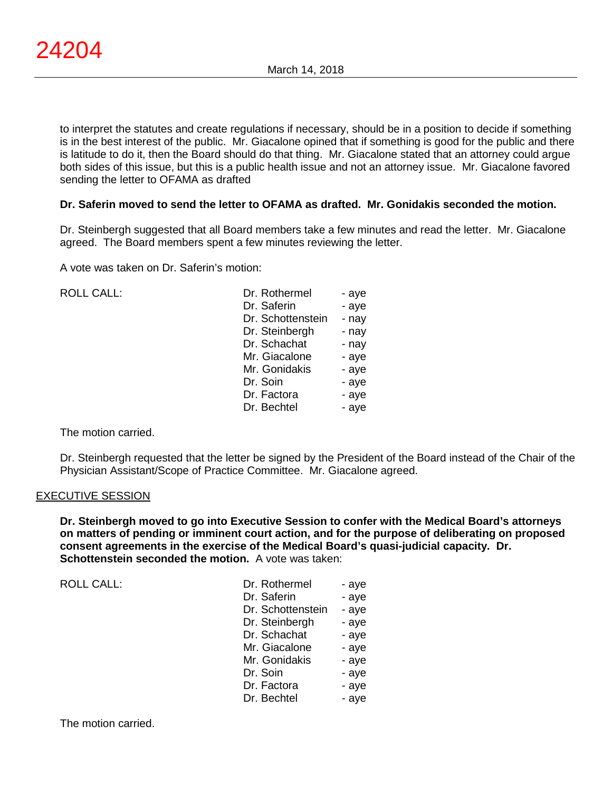to interpret the statutes and create regulations if necessary, should be in a position to decide if something is in the best interest of the public. Mr. Giacalone opined that if something is good for the public and there is latitude to do it, then the Board should do that thing. Mr. Giacalone stated that an attorney could argue both sides of this issue, but this is a public health issue and not an attorney issue. Mr. Giacalone favored sending the letter to OFAMA as drafted

# **Dr. Saferin moved to send the letter to OFAMA as drafted. Mr. Gonidakis seconded the motion.**

Dr. Steinbergh suggested that all Board members take a few minutes and read the letter. Mr. Giacalone agreed. The Board members spent a few minutes reviewing the letter.

A vote was taken on Dr. Saferin's motion:

| <b>ROLL CALL:</b> | Dr. Rothermel<br>Dr. Saferin<br>Dr. Schottenstein<br>Dr. Steinbergh<br>Dr. Schachat<br>Mr. Giacalone<br>Mr. Gonidakis<br>Dr. Soin<br>Dr. Factora | - aye<br>- aye<br>- nay<br>- nay<br>- nay<br>- aye<br>- aye<br>- aye<br>- aye |
|-------------------|--------------------------------------------------------------------------------------------------------------------------------------------------|-------------------------------------------------------------------------------|
|                   | Dr. Bechtel                                                                                                                                      | - aye                                                                         |

The motion carried.

Dr. Steinbergh requested that the letter be signed by the President of the Board instead of the Chair of the Physician Assistant/Scope of Practice Committee. Mr. Giacalone agreed.

#### EXECUTIVE SESSION

**Dr. Steinbergh moved to go into Executive Session to confer with the Medical Board's attorneys on matters of pending or imminent court action, and for the purpose of deliberating on proposed consent agreements in the exercise of the Medical Board's quasi-judicial capacity. Dr. Schottenstein seconded the motion.** A vote was taken:

| Dr. Rothermel     | - aye |
|-------------------|-------|
| Dr. Saferin       | - aye |
| Dr. Schottenstein | - aye |
| Dr. Steinbergh    | - aye |
| Dr. Schachat      | - aye |
| Mr. Giacalone     | - aye |
| Mr. Gonidakis     | - aye |
| Dr. Soin          | - aye |
| Dr. Factora       | - aye |
| Dr. Bechtel       | - ave |
|                   |       |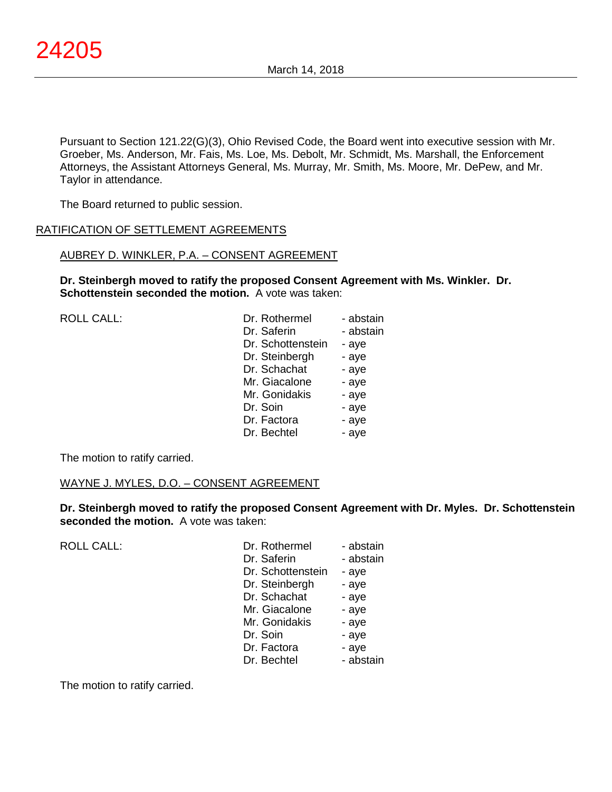Pursuant to Section 121.22(G)(3), Ohio Revised Code, the Board went into executive session with Mr. Groeber, Ms. Anderson, Mr. Fais, Ms. Loe, Ms. Debolt, Mr. Schmidt, Ms. Marshall, the Enforcement Attorneys, the Assistant Attorneys General, Ms. Murray, Mr. Smith, Ms. Moore, Mr. DePew, and Mr. Taylor in attendance.

The Board returned to public session.

## RATIFICATION OF SETTLEMENT AGREEMENTS

## AUBREY D. WINKLER, P.A. – CONSENT AGREEMENT

**Dr. Steinbergh moved to ratify the proposed Consent Agreement with Ms. Winkler. Dr. Schottenstein seconded the motion.** A vote was taken:

| <b>ROLL CALL:</b> | Dr. Rothermel     | - abstain |
|-------------------|-------------------|-----------|
|                   | Dr. Saferin       | - abstain |
|                   | Dr. Schottenstein | - aye     |
|                   | Dr. Steinbergh    | - aye     |
|                   | Dr. Schachat      | - aye     |
|                   | Mr. Giacalone     | - aye     |
|                   | Mr. Gonidakis     | - aye     |
|                   | Dr. Soin          | - aye     |
|                   | Dr. Factora       | - aye     |
|                   | Dr. Bechtel       | - aye     |
|                   |                   |           |

The motion to ratify carried.

# WAYNE J. MYLES, D.O. – CONSENT AGREEMENT

**Dr. Steinbergh moved to ratify the proposed Consent Agreement with Dr. Myles. Dr. Schottenstein seconded the motion.** A vote was taken:

| <b>ROLL CALL:</b> | Dr. Rothermel<br>Dr. Saferin<br>Dr. Schottenstein<br>Dr. Steinbergh<br>Dr. Schachat<br>Mr. Giacalone<br>Mr. Gonidakis<br>Dr. Soin<br>Dr. Factora | - abstain<br>- abstain<br>- aye<br>- aye<br>- aye<br>- aye<br>- aye<br>- aye<br>- aye |
|-------------------|--------------------------------------------------------------------------------------------------------------------------------------------------|---------------------------------------------------------------------------------------|
|                   | Dr. Bechtel                                                                                                                                      | - abstain                                                                             |

The motion to ratify carried.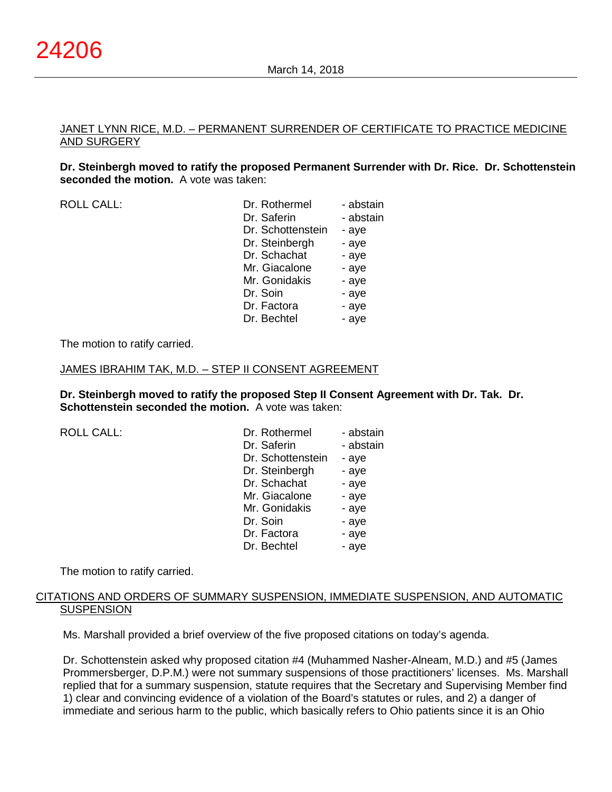## JANET LYNN RICE, M.D. – PERMANENT SURRENDER OF CERTIFICATE TO PRACTICE MEDICINE AND SURGERY

**Dr. Steinbergh moved to ratify the proposed Permanent Surrender with Dr. Rice. Dr. Schottenstein seconded the motion.** A vote was taken:

ROLL CALL:

| Dr. Rothermel     | - abstain |
|-------------------|-----------|
| Dr. Saferin       | - abstain |
| Dr. Schottenstein | - aye     |
| Dr. Steinbergh    | - aye     |
| Dr. Schachat      | - aye     |
| Mr. Giacalone     | - aye     |
| Mr. Gonidakis     | - aye     |
| Dr. Soin          | - aye     |
| Dr. Factora       | - aye     |
| Dr. Bechtel       | - aye     |
|                   |           |

The motion to ratify carried.

## JAMES IBRAHIM TAK, M.D. – STEP II CONSENT AGREEMENT

**Dr. Steinbergh moved to ratify the proposed Step II Consent Agreement with Dr. Tak. Dr. Schottenstein seconded the motion.** A vote was taken:

ROLL CALL:

| Dr. Rothermel     | - abstain |
|-------------------|-----------|
| Dr. Saferin       | - abstain |
| Dr. Schottenstein | - aye     |
| Dr. Steinbergh    | - aye     |
| Dr. Schachat      | - aye     |
| Mr. Giacalone     | - aye     |
| Mr. Gonidakis     | - aye     |
| Dr. Soin          | - aye     |
| Dr. Factora       | - aye     |
| Dr. Bechtel       | - ave     |

The motion to ratify carried.

## CITATIONS AND ORDERS OF SUMMARY SUSPENSION, IMMEDIATE SUSPENSION, AND AUTOMATIC **SUSPENSION**

Ms. Marshall provided a brief overview of the five proposed citations on today's agenda.

Dr. Schottenstein asked why proposed citation #4 (Muhammed Nasher-Alneam, M.D.) and #5 (James Prommersberger, D.P.M.) were not summary suspensions of those practitioners' licenses. Ms. Marshall replied that for a summary suspension, statute requires that the Secretary and Supervising Member find 1) clear and convincing evidence of a violation of the Board's statutes or rules, and 2) a danger of immediate and serious harm to the public, which basically refers to Ohio patients since it is an Ohio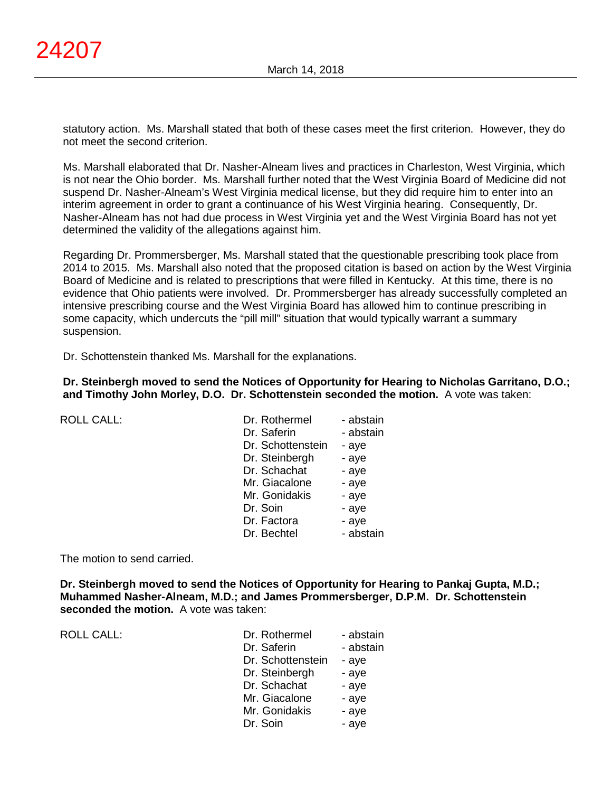statutory action. Ms. Marshall stated that both of these cases meet the first criterion. However, they do not meet the second criterion.

Ms. Marshall elaborated that Dr. Nasher-Alneam lives and practices in Charleston, West Virginia, which is not near the Ohio border. Ms. Marshall further noted that the West Virginia Board of Medicine did not suspend Dr. Nasher-Alneam's West Virginia medical license, but they did require him to enter into an interim agreement in order to grant a continuance of his West Virginia hearing. Consequently, Dr. Nasher-Alneam has not had due process in West Virginia yet and the West Virginia Board has not yet determined the validity of the allegations against him.

Regarding Dr. Prommersberger, Ms. Marshall stated that the questionable prescribing took place from 2014 to 2015. Ms. Marshall also noted that the proposed citation is based on action by the West Virginia Board of Medicine and is related to prescriptions that were filled in Kentucky. At this time, there is no evidence that Ohio patients were involved. Dr. Prommersberger has already successfully completed an intensive prescribing course and the West Virginia Board has allowed him to continue prescribing in some capacity, which undercuts the "pill mill" situation that would typically warrant a summary suspension.

Dr. Schottenstein thanked Ms. Marshall for the explanations.

## **Dr. Steinbergh moved to send the Notices of Opportunity for Hearing to Nicholas Garritano, D.O.; and Timothy John Morley, D.O. Dr. Schottenstein seconded the motion.** A vote was taken:

| <b>ROLL CALL:</b> | Dr. Rothermel<br>Dr. Saferin<br>Dr. Schottenstein | - abstain<br>- abstain<br>- aye |
|-------------------|---------------------------------------------------|---------------------------------|
|                   | Dr. Steinbergh                                    | - aye                           |
|                   | Dr. Schachat                                      | - aye                           |
|                   | Mr. Giacalone                                     | - aye                           |
|                   | Mr. Gonidakis                                     | - aye                           |
|                   | Dr. Soin                                          | - aye                           |
|                   | Dr. Factora                                       | - aye                           |
|                   | Dr. Bechtel                                       | - abstain                       |
|                   |                                                   |                                 |

The motion to send carried.

**Dr. Steinbergh moved to send the Notices of Opportunity for Hearing to Pankaj Gupta, M.D.; Muhammed Nasher-Alneam, M.D.; and James Prommersberger, D.P.M. Dr. Schottenstein seconded the motion.** A vote was taken:

ROLL CALL: T

| Dr. Rothermel     | - abstain |
|-------------------|-----------|
| Dr. Saferin       | - abstain |
| Dr. Schottenstein | - aye     |
| Dr. Steinbergh    | - aye     |
| Dr. Schachat      | - aye     |
| Mr. Giacalone     | - aye     |
| Mr. Gonidakis     | - aye     |
| Dr. Soin          | - aye     |
|                   |           |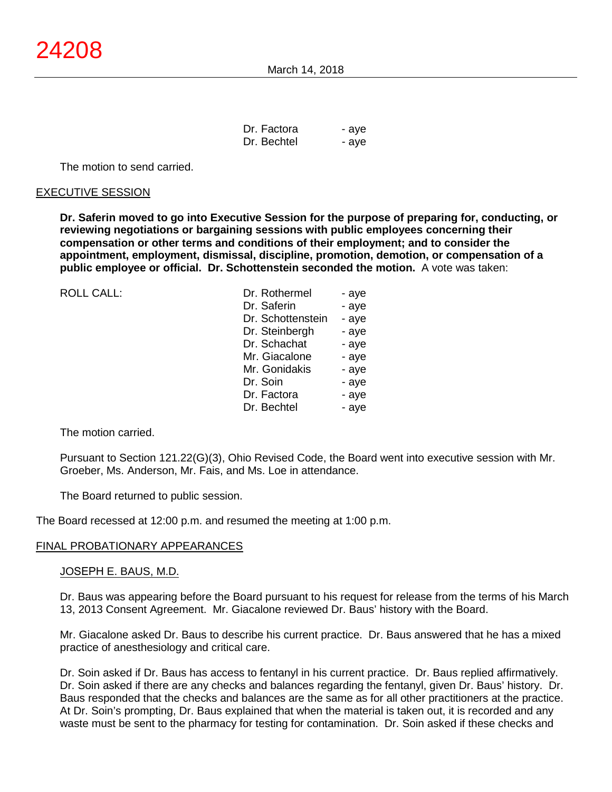| Dr. Factora | - aye |
|-------------|-------|
| Dr. Bechtel | - aye |

The motion to send carried.

## EXECUTIVE SESSION

**Dr. Saferin moved to go into Executive Session for the purpose of preparing for, conducting, or reviewing negotiations or bargaining sessions with public employees concerning their compensation or other terms and conditions of their employment; and to consider the appointment, employment, dismissal, discipline, promotion, demotion, or compensation of a public employee or official. Dr. Schottenstein seconded the motion.** A vote was taken:

| <b>ROLL CALL:</b> | Dr. Rothermel     | - aye |
|-------------------|-------------------|-------|
|                   | Dr. Saferin       | - aye |
|                   | Dr. Schottenstein | - aye |
|                   | Dr. Steinbergh    | - aye |
|                   | Dr. Schachat      | - aye |
|                   | Mr. Giacalone     | - aye |
|                   | Mr. Gonidakis     | - aye |
|                   | Dr. Soin          | - aye |
|                   | Dr. Factora       | - aye |
|                   | Dr. Bechtel       | - aye |
|                   |                   |       |

The motion carried.

Pursuant to Section 121.22(G)(3), Ohio Revised Code, the Board went into executive session with Mr. Groeber, Ms. Anderson, Mr. Fais, and Ms. Loe in attendance.

The Board returned to public session.

The Board recessed at 12:00 p.m. and resumed the meeting at 1:00 p.m.

#### FINAL PROBATIONARY APPEARANCES

#### JOSEPH E. BAUS, M.D.

Dr. Baus was appearing before the Board pursuant to his request for release from the terms of his March 13, 2013 Consent Agreement. Mr. Giacalone reviewed Dr. Baus' history with the Board.

Mr. Giacalone asked Dr. Baus to describe his current practice. Dr. Baus answered that he has a mixed practice of anesthesiology and critical care.

Dr. Soin asked if Dr. Baus has access to fentanyl in his current practice. Dr. Baus replied affirmatively. Dr. Soin asked if there are any checks and balances regarding the fentanyl, given Dr. Baus' history. Dr. Baus responded that the checks and balances are the same as for all other practitioners at the practice. At Dr. Soin's prompting, Dr. Baus explained that when the material is taken out, it is recorded and any waste must be sent to the pharmacy for testing for contamination. Dr. Soin asked if these checks and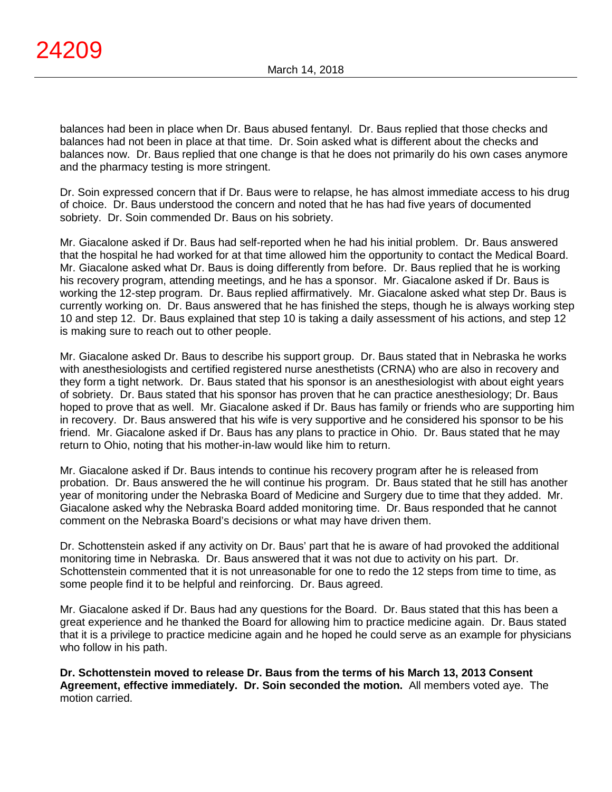balances had been in place when Dr. Baus abused fentanyl. Dr. Baus replied that those checks and balances had not been in place at that time. Dr. Soin asked what is different about the checks and balances now. Dr. Baus replied that one change is that he does not primarily do his own cases anymore and the pharmacy testing is more stringent.

Dr. Soin expressed concern that if Dr. Baus were to relapse, he has almost immediate access to his drug of choice. Dr. Baus understood the concern and noted that he has had five years of documented sobriety. Dr. Soin commended Dr. Baus on his sobriety.

Mr. Giacalone asked if Dr. Baus had self-reported when he had his initial problem. Dr. Baus answered that the hospital he had worked for at that time allowed him the opportunity to contact the Medical Board. Mr. Giacalone asked what Dr. Baus is doing differently from before. Dr. Baus replied that he is working his recovery program, attending meetings, and he has a sponsor. Mr. Giacalone asked if Dr. Baus is working the 12-step program. Dr. Baus replied affirmatively. Mr. Giacalone asked what step Dr. Baus is currently working on. Dr. Baus answered that he has finished the steps, though he is always working step 10 and step 12. Dr. Baus explained that step 10 is taking a daily assessment of his actions, and step 12 is making sure to reach out to other people.

Mr. Giacalone asked Dr. Baus to describe his support group. Dr. Baus stated that in Nebraska he works with anesthesiologists and certified registered nurse anesthetists (CRNA) who are also in recovery and they form a tight network. Dr. Baus stated that his sponsor is an anesthesiologist with about eight years of sobriety. Dr. Baus stated that his sponsor has proven that he can practice anesthesiology; Dr. Baus hoped to prove that as well. Mr. Giacalone asked if Dr. Baus has family or friends who are supporting him in recovery. Dr. Baus answered that his wife is very supportive and he considered his sponsor to be his friend. Mr. Giacalone asked if Dr. Baus has any plans to practice in Ohio. Dr. Baus stated that he may return to Ohio, noting that his mother-in-law would like him to return.

Mr. Giacalone asked if Dr. Baus intends to continue his recovery program after he is released from probation. Dr. Baus answered the he will continue his program. Dr. Baus stated that he still has another year of monitoring under the Nebraska Board of Medicine and Surgery due to time that they added. Mr. Giacalone asked why the Nebraska Board added monitoring time. Dr. Baus responded that he cannot comment on the Nebraska Board's decisions or what may have driven them.

Dr. Schottenstein asked if any activity on Dr. Baus' part that he is aware of had provoked the additional monitoring time in Nebraska. Dr. Baus answered that it was not due to activity on his part. Dr. Schottenstein commented that it is not unreasonable for one to redo the 12 steps from time to time, as some people find it to be helpful and reinforcing. Dr. Baus agreed.

Mr. Giacalone asked if Dr. Baus had any questions for the Board. Dr. Baus stated that this has been a great experience and he thanked the Board for allowing him to practice medicine again. Dr. Baus stated that it is a privilege to practice medicine again and he hoped he could serve as an example for physicians who follow in his path.

**Dr. Schottenstein moved to release Dr. Baus from the terms of his March 13, 2013 Consent Agreement, effective immediately. Dr. Soin seconded the motion.** All members voted aye. The motion carried.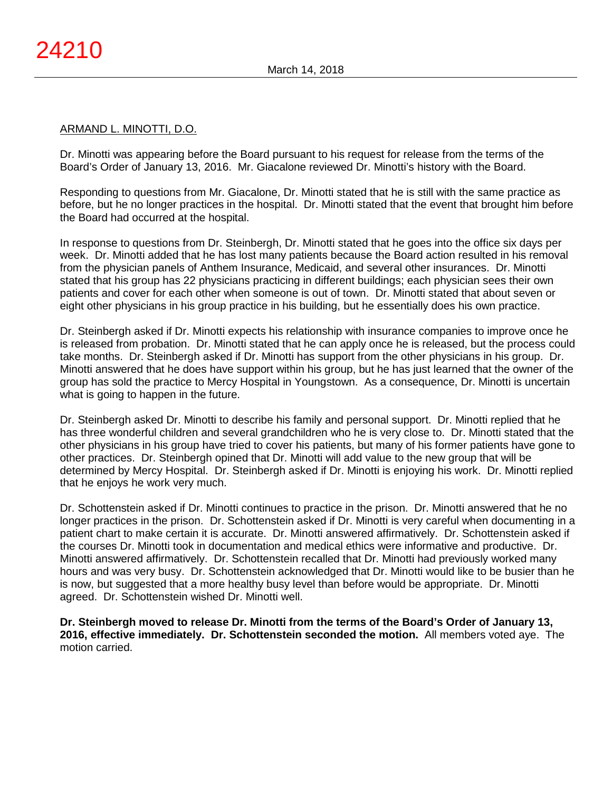## ARMAND L. MINOTTI, D.O.

Dr. Minotti was appearing before the Board pursuant to his request for release from the terms of the Board's Order of January 13, 2016. Mr. Giacalone reviewed Dr. Minotti's history with the Board.

Responding to questions from Mr. Giacalone, Dr. Minotti stated that he is still with the same practice as before, but he no longer practices in the hospital. Dr. Minotti stated that the event that brought him before the Board had occurred at the hospital.

In response to questions from Dr. Steinbergh, Dr. Minotti stated that he goes into the office six days per week. Dr. Minotti added that he has lost many patients because the Board action resulted in his removal from the physician panels of Anthem Insurance, Medicaid, and several other insurances. Dr. Minotti stated that his group has 22 physicians practicing in different buildings; each physician sees their own patients and cover for each other when someone is out of town. Dr. Minotti stated that about seven or eight other physicians in his group practice in his building, but he essentially does his own practice.

Dr. Steinbergh asked if Dr. Minotti expects his relationship with insurance companies to improve once he is released from probation. Dr. Minotti stated that he can apply once he is released, but the process could take months. Dr. Steinbergh asked if Dr. Minotti has support from the other physicians in his group. Dr. Minotti answered that he does have support within his group, but he has just learned that the owner of the group has sold the practice to Mercy Hospital in Youngstown. As a consequence, Dr. Minotti is uncertain what is going to happen in the future.

Dr. Steinbergh asked Dr. Minotti to describe his family and personal support. Dr. Minotti replied that he has three wonderful children and several grandchildren who he is very close to. Dr. Minotti stated that the other physicians in his group have tried to cover his patients, but many of his former patients have gone to other practices. Dr. Steinbergh opined that Dr. Minotti will add value to the new group that will be determined by Mercy Hospital. Dr. Steinbergh asked if Dr. Minotti is enjoying his work. Dr. Minotti replied that he enjoys he work very much.

Dr. Schottenstein asked if Dr. Minotti continues to practice in the prison. Dr. Minotti answered that he no longer practices in the prison. Dr. Schottenstein asked if Dr. Minotti is very careful when documenting in a patient chart to make certain it is accurate. Dr. Minotti answered affirmatively. Dr. Schottenstein asked if the courses Dr. Minotti took in documentation and medical ethics were informative and productive. Dr. Minotti answered affirmatively. Dr. Schottenstein recalled that Dr. Minotti had previously worked many hours and was very busy. Dr. Schottenstein acknowledged that Dr. Minotti would like to be busier than he is now, but suggested that a more healthy busy level than before would be appropriate. Dr. Minotti agreed. Dr. Schottenstein wished Dr. Minotti well.

**Dr. Steinbergh moved to release Dr. Minotti from the terms of the Board's Order of January 13, 2016, effective immediately. Dr. Schottenstein seconded the motion.** All members voted aye. The motion carried.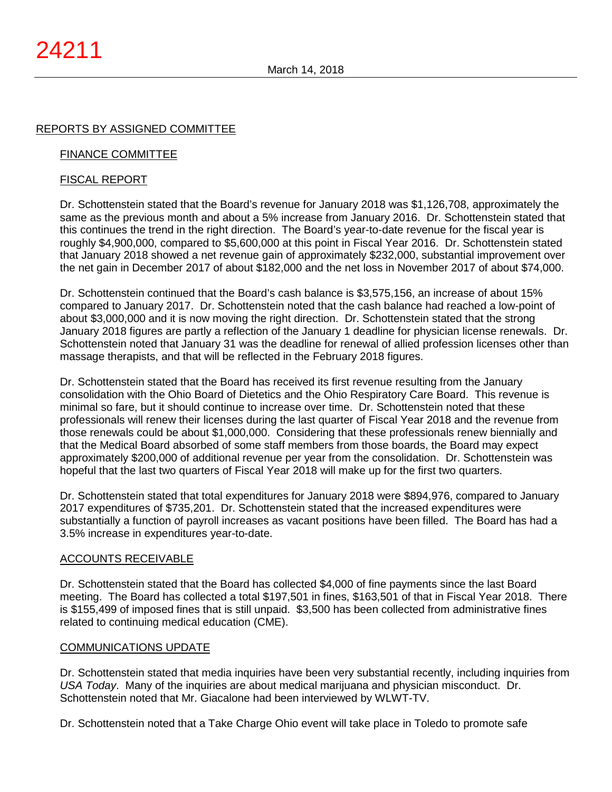# REPORTS BY ASSIGNED COMMITTEE

## FINANCE COMMITTEE

## FISCAL REPORT

Dr. Schottenstein stated that the Board's revenue for January 2018 was \$1,126,708, approximately the same as the previous month and about a 5% increase from January 2016. Dr. Schottenstein stated that this continues the trend in the right direction. The Board's year-to-date revenue for the fiscal year is roughly \$4,900,000, compared to \$5,600,000 at this point in Fiscal Year 2016. Dr. Schottenstein stated that January 2018 showed a net revenue gain of approximately \$232,000, substantial improvement over the net gain in December 2017 of about \$182,000 and the net loss in November 2017 of about \$74,000.

Dr. Schottenstein continued that the Board's cash balance is \$3,575,156, an increase of about 15% compared to January 2017. Dr. Schottenstein noted that the cash balance had reached a low-point of about \$3,000,000 and it is now moving the right direction. Dr. Schottenstein stated that the strong January 2018 figures are partly a reflection of the January 1 deadline for physician license renewals. Dr. Schottenstein noted that January 31 was the deadline for renewal of allied profession licenses other than massage therapists, and that will be reflected in the February 2018 figures.

Dr. Schottenstein stated that the Board has received its first revenue resulting from the January consolidation with the Ohio Board of Dietetics and the Ohio Respiratory Care Board. This revenue is minimal so fare, but it should continue to increase over time. Dr. Schottenstein noted that these professionals will renew their licenses during the last quarter of Fiscal Year 2018 and the revenue from those renewals could be about \$1,000,000. Considering that these professionals renew biennially and that the Medical Board absorbed of some staff members from those boards, the Board may expect approximately \$200,000 of additional revenue per year from the consolidation. Dr. Schottenstein was hopeful that the last two quarters of Fiscal Year 2018 will make up for the first two quarters.

Dr. Schottenstein stated that total expenditures for January 2018 were \$894,976, compared to January 2017 expenditures of \$735,201. Dr. Schottenstein stated that the increased expenditures were substantially a function of payroll increases as vacant positions have been filled. The Board has had a 3.5% increase in expenditures year-to-date.

## ACCOUNTS RECEIVABLE

Dr. Schottenstein stated that the Board has collected \$4,000 of fine payments since the last Board meeting. The Board has collected a total \$197,501 in fines, \$163,501 of that in Fiscal Year 2018. There is \$155,499 of imposed fines that is still unpaid. \$3,500 has been collected from administrative fines related to continuing medical education (CME).

## COMMUNICATIONS UPDATE

Dr. Schottenstein stated that media inquiries have been very substantial recently, including inquiries from *USA Today*. Many of the inquiries are about medical marijuana and physician misconduct. Dr. Schottenstein noted that Mr. Giacalone had been interviewed by WLWT-TV.

Dr. Schottenstein noted that a Take Charge Ohio event will take place in Toledo to promote safe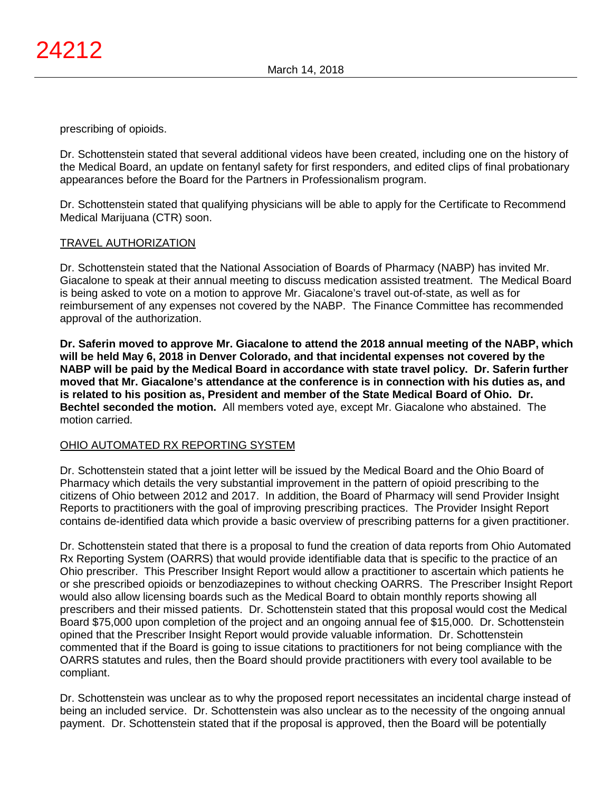prescribing of opioids.

Dr. Schottenstein stated that several additional videos have been created, including one on the history of the Medical Board, an update on fentanyl safety for first responders, and edited clips of final probationary appearances before the Board for the Partners in Professionalism program.

Dr. Schottenstein stated that qualifying physicians will be able to apply for the Certificate to Recommend Medical Marijuana (CTR) soon.

# TRAVEL AUTHORIZATION

Dr. Schottenstein stated that the National Association of Boards of Pharmacy (NABP) has invited Mr. Giacalone to speak at their annual meeting to discuss medication assisted treatment. The Medical Board is being asked to vote on a motion to approve Mr. Giacalone's travel out-of-state, as well as for reimbursement of any expenses not covered by the NABP. The Finance Committee has recommended approval of the authorization.

**Dr. Saferin moved to approve Mr. Giacalone to attend the 2018 annual meeting of the NABP, which will be held May 6, 2018 in Denver Colorado, and that incidental expenses not covered by the NABP will be paid by the Medical Board in accordance with state travel policy. Dr. Saferin further moved that Mr. Giacalone's attendance at the conference is in connection with his duties as, and is related to his position as, President and member of the State Medical Board of Ohio. Dr. Bechtel seconded the motion.** All members voted aye, except Mr. Giacalone who abstained. The motion carried.

# OHIO AUTOMATED RX REPORTING SYSTEM

Dr. Schottenstein stated that a joint letter will be issued by the Medical Board and the Ohio Board of Pharmacy which details the very substantial improvement in the pattern of opioid prescribing to the citizens of Ohio between 2012 and 2017. In addition, the Board of Pharmacy will send Provider Insight Reports to practitioners with the goal of improving prescribing practices. The Provider Insight Report contains de-identified data which provide a basic overview of prescribing patterns for a given practitioner.

Dr. Schottenstein stated that there is a proposal to fund the creation of data reports from Ohio Automated Rx Reporting System (OARRS) that would provide identifiable data that is specific to the practice of an Ohio prescriber. This Prescriber Insight Report would allow a practitioner to ascertain which patients he or she prescribed opioids or benzodiazepines to without checking OARRS. The Prescriber Insight Report would also allow licensing boards such as the Medical Board to obtain monthly reports showing all prescribers and their missed patients. Dr. Schottenstein stated that this proposal would cost the Medical Board \$75,000 upon completion of the project and an ongoing annual fee of \$15,000. Dr. Schottenstein opined that the Prescriber Insight Report would provide valuable information. Dr. Schottenstein commented that if the Board is going to issue citations to practitioners for not being compliance with the OARRS statutes and rules, then the Board should provide practitioners with every tool available to be compliant.

Dr. Schottenstein was unclear as to why the proposed report necessitates an incidental charge instead of being an included service. Dr. Schottenstein was also unclear as to the necessity of the ongoing annual payment. Dr. Schottenstein stated that if the proposal is approved, then the Board will be potentially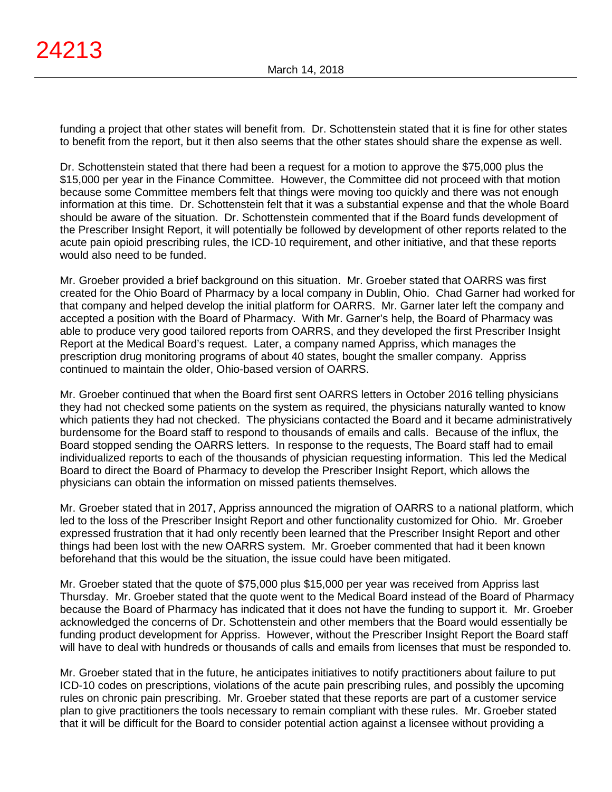funding a project that other states will benefit from. Dr. Schottenstein stated that it is fine for other states to benefit from the report, but it then also seems that the other states should share the expense as well.

Dr. Schottenstein stated that there had been a request for a motion to approve the \$75,000 plus the \$15,000 per year in the Finance Committee. However, the Committee did not proceed with that motion because some Committee members felt that things were moving too quickly and there was not enough information at this time. Dr. Schottenstein felt that it was a substantial expense and that the whole Board should be aware of the situation. Dr. Schottenstein commented that if the Board funds development of the Prescriber Insight Report, it will potentially be followed by development of other reports related to the acute pain opioid prescribing rules, the ICD-10 requirement, and other initiative, and that these reports would also need to be funded.

Mr. Groeber provided a brief background on this situation. Mr. Groeber stated that OARRS was first created for the Ohio Board of Pharmacy by a local company in Dublin, Ohio. Chad Garner had worked for that company and helped develop the initial platform for OARRS. Mr. Garner later left the company and accepted a position with the Board of Pharmacy. With Mr. Garner's help, the Board of Pharmacy was able to produce very good tailored reports from OARRS, and they developed the first Prescriber Insight Report at the Medical Board's request. Later, a company named Appriss, which manages the prescription drug monitoring programs of about 40 states, bought the smaller company. Appriss continued to maintain the older, Ohio-based version of OARRS.

Mr. Groeber continued that when the Board first sent OARRS letters in October 2016 telling physicians they had not checked some patients on the system as required, the physicians naturally wanted to know which patients they had not checked. The physicians contacted the Board and it became administratively burdensome for the Board staff to respond to thousands of emails and calls. Because of the influx, the Board stopped sending the OARRS letters. In response to the requests, The Board staff had to email individualized reports to each of the thousands of physician requesting information. This led the Medical Board to direct the Board of Pharmacy to develop the Prescriber Insight Report, which allows the physicians can obtain the information on missed patients themselves.

Mr. Groeber stated that in 2017, Appriss announced the migration of OARRS to a national platform, which led to the loss of the Prescriber Insight Report and other functionality customized for Ohio. Mr. Groeber expressed frustration that it had only recently been learned that the Prescriber Insight Report and other things had been lost with the new OARRS system. Mr. Groeber commented that had it been known beforehand that this would be the situation, the issue could have been mitigated.

Mr. Groeber stated that the quote of \$75,000 plus \$15,000 per year was received from Appriss last Thursday. Mr. Groeber stated that the quote went to the Medical Board instead of the Board of Pharmacy because the Board of Pharmacy has indicated that it does not have the funding to support it. Mr. Groeber acknowledged the concerns of Dr. Schottenstein and other members that the Board would essentially be funding product development for Appriss. However, without the Prescriber Insight Report the Board staff will have to deal with hundreds or thousands of calls and emails from licenses that must be responded to.

Mr. Groeber stated that in the future, he anticipates initiatives to notify practitioners about failure to put ICD-10 codes on prescriptions, violations of the acute pain prescribing rules, and possibly the upcoming rules on chronic pain prescribing. Mr. Groeber stated that these reports are part of a customer service plan to give practitioners the tools necessary to remain compliant with these rules. Mr. Groeber stated that it will be difficult for the Board to consider potential action against a licensee without providing a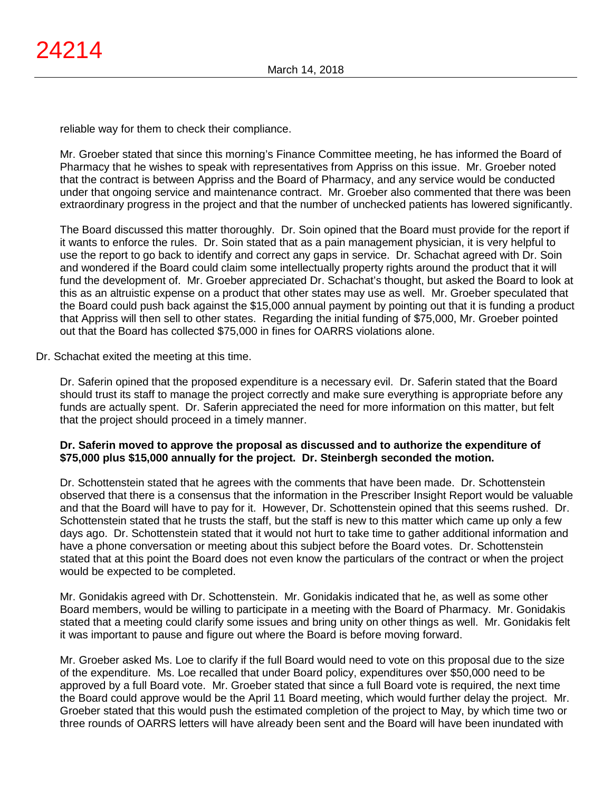reliable way for them to check their compliance.

Mr. Groeber stated that since this morning's Finance Committee meeting, he has informed the Board of Pharmacy that he wishes to speak with representatives from Appriss on this issue. Mr. Groeber noted that the contract is between Appriss and the Board of Pharmacy, and any service would be conducted under that ongoing service and maintenance contract. Mr. Groeber also commented that there was been extraordinary progress in the project and that the number of unchecked patients has lowered significantly.

The Board discussed this matter thoroughly. Dr. Soin opined that the Board must provide for the report if it wants to enforce the rules. Dr. Soin stated that as a pain management physician, it is very helpful to use the report to go back to identify and correct any gaps in service. Dr. Schachat agreed with Dr. Soin and wondered if the Board could claim some intellectually property rights around the product that it will fund the development of. Mr. Groeber appreciated Dr. Schachat's thought, but asked the Board to look at this as an altruistic expense on a product that other states may use as well. Mr. Groeber speculated that the Board could push back against the \$15,000 annual payment by pointing out that it is funding a product that Appriss will then sell to other states. Regarding the initial funding of \$75,000, Mr. Groeber pointed out that the Board has collected \$75,000 in fines for OARRS violations alone.

Dr. Schachat exited the meeting at this time.

Dr. Saferin opined that the proposed expenditure is a necessary evil. Dr. Saferin stated that the Board should trust its staff to manage the project correctly and make sure everything is appropriate before any funds are actually spent. Dr. Saferin appreciated the need for more information on this matter, but felt that the project should proceed in a timely manner.

## **Dr. Saferin moved to approve the proposal as discussed and to authorize the expenditure of \$75,000 plus \$15,000 annually for the project. Dr. Steinbergh seconded the motion.**

Dr. Schottenstein stated that he agrees with the comments that have been made. Dr. Schottenstein observed that there is a consensus that the information in the Prescriber Insight Report would be valuable and that the Board will have to pay for it. However, Dr. Schottenstein opined that this seems rushed. Dr. Schottenstein stated that he trusts the staff, but the staff is new to this matter which came up only a few days ago. Dr. Schottenstein stated that it would not hurt to take time to gather additional information and have a phone conversation or meeting about this subject before the Board votes. Dr. Schottenstein stated that at this point the Board does not even know the particulars of the contract or when the project would be expected to be completed.

Mr. Gonidakis agreed with Dr. Schottenstein. Mr. Gonidakis indicated that he, as well as some other Board members, would be willing to participate in a meeting with the Board of Pharmacy. Mr. Gonidakis stated that a meeting could clarify some issues and bring unity on other things as well. Mr. Gonidakis felt it was important to pause and figure out where the Board is before moving forward.

Mr. Groeber asked Ms. Loe to clarify if the full Board would need to vote on this proposal due to the size of the expenditure. Ms. Loe recalled that under Board policy, expenditures over \$50,000 need to be approved by a full Board vote. Mr. Groeber stated that since a full Board vote is required, the next time the Board could approve would be the April 11 Board meeting, which would further delay the project. Mr. Groeber stated that this would push the estimated completion of the project to May, by which time two or three rounds of OARRS letters will have already been sent and the Board will have been inundated with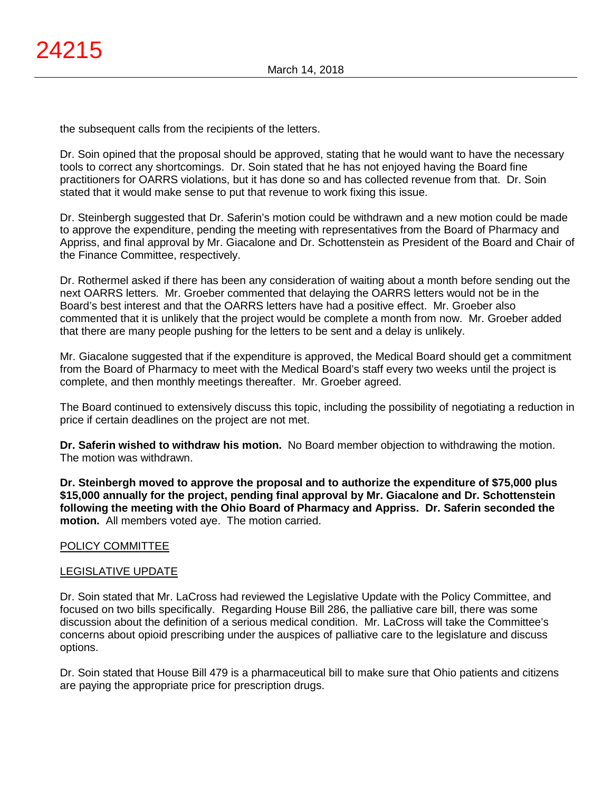the subsequent calls from the recipients of the letters.

Dr. Soin opined that the proposal should be approved, stating that he would want to have the necessary tools to correct any shortcomings. Dr. Soin stated that he has not enjoyed having the Board fine practitioners for OARRS violations, but it has done so and has collected revenue from that. Dr. Soin stated that it would make sense to put that revenue to work fixing this issue.

Dr. Steinbergh suggested that Dr. Saferin's motion could be withdrawn and a new motion could be made to approve the expenditure, pending the meeting with representatives from the Board of Pharmacy and Appriss, and final approval by Mr. Giacalone and Dr. Schottenstein as President of the Board and Chair of the Finance Committee, respectively.

Dr. Rothermel asked if there has been any consideration of waiting about a month before sending out the next OARRS letters. Mr. Groeber commented that delaying the OARRS letters would not be in the Board's best interest and that the OARRS letters have had a positive effect. Mr. Groeber also commented that it is unlikely that the project would be complete a month from now. Mr. Groeber added that there are many people pushing for the letters to be sent and a delay is unlikely.

Mr. Giacalone suggested that if the expenditure is approved, the Medical Board should get a commitment from the Board of Pharmacy to meet with the Medical Board's staff every two weeks until the project is complete, and then monthly meetings thereafter. Mr. Groeber agreed.

The Board continued to extensively discuss this topic, including the possibility of negotiating a reduction in price if certain deadlines on the project are not met.

**Dr. Saferin wished to withdraw his motion.** No Board member objection to withdrawing the motion. The motion was withdrawn.

**Dr. Steinbergh moved to approve the proposal and to authorize the expenditure of \$75,000 plus \$15,000 annually for the project, pending final approval by Mr. Giacalone and Dr. Schottenstein following the meeting with the Ohio Board of Pharmacy and Appriss. Dr. Saferin seconded the motion.** All members voted aye. The motion carried.

# POLICY COMMITTEE

## LEGISLATIVE UPDATE

Dr. Soin stated that Mr. LaCross had reviewed the Legislative Update with the Policy Committee, and focused on two bills specifically. Regarding House Bill 286, the palliative care bill, there was some discussion about the definition of a serious medical condition. Mr. LaCross will take the Committee's concerns about opioid prescribing under the auspices of palliative care to the legislature and discuss options.

Dr. Soin stated that House Bill 479 is a pharmaceutical bill to make sure that Ohio patients and citizens are paying the appropriate price for prescription drugs.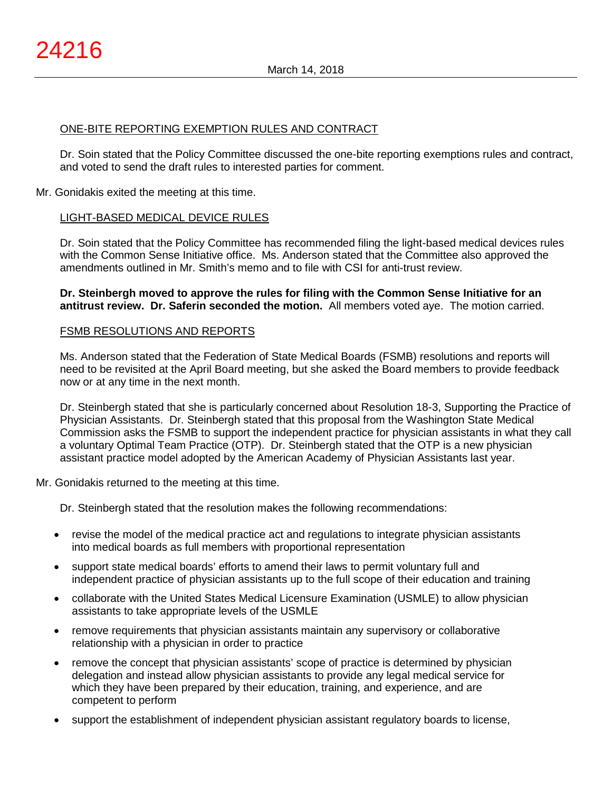# ONE-BITE REPORTING EXEMPTION RULES AND CONTRACT

Dr. Soin stated that the Policy Committee discussed the one-bite reporting exemptions rules and contract, and voted to send the draft rules to interested parties for comment.

## Mr. Gonidakis exited the meeting at this time.

## LIGHT-BASED MEDICAL DEVICE RULES

Dr. Soin stated that the Policy Committee has recommended filing the light-based medical devices rules with the Common Sense Initiative office. Ms. Anderson stated that the Committee also approved the amendments outlined in Mr. Smith's memo and to file with CSI for anti-trust review.

**Dr. Steinbergh moved to approve the rules for filing with the Common Sense Initiative for an antitrust review. Dr. Saferin seconded the motion.** All members voted aye. The motion carried.

#### FSMB RESOLUTIONS AND REPORTS

Ms. Anderson stated that the Federation of State Medical Boards (FSMB) resolutions and reports will need to be revisited at the April Board meeting, but she asked the Board members to provide feedback now or at any time in the next month.

Dr. Steinbergh stated that she is particularly concerned about Resolution 18-3, Supporting the Practice of Physician Assistants. Dr. Steinbergh stated that this proposal from the Washington State Medical Commission asks the FSMB to support the independent practice for physician assistants in what they call a voluntary Optimal Team Practice (OTP). Dr. Steinbergh stated that the OTP is a new physician assistant practice model adopted by the American Academy of Physician Assistants last year.

Mr. Gonidakis returned to the meeting at this time.

Dr. Steinbergh stated that the resolution makes the following recommendations:

- revise the model of the medical practice act and regulations to integrate physician assistants into medical boards as full members with proportional representation
- support state medical boards' efforts to amend their laws to permit voluntary full and independent practice of physician assistants up to the full scope of their education and training
- collaborate with the United States Medical Licensure Examination (USMLE) to allow physician assistants to take appropriate levels of the USMLE
- remove requirements that physician assistants maintain any supervisory or collaborative relationship with a physician in order to practice
- remove the concept that physician assistants' scope of practice is determined by physician delegation and instead allow physician assistants to provide any legal medical service for which they have been prepared by their education, training, and experience, and are competent to perform
- support the establishment of independent physician assistant regulatory boards to license,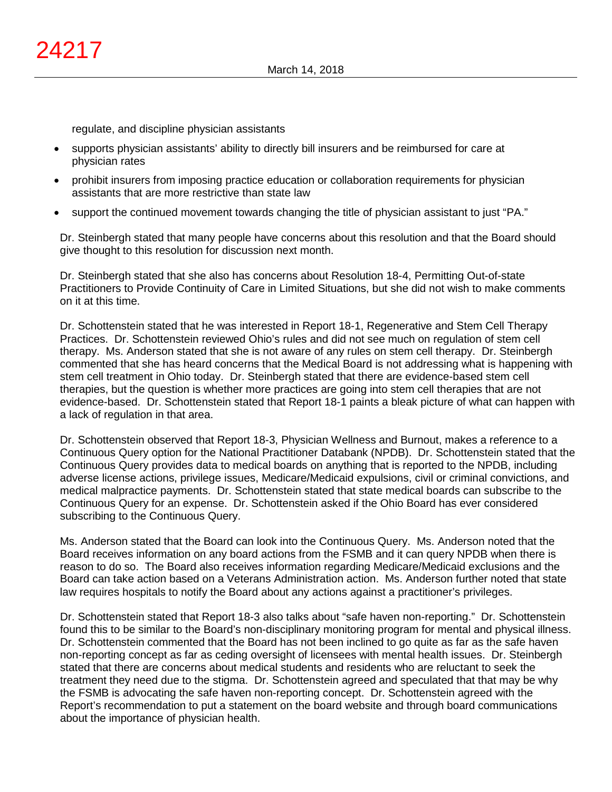regulate, and discipline physician assistants

- supports physician assistants' ability to directly bill insurers and be reimbursed for care at physician rates
- prohibit insurers from imposing practice education or collaboration requirements for physician assistants that are more restrictive than state law
- support the continued movement towards changing the title of physician assistant to just "PA."

Dr. Steinbergh stated that many people have concerns about this resolution and that the Board should give thought to this resolution for discussion next month.

Dr. Steinbergh stated that she also has concerns about Resolution 18-4, Permitting Out-of-state Practitioners to Provide Continuity of Care in Limited Situations, but she did not wish to make comments on it at this time.

Dr. Schottenstein stated that he was interested in Report 18-1, Regenerative and Stem Cell Therapy Practices. Dr. Schottenstein reviewed Ohio's rules and did not see much on regulation of stem cell therapy. Ms. Anderson stated that she is not aware of any rules on stem cell therapy. Dr. Steinbergh commented that she has heard concerns that the Medical Board is not addressing what is happening with stem cell treatment in Ohio today. Dr. Steinbergh stated that there are evidence-based stem cell therapies, but the question is whether more practices are going into stem cell therapies that are not evidence-based. Dr. Schottenstein stated that Report 18-1 paints a bleak picture of what can happen with a lack of regulation in that area.

Dr. Schottenstein observed that Report 18-3, Physician Wellness and Burnout, makes a reference to a Continuous Query option for the National Practitioner Databank (NPDB). Dr. Schottenstein stated that the Continuous Query provides data to medical boards on anything that is reported to the NPDB, including adverse license actions, privilege issues, Medicare/Medicaid expulsions, civil or criminal convictions, and medical malpractice payments. Dr. Schottenstein stated that state medical boards can subscribe to the Continuous Query for an expense. Dr. Schottenstein asked if the Ohio Board has ever considered subscribing to the Continuous Query.

Ms. Anderson stated that the Board can look into the Continuous Query. Ms. Anderson noted that the Board receives information on any board actions from the FSMB and it can query NPDB when there is reason to do so. The Board also receives information regarding Medicare/Medicaid exclusions and the Board can take action based on a Veterans Administration action. Ms. Anderson further noted that state law requires hospitals to notify the Board about any actions against a practitioner's privileges.

Dr. Schottenstein stated that Report 18-3 also talks about "safe haven non-reporting." Dr. Schottenstein found this to be similar to the Board's non-disciplinary monitoring program for mental and physical illness. Dr. Schottenstein commented that the Board has not been inclined to go quite as far as the safe haven non-reporting concept as far as ceding oversight of licensees with mental health issues. Dr. Steinbergh stated that there are concerns about medical students and residents who are reluctant to seek the treatment they need due to the stigma. Dr. Schottenstein agreed and speculated that that may be why the FSMB is advocating the safe haven non-reporting concept. Dr. Schottenstein agreed with the Report's recommendation to put a statement on the board website and through board communications about the importance of physician health.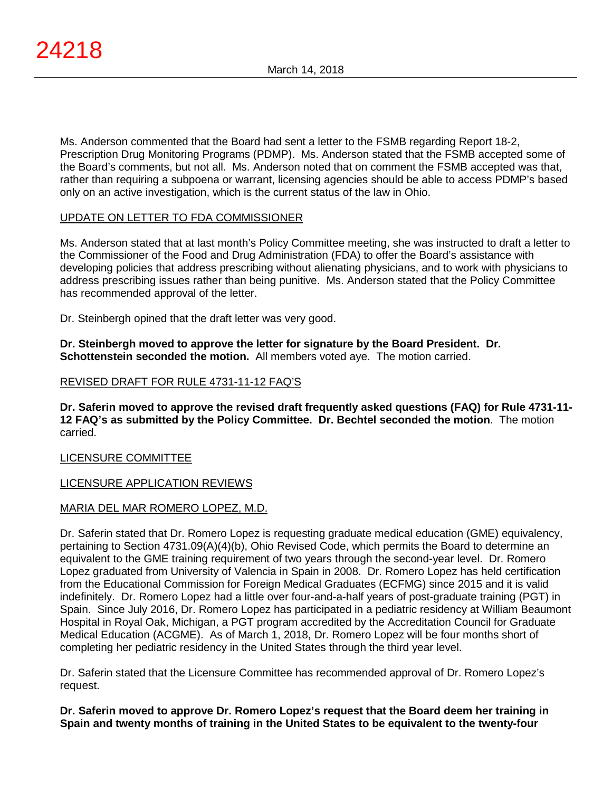Ms. Anderson commented that the Board had sent a letter to the FSMB regarding Report 18-2, Prescription Drug Monitoring Programs (PDMP). Ms. Anderson stated that the FSMB accepted some of the Board's comments, but not all. Ms. Anderson noted that on comment the FSMB accepted was that, rather than requiring a subpoena or warrant, licensing agencies should be able to access PDMP's based only on an active investigation, which is the current status of the law in Ohio.

# UPDATE ON LETTER TO FDA COMMISSIONER

Ms. Anderson stated that at last month's Policy Committee meeting, she was instructed to draft a letter to the Commissioner of the Food and Drug Administration (FDA) to offer the Board's assistance with developing policies that address prescribing without alienating physicians, and to work with physicians to address prescribing issues rather than being punitive. Ms. Anderson stated that the Policy Committee has recommended approval of the letter.

Dr. Steinbergh opined that the draft letter was very good.

**Dr. Steinbergh moved to approve the letter for signature by the Board President. Dr. Schottenstein seconded the motion.** All members voted aye. The motion carried.

# REVISED DRAFT FOR RULE 4731-11-12 FAQ'S

**Dr. Saferin moved to approve the revised draft frequently asked questions (FAQ) for Rule 4731-11- 12 FAQ's as submitted by the Policy Committee. Dr. Bechtel seconded the motion**. The motion carried.

# LICENSURE COMMITTEE

# LICENSURE APPLICATION REVIEWS

## MARIA DEL MAR ROMERO LOPEZ, M.D.

Dr. Saferin stated that Dr. Romero Lopez is requesting graduate medical education (GME) equivalency, pertaining to Section 4731.09(A)(4)(b), Ohio Revised Code, which permits the Board to determine an equivalent to the GME training requirement of two years through the second-year level. Dr. Romero Lopez graduated from University of Valencia in Spain in 2008. Dr. Romero Lopez has held certification from the Educational Commission for Foreign Medical Graduates (ECFMG) since 2015 and it is valid indefinitely. Dr. Romero Lopez had a little over four-and-a-half years of post-graduate training (PGT) in Spain. Since July 2016, Dr. Romero Lopez has participated in a pediatric residency at William Beaumont Hospital in Royal Oak, Michigan, a PGT program accredited by the Accreditation Council for Graduate Medical Education (ACGME). As of March 1, 2018, Dr. Romero Lopez will be four months short of completing her pediatric residency in the United States through the third year level.

Dr. Saferin stated that the Licensure Committee has recommended approval of Dr. Romero Lopez's request.

**Dr. Saferin moved to approve Dr. Romero Lopez's request that the Board deem her training in Spain and twenty months of training in the United States to be equivalent to the twenty-four**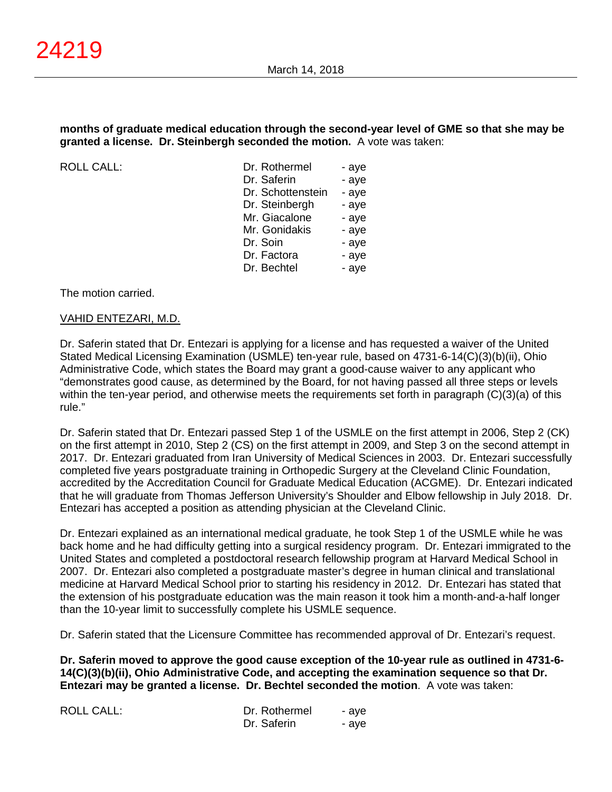## **months of graduate medical education through the second-year level of GME so that she may be granted a license. Dr. Steinbergh seconded the motion.** A vote was taken:

ROLL CALL:

| Dr. Rothermel     | - aye |
|-------------------|-------|
| Dr. Saferin       | - aye |
| Dr. Schottenstein | - aye |
| Dr. Steinbergh    | - aye |
| Mr. Giacalone     | - aye |
| Mr. Gonidakis     | - aye |
| Dr. Soin          | - aye |
| Dr. Factora       | - aye |
| Dr. Bechtel       | - aye |
|                   |       |

The motion carried.

## VAHID ENTEZARI, M.D.

Dr. Saferin stated that Dr. Entezari is applying for a license and has requested a waiver of the United Stated Medical Licensing Examination (USMLE) ten-year rule, based on 4731-6-14(C)(3)(b)(ii), Ohio Administrative Code, which states the Board may grant a good-cause waiver to any applicant who "demonstrates good cause, as determined by the Board, for not having passed all three steps or levels within the ten-year period, and otherwise meets the requirements set forth in paragraph (C)(3)(a) of this rule."

Dr. Saferin stated that Dr. Entezari passed Step 1 of the USMLE on the first attempt in 2006, Step 2 (CK) on the first attempt in 2010, Step 2 (CS) on the first attempt in 2009, and Step 3 on the second attempt in 2017. Dr. Entezari graduated from Iran University of Medical Sciences in 2003. Dr. Entezari successfully completed five years postgraduate training in Orthopedic Surgery at the Cleveland Clinic Foundation, accredited by the Accreditation Council for Graduate Medical Education (ACGME). Dr. Entezari indicated that he will graduate from Thomas Jefferson University's Shoulder and Elbow fellowship in July 2018. Dr. Entezari has accepted a position as attending physician at the Cleveland Clinic.

Dr. Entezari explained as an international medical graduate, he took Step 1 of the USMLE while he was back home and he had difficulty getting into a surgical residency program. Dr. Entezari immigrated to the United States and completed a postdoctoral research fellowship program at Harvard Medical School in 2007. Dr. Entezari also completed a postgraduate master's degree in human clinical and translational medicine at Harvard Medical School prior to starting his residency in 2012. Dr. Entezari has stated that the extension of his postgraduate education was the main reason it took him a month-and-a-half longer than the 10-year limit to successfully complete his USMLE sequence.

Dr. Saferin stated that the Licensure Committee has recommended approval of Dr. Entezari's request.

**Dr. Saferin moved to approve the good cause exception of the 10-year rule as outlined in 4731-6- 14(C)(3)(b)(ii), Ohio Administrative Code, and accepting the examination sequence so that Dr. Entezari may be granted a license. Dr. Bechtel seconded the motion**. A vote was taken:

| <b>ROLL CALL:</b> | Dr. Rothermel | - ave |
|-------------------|---------------|-------|
|                   | Dr. Saferin   | - ave |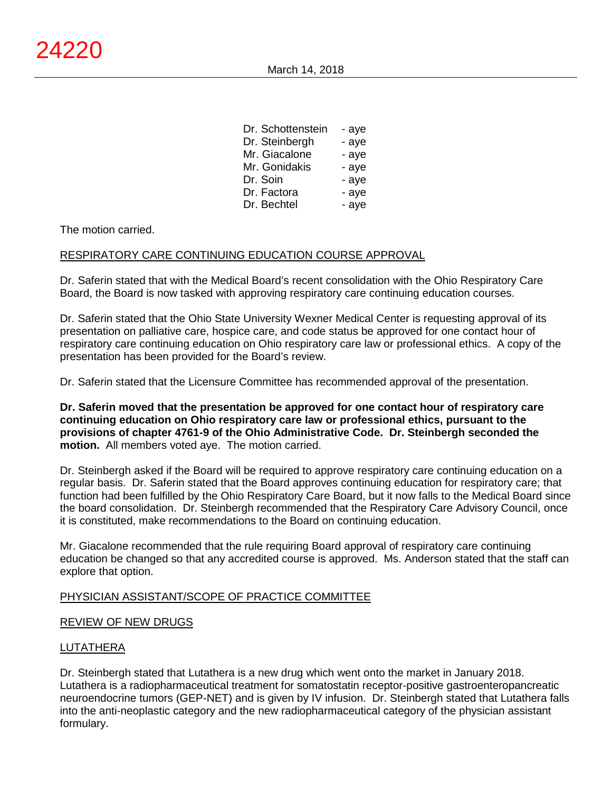| Dr. Schottenstein | - aye |
|-------------------|-------|
| Dr. Steinbergh    | - aye |
| Mr. Giacalone     | - aye |
| Mr. Gonidakis     | - aye |
| Dr. Soin          | - aye |
| Dr. Factora       | - aye |
| Dr. Bechtel       | - aye |

## The motion carried.

# RESPIRATORY CARE CONTINUING EDUCATION COURSE APPROVAL

Dr. Saferin stated that with the Medical Board's recent consolidation with the Ohio Respiratory Care Board, the Board is now tasked with approving respiratory care continuing education courses.

Dr. Saferin stated that the Ohio State University Wexner Medical Center is requesting approval of its presentation on palliative care, hospice care, and code status be approved for one contact hour of respiratory care continuing education on Ohio respiratory care law or professional ethics. A copy of the presentation has been provided for the Board's review.

Dr. Saferin stated that the Licensure Committee has recommended approval of the presentation.

**Dr. Saferin moved that the presentation be approved for one contact hour of respiratory care continuing education on Ohio respiratory care law or professional ethics, pursuant to the provisions of chapter 4761-9 of the Ohio Administrative Code. Dr. Steinbergh seconded the motion.** All members voted aye. The motion carried.

Dr. Steinbergh asked if the Board will be required to approve respiratory care continuing education on a regular basis. Dr. Saferin stated that the Board approves continuing education for respiratory care; that function had been fulfilled by the Ohio Respiratory Care Board, but it now falls to the Medical Board since the board consolidation. Dr. Steinbergh recommended that the Respiratory Care Advisory Council, once it is constituted, make recommendations to the Board on continuing education.

Mr. Giacalone recommended that the rule requiring Board approval of respiratory care continuing education be changed so that any accredited course is approved. Ms. Anderson stated that the staff can explore that option.

## PHYSICIAN ASSISTANT/SCOPE OF PRACTICE COMMITTEE

## REVIEW OF NEW DRUGS

# LUTATHERA

Dr. Steinbergh stated that Lutathera is a new drug which went onto the market in January 2018. Lutathera is a radiopharmaceutical treatment for somatostatin receptor-positive gastroenteropancreatic neuroendocrine tumors (GEP-NET) and is given by IV infusion. Dr. Steinbergh stated that Lutathera falls into the anti-neoplastic category and the new radiopharmaceutical category of the physician assistant formulary.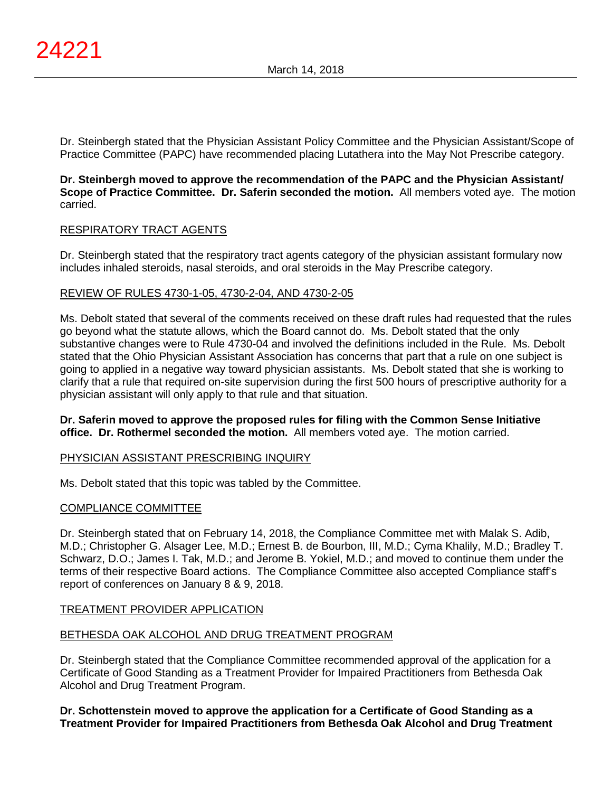Dr. Steinbergh stated that the Physician Assistant Policy Committee and the Physician Assistant/Scope of Practice Committee (PAPC) have recommended placing Lutathera into the May Not Prescribe category.

**Dr. Steinbergh moved to approve the recommendation of the PAPC and the Physician Assistant/ Scope of Practice Committee. Dr. Saferin seconded the motion.** All members voted aye. The motion carried.

## RESPIRATORY TRACT AGENTS

Dr. Steinbergh stated that the respiratory tract agents category of the physician assistant formulary now includes inhaled steroids, nasal steroids, and oral steroids in the May Prescribe category.

## REVIEW OF RULES 4730-1-05, 4730-2-04, AND 4730-2-05

Ms. Debolt stated that several of the comments received on these draft rules had requested that the rules go beyond what the statute allows, which the Board cannot do. Ms. Debolt stated that the only substantive changes were to Rule 4730-04 and involved the definitions included in the Rule. Ms. Debolt stated that the Ohio Physician Assistant Association has concerns that part that a rule on one subject is going to applied in a negative way toward physician assistants. Ms. Debolt stated that she is working to clarify that a rule that required on-site supervision during the first 500 hours of prescriptive authority for a physician assistant will only apply to that rule and that situation.

## **Dr. Saferin moved to approve the proposed rules for filing with the Common Sense Initiative office. Dr. Rothermel seconded the motion.** All members voted aye. The motion carried.

## PHYSICIAN ASSISTANT PRESCRIBING INQUIRY

Ms. Debolt stated that this topic was tabled by the Committee.

## COMPLIANCE COMMITTEE

Dr. Steinbergh stated that on February 14, 2018, the Compliance Committee met with Malak S. Adib, M.D.; Christopher G. Alsager Lee, M.D.; Ernest B. de Bourbon, III, M.D.; Cyma Khalily, M.D.; Bradley T. Schwarz, D.O.; James I. Tak, M.D.; and Jerome B. Yokiel, M.D.; and moved to continue them under the terms of their respective Board actions. The Compliance Committee also accepted Compliance staff's report of conferences on January 8 & 9, 2018.

## TREATMENT PROVIDER APPLICATION

## BETHESDA OAK ALCOHOL AND DRUG TREATMENT PROGRAM

Dr. Steinbergh stated that the Compliance Committee recommended approval of the application for a Certificate of Good Standing as a Treatment Provider for Impaired Practitioners from Bethesda Oak Alcohol and Drug Treatment Program.

**Dr. Schottenstein moved to approve the application for a Certificate of Good Standing as a Treatment Provider for Impaired Practitioners from Bethesda Oak Alcohol and Drug Treatment**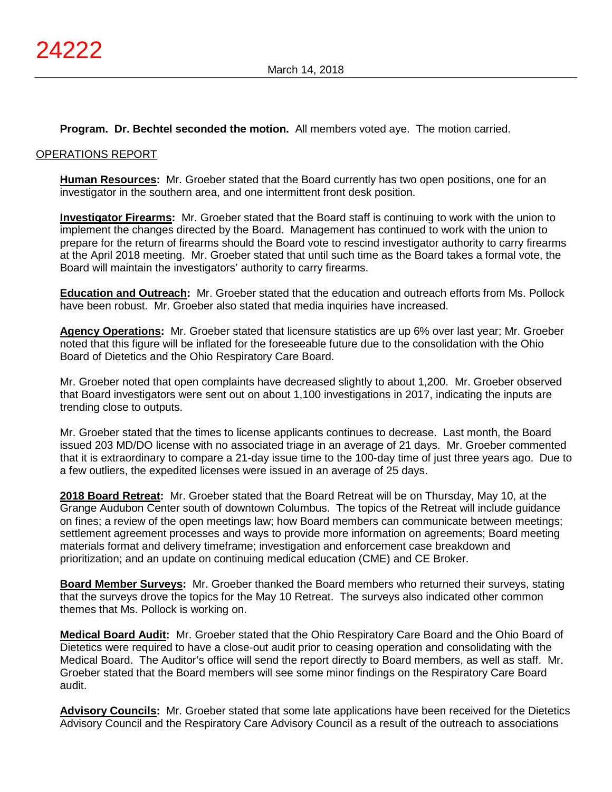## **Program. Dr. Bechtel seconded the motion.** All members voted aye. The motion carried.

#### OPERATIONS REPORT

**Human Resources:** Mr. Groeber stated that the Board currently has two open positions, one for an investigator in the southern area, and one intermittent front desk position.

**Investigator Firearms:** Mr. Groeber stated that the Board staff is continuing to work with the union to implement the changes directed by the Board. Management has continued to work with the union to prepare for the return of firearms should the Board vote to rescind investigator authority to carry firearms at the April 2018 meeting. Mr. Groeber stated that until such time as the Board takes a formal vote, the Board will maintain the investigators' authority to carry firearms.

**Education and Outreach:** Mr. Groeber stated that the education and outreach efforts from Ms. Pollock have been robust. Mr. Groeber also stated that media inquiries have increased.

**Agency Operations:** Mr. Groeber stated that licensure statistics are up 6% over last year; Mr. Groeber noted that this figure will be inflated for the foreseeable future due to the consolidation with the Ohio Board of Dietetics and the Ohio Respiratory Care Board.

Mr. Groeber noted that open complaints have decreased slightly to about 1,200. Mr. Groeber observed that Board investigators were sent out on about 1,100 investigations in 2017, indicating the inputs are trending close to outputs.

Mr. Groeber stated that the times to license applicants continues to decrease. Last month, the Board issued 203 MD/DO license with no associated triage in an average of 21 days. Mr. Groeber commented that it is extraordinary to compare a 21-day issue time to the 100-day time of just three years ago. Due to a few outliers, the expedited licenses were issued in an average of 25 days.

**2018 Board Retreat:** Mr. Groeber stated that the Board Retreat will be on Thursday, May 10, at the Grange Audubon Center south of downtown Columbus. The topics of the Retreat will include guidance on fines; a review of the open meetings law; how Board members can communicate between meetings; settlement agreement processes and ways to provide more information on agreements; Board meeting materials format and delivery timeframe; investigation and enforcement case breakdown and prioritization; and an update on continuing medical education (CME) and CE Broker.

**Board Member Surveys:** Mr. Groeber thanked the Board members who returned their surveys, stating that the surveys drove the topics for the May 10 Retreat. The surveys also indicated other common themes that Ms. Pollock is working on.

**Medical Board Audit:** Mr. Groeber stated that the Ohio Respiratory Care Board and the Ohio Board of Dietetics were required to have a close-out audit prior to ceasing operation and consolidating with the Medical Board. The Auditor's office will send the report directly to Board members, as well as staff. Mr. Groeber stated that the Board members will see some minor findings on the Respiratory Care Board audit.

**Advisory Councils:** Mr. Groeber stated that some late applications have been received for the Dietetics Advisory Council and the Respiratory Care Advisory Council as a result of the outreach to associations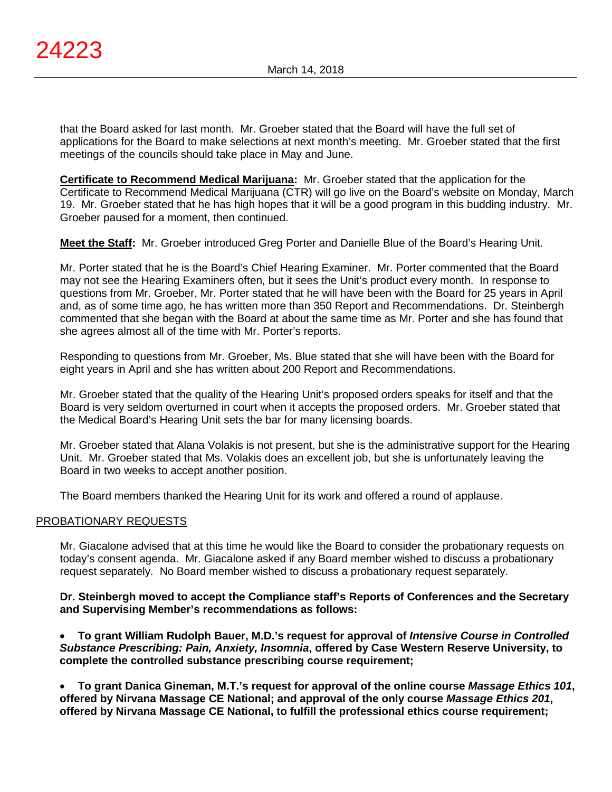that the Board asked for last month. Mr. Groeber stated that the Board will have the full set of applications for the Board to make selections at next month's meeting. Mr. Groeber stated that the first meetings of the councils should take place in May and June.

**Certificate to Recommend Medical Marijuana:** Mr. Groeber stated that the application for the Certificate to Recommend Medical Marijuana (CTR) will go live on the Board's website on Monday, March 19. Mr. Groeber stated that he has high hopes that it will be a good program in this budding industry. Mr. Groeber paused for a moment, then continued.

**Meet the Staff:** Mr. Groeber introduced Greg Porter and Danielle Blue of the Board's Hearing Unit.

Mr. Porter stated that he is the Board's Chief Hearing Examiner. Mr. Porter commented that the Board may not see the Hearing Examiners often, but it sees the Unit's product every month. In response to questions from Mr. Groeber, Mr. Porter stated that he will have been with the Board for 25 years in April and, as of some time ago, he has written more than 350 Report and Recommendations. Dr. Steinbergh commented that she began with the Board at about the same time as Mr. Porter and she has found that she agrees almost all of the time with Mr. Porter's reports.

Responding to questions from Mr. Groeber, Ms. Blue stated that she will have been with the Board for eight years in April and she has written about 200 Report and Recommendations.

Mr. Groeber stated that the quality of the Hearing Unit's proposed orders speaks for itself and that the Board is very seldom overturned in court when it accepts the proposed orders. Mr. Groeber stated that the Medical Board's Hearing Unit sets the bar for many licensing boards.

Mr. Groeber stated that Alana Volakis is not present, but she is the administrative support for the Hearing Unit. Mr. Groeber stated that Ms. Volakis does an excellent job, but she is unfortunately leaving the Board in two weeks to accept another position.

The Board members thanked the Hearing Unit for its work and offered a round of applause.

## PROBATIONARY REQUESTS

Mr. Giacalone advised that at this time he would like the Board to consider the probationary requests on today's consent agenda. Mr. Giacalone asked if any Board member wished to discuss a probationary request separately. No Board member wished to discuss a probationary request separately.

**Dr. Steinbergh moved to accept the Compliance staff's Reports of Conferences and the Secretary and Supervising Member's recommendations as follows:**

• **To grant William Rudolph Bauer, M.D.'s request for approval of** *Intensive Course in Controlled Substance Prescribing: Pain, Anxiety, Insomnia***, offered by Case Western Reserve University, to complete the controlled substance prescribing course requirement;**

• **To grant Danica Gineman, M.T.'s request for approval of the online course** *Massage Ethics 101***, offered by Nirvana Massage CE National; and approval of the only course** *Massage Ethics 201***, offered by Nirvana Massage CE National, to fulfill the professional ethics course requirement;**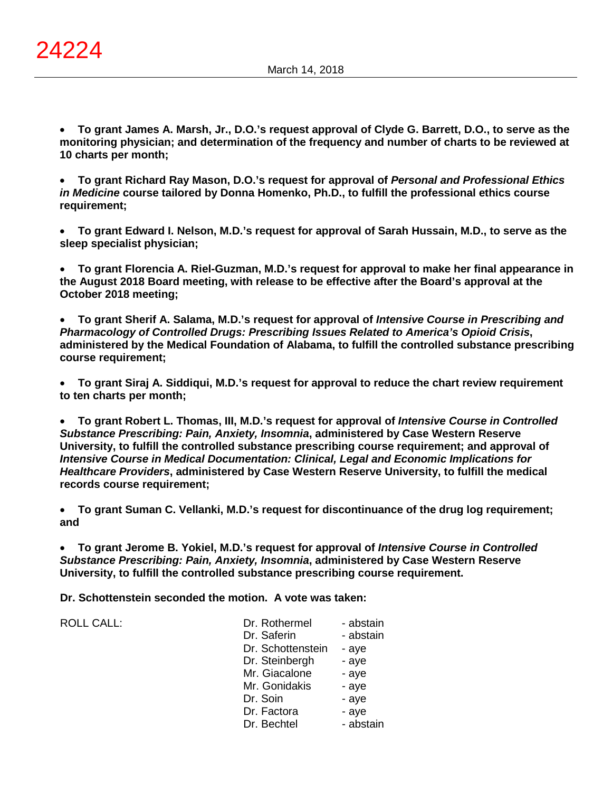• **To grant James A. Marsh, Jr., D.O.'s request approval of Clyde G. Barrett, D.O., to serve as the monitoring physician; and determination of the frequency and number of charts to be reviewed at 10 charts per month;**

• **To grant Richard Ray Mason, D.O.'s request for approval of** *Personal and Professional Ethics in Medicine* **course tailored by Donna Homenko, Ph.D., to fulfill the professional ethics course requirement;**

• **To grant Edward I. Nelson, M.D.'s request for approval of Sarah Hussain, M.D., to serve as the sleep specialist physician;**

• **To grant Florencia A. Riel-Guzman, M.D.'s request for approval to make her final appearance in the August 2018 Board meeting, with release to be effective after the Board's approval at the October 2018 meeting;**

• **To grant Sherif A. Salama, M.D.'s request for approval of** *Intensive Course in Prescribing and Pharmacology of Controlled Drugs: Prescribing Issues Related to America's Opioid Crisis***, administered by the Medical Foundation of Alabama, to fulfill the controlled substance prescribing course requirement;**

• **To grant Siraj A. Siddiqui, M.D.'s request for approval to reduce the chart review requirement to ten charts per month;**

• **To grant Robert L. Thomas, III, M.D.'s request for approval of** *Intensive Course in Controlled Substance Prescribing: Pain, Anxiety, Insomnia***, administered by Case Western Reserve University, to fulfill the controlled substance prescribing course requirement; and approval of**  *Intensive Course in Medical Documentation: Clinical, Legal and Economic Implications for Healthcare Providers***, administered by Case Western Reserve University, to fulfill the medical records course requirement;**

• **To grant Suman C. Vellanki, M.D.'s request for discontinuance of the drug log requirement; and**

• **To grant Jerome B. Yokiel, M.D.'s request for approval of** *Intensive Course in Controlled Substance Prescribing: Pain, Anxiety, Insomnia***, administered by Case Western Reserve University, to fulfill the controlled substance prescribing course requirement.**

**Dr. Schottenstein seconded the motion. A vote was taken:**

| Dr. Rothermel<br>- abstain |
|----------------------------|
| - abstain<br>Dr. Saferin   |
| Dr. Schottenstein<br>- aye |
| Dr. Steinbergh<br>- aye    |
| Mr. Giacalone<br>- aye     |
| Mr. Gonidakis<br>- aye     |
| Dr. Soin<br>- aye          |
| Dr. Factora<br>- aye       |
| - abstain<br>Dr. Bechtel   |
|                            |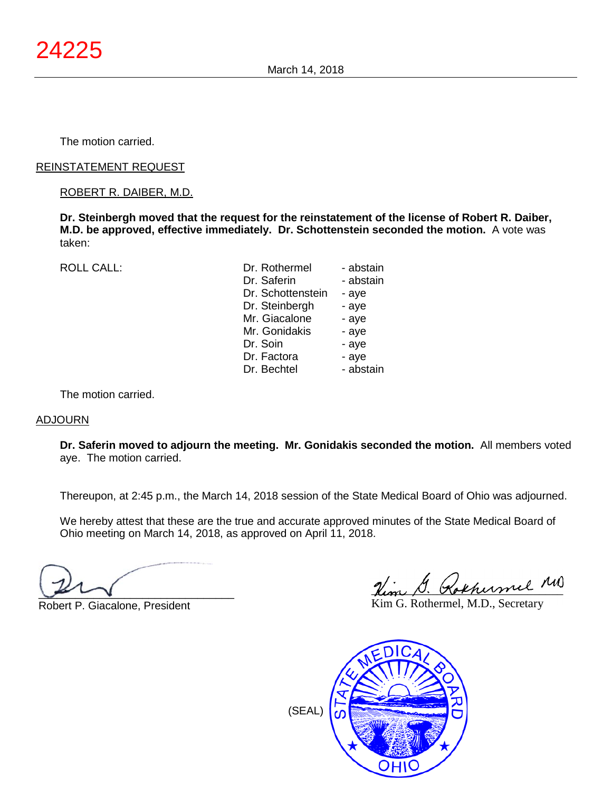The motion carried.

## REINSTATEMENT REQUEST

## ROBERT R. DAIBER, M.D.

**Dr. Steinbergh moved that the request for the reinstatement of the license of Robert R. Daiber, M.D. be approved, effective immediately. Dr. Schottenstein seconded the motion.** A vote was taken:

ROLL CALL:

| Dr. Rothermel     | - abstain |
|-------------------|-----------|
| Dr. Saferin       | - abstain |
| Dr. Schottenstein | - aye     |
| Dr. Steinbergh    | - aye     |
| Mr. Giacalone     | - aye     |
| Mr. Gonidakis     | - aye     |
| Dr. Soin          | - aye     |
| Dr. Factora       | - aye     |
| Dr. Bechtel       | - abstain |

The motion carried.

## ADJOURN

**Dr. Saferin moved to adjourn the meeting. Mr. Gonidakis seconded the motion.** All members voted aye. The motion carried.

Thereupon, at 2:45 p.m., the March 14, 2018 session of the State Medical Board of Ohio was adjourned.

We hereby attest that these are the true and accurate approved minutes of the State Medical Board of Ohio meeting on March 14, 2018, as approved on April 11, 2018.

 $\sqrt{2}$ 

Robert P. Giacalone, President

Nim G. Rokhumel MD

Kim G. Rothermel, M.D., Secretary



(SEAL)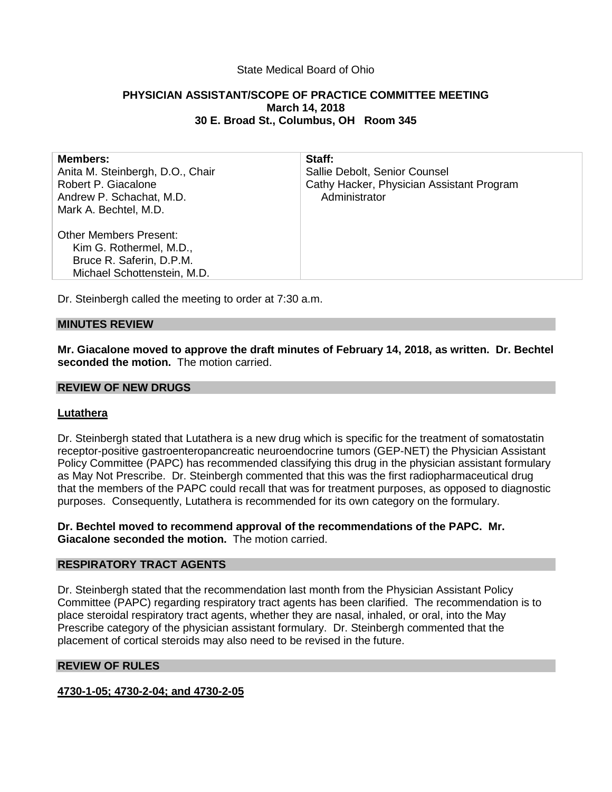# State Medical Board of Ohio

# **PHYSICIAN ASSISTANT/SCOPE OF PRACTICE COMMITTEE MEETING March 14, 2018 30 E. Broad St., Columbus, OH Room 345**

| <b>Members:</b><br>Anita M. Steinbergh, D.O., Chair<br>Robert P. Giacalone<br>Andrew P. Schachat, M.D.<br>Mark A. Bechtel, M.D. | Staff:<br>Sallie Debolt, Senior Counsel<br>Cathy Hacker, Physician Assistant Program<br>Administrator |
|---------------------------------------------------------------------------------------------------------------------------------|-------------------------------------------------------------------------------------------------------|
| <b>Other Members Present:</b><br>Kim G. Rothermel, M.D.,<br>Bruce R. Saferin, D.P.M.<br>Michael Schottenstein, M.D.             |                                                                                                       |
|                                                                                                                                 |                                                                                                       |

Dr. Steinbergh called the meeting to order at 7:30 a.m.

## **MINUTES REVIEW**

**Mr. Giacalone moved to approve the draft minutes of February 14, 2018, as written. Dr. Bechtel seconded the motion.** The motion carried.

#### **REVIEW OF NEW DRUGS**

## **Lutathera**

Dr. Steinbergh stated that Lutathera is a new drug which is specific for the treatment of somatostatin receptor-positive gastroenteropancreatic neuroendocrine tumors (GEP-NET) the Physician Assistant Policy Committee (PAPC) has recommended classifying this drug in the physician assistant formulary as May Not Prescribe. Dr. Steinbergh commented that this was the first radiopharmaceutical drug that the members of the PAPC could recall that was for treatment purposes, as opposed to diagnostic purposes. Consequently, Lutathera is recommended for its own category on the formulary.

**Dr. Bechtel moved to recommend approval of the recommendations of the PAPC. Mr. Giacalone seconded the motion.** The motion carried.

## **RESPIRATORY TRACT AGENTS**

Dr. Steinbergh stated that the recommendation last month from the Physician Assistant Policy Committee (PAPC) regarding respiratory tract agents has been clarified. The recommendation is to place steroidal respiratory tract agents, whether they are nasal, inhaled, or oral, into the May Prescribe category of the physician assistant formulary. Dr. Steinbergh commented that the placement of cortical steroids may also need to be revised in the future.

## **REVIEW OF RULES**

**4730-1-05; 4730-2-04; and 4730-2-05**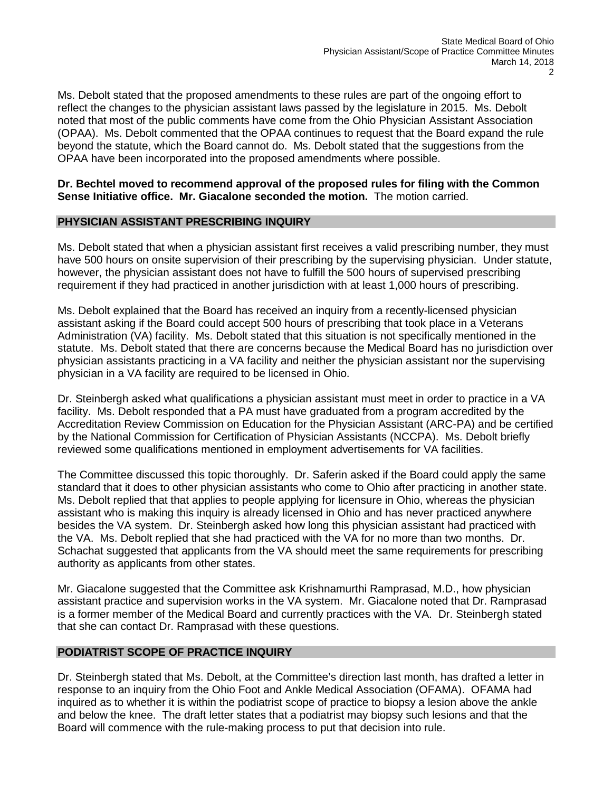Ms. Debolt stated that the proposed amendments to these rules are part of the ongoing effort to reflect the changes to the physician assistant laws passed by the legislature in 2015. Ms. Debolt noted that most of the public comments have come from the Ohio Physician Assistant Association (OPAA). Ms. Debolt commented that the OPAA continues to request that the Board expand the rule beyond the statute, which the Board cannot do. Ms. Debolt stated that the suggestions from the OPAA have been incorporated into the proposed amendments where possible.

## **Dr. Bechtel moved to recommend approval of the proposed rules for filing with the Common Sense Initiative office. Mr. Giacalone seconded the motion.** The motion carried.

## **PHYSICIAN ASSISTANT PRESCRIBING INQUIRY**

Ms. Debolt stated that when a physician assistant first receives a valid prescribing number, they must have 500 hours on onsite supervision of their prescribing by the supervising physician. Under statute, however, the physician assistant does not have to fulfill the 500 hours of supervised prescribing requirement if they had practiced in another jurisdiction with at least 1,000 hours of prescribing.

Ms. Debolt explained that the Board has received an inquiry from a recently-licensed physician assistant asking if the Board could accept 500 hours of prescribing that took place in a Veterans Administration (VA) facility. Ms. Debolt stated that this situation is not specifically mentioned in the statute. Ms. Debolt stated that there are concerns because the Medical Board has no jurisdiction over physician assistants practicing in a VA facility and neither the physician assistant nor the supervising physician in a VA facility are required to be licensed in Ohio.

Dr. Steinbergh asked what qualifications a physician assistant must meet in order to practice in a VA facility. Ms. Debolt responded that a PA must have graduated from a program accredited by the Accreditation Review Commission on Education for the Physician Assistant (ARC-PA) and be certified by the National Commission for Certification of Physician Assistants (NCCPA). Ms. Debolt briefly reviewed some qualifications mentioned in employment advertisements for VA facilities.

The Committee discussed this topic thoroughly. Dr. Saferin asked if the Board could apply the same standard that it does to other physician assistants who come to Ohio after practicing in another state. Ms. Debolt replied that that applies to people applying for licensure in Ohio, whereas the physician assistant who is making this inquiry is already licensed in Ohio and has never practiced anywhere besides the VA system. Dr. Steinbergh asked how long this physician assistant had practiced with the VA. Ms. Debolt replied that she had practiced with the VA for no more than two months. Dr. Schachat suggested that applicants from the VA should meet the same requirements for prescribing authority as applicants from other states.

Mr. Giacalone suggested that the Committee ask Krishnamurthi Ramprasad, M.D., how physician assistant practice and supervision works in the VA system. Mr. Giacalone noted that Dr. Ramprasad is a former member of the Medical Board and currently practices with the VA. Dr. Steinbergh stated that she can contact Dr. Ramprasad with these questions.

## **PODIATRIST SCOPE OF PRACTICE INQUIRY**

Dr. Steinbergh stated that Ms. Debolt, at the Committee's direction last month, has drafted a letter in response to an inquiry from the Ohio Foot and Ankle Medical Association (OFAMA). OFAMA had inquired as to whether it is within the podiatrist scope of practice to biopsy a lesion above the ankle and below the knee. The draft letter states that a podiatrist may biopsy such lesions and that the Board will commence with the rule-making process to put that decision into rule.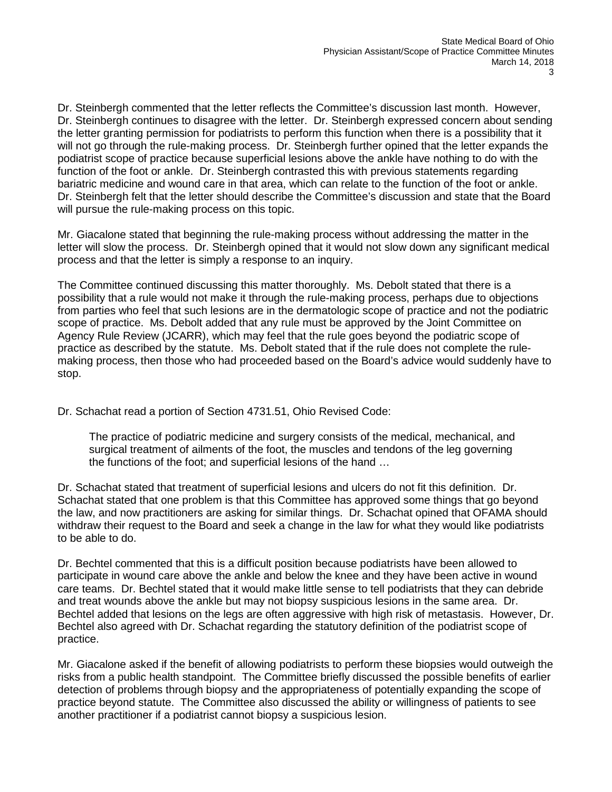Dr. Steinbergh commented that the letter reflects the Committee's discussion last month. However, Dr. Steinbergh continues to disagree with the letter. Dr. Steinbergh expressed concern about sending the letter granting permission for podiatrists to perform this function when there is a possibility that it will not go through the rule-making process. Dr. Steinbergh further opined that the letter expands the podiatrist scope of practice because superficial lesions above the ankle have nothing to do with the function of the foot or ankle. Dr. Steinbergh contrasted this with previous statements regarding bariatric medicine and wound care in that area, which can relate to the function of the foot or ankle. Dr. Steinbergh felt that the letter should describe the Committee's discussion and state that the Board will pursue the rule-making process on this topic.

Mr. Giacalone stated that beginning the rule-making process without addressing the matter in the letter will slow the process. Dr. Steinbergh opined that it would not slow down any significant medical process and that the letter is simply a response to an inquiry.

The Committee continued discussing this matter thoroughly. Ms. Debolt stated that there is a possibility that a rule would not make it through the rule-making process, perhaps due to objections from parties who feel that such lesions are in the dermatologic scope of practice and not the podiatric scope of practice. Ms. Debolt added that any rule must be approved by the Joint Committee on Agency Rule Review (JCARR), which may feel that the rule goes beyond the podiatric scope of practice as described by the statute. Ms. Debolt stated that if the rule does not complete the rulemaking process, then those who had proceeded based on the Board's advice would suddenly have to stop.

Dr. Schachat read a portion of Section 4731.51, Ohio Revised Code:

The practice of podiatric medicine and surgery consists of the medical, mechanical, and surgical treatment of ailments of the foot, the muscles and tendons of the leg governing the functions of the foot; and superficial lesions of the hand …

Dr. Schachat stated that treatment of superficial lesions and ulcers do not fit this definition. Dr. Schachat stated that one problem is that this Committee has approved some things that go beyond the law, and now practitioners are asking for similar things. Dr. Schachat opined that OFAMA should withdraw their request to the Board and seek a change in the law for what they would like podiatrists to be able to do.

Dr. Bechtel commented that this is a difficult position because podiatrists have been allowed to participate in wound care above the ankle and below the knee and they have been active in wound care teams. Dr. Bechtel stated that it would make little sense to tell podiatrists that they can debride and treat wounds above the ankle but may not biopsy suspicious lesions in the same area. Dr. Bechtel added that lesions on the legs are often aggressive with high risk of metastasis. However, Dr. Bechtel also agreed with Dr. Schachat regarding the statutory definition of the podiatrist scope of practice.

Mr. Giacalone asked if the benefit of allowing podiatrists to perform these biopsies would outweigh the risks from a public health standpoint. The Committee briefly discussed the possible benefits of earlier detection of problems through biopsy and the appropriateness of potentially expanding the scope of practice beyond statute. The Committee also discussed the ability or willingness of patients to see another practitioner if a podiatrist cannot biopsy a suspicious lesion.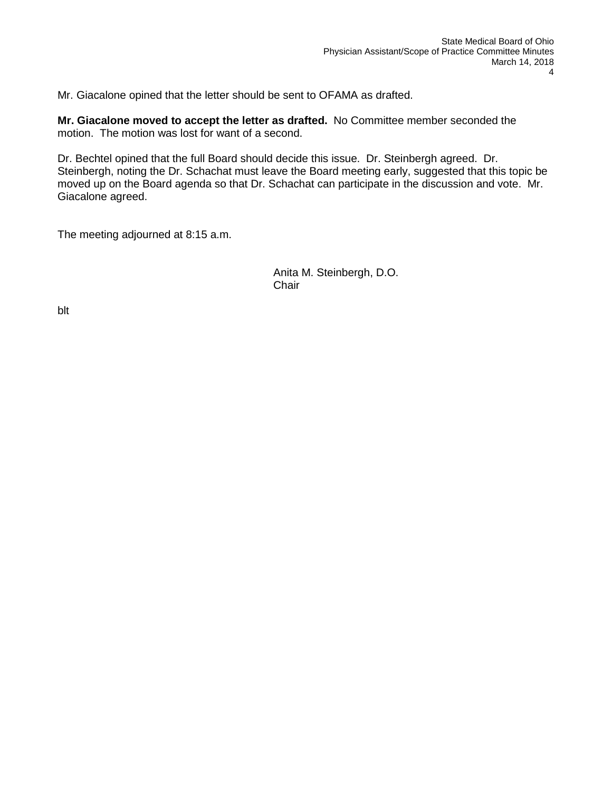Mr. Giacalone opined that the letter should be sent to OFAMA as drafted.

**Mr. Giacalone moved to accept the letter as drafted.** No Committee member seconded the motion. The motion was lost for want of a second.

Dr. Bechtel opined that the full Board should decide this issue. Dr. Steinbergh agreed. Dr. Steinbergh, noting the Dr. Schachat must leave the Board meeting early, suggested that this topic be moved up on the Board agenda so that Dr. Schachat can participate in the discussion and vote. Mr. Giacalone agreed.

The meeting adjourned at 8:15 a.m.

Anita M. Steinbergh, D.O. **Chair** 

blt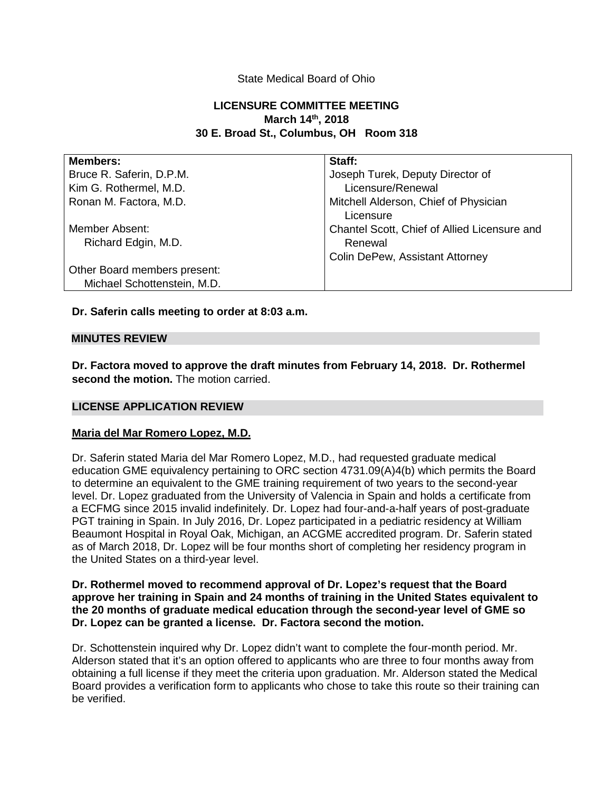# State Medical Board of Ohio

# **LICENSURE COMMITTEE MEETING March 14th, 2018 30 E. Broad St., Columbus, OH Room 318**

| <b>Members:</b>              | Staff:                                             |
|------------------------------|----------------------------------------------------|
| Bruce R. Saferin, D.P.M.     | Joseph Turek, Deputy Director of                   |
| Kim G. Rothermel, M.D.       | Licensure/Renewal                                  |
| Ronan M. Factora, M.D.       | Mitchell Alderson, Chief of Physician<br>Licensure |
| Member Absent:               | Chantel Scott, Chief of Allied Licensure and       |
| Richard Edgin, M.D.          | Renewal                                            |
|                              | <b>Colin DePew, Assistant Attorney</b>             |
| Other Board members present: |                                                    |
| Michael Schottenstein, M.D.  |                                                    |

## **Dr. Saferin calls meeting to order at 8:03 a.m.**

#### **MINUTES REVIEW**

**Dr. Factora moved to approve the draft minutes from February 14, 2018. Dr. Rothermel second the motion.** The motion carried.

## **LICENSE APPLICATION REVIEW**

## **Maria del Mar Romero Lopez, M.D.**

Dr. Saferin stated Maria del Mar Romero Lopez, M.D., had requested graduate medical education GME equivalency pertaining to ORC section 4731.09(A)4(b) which permits the Board to determine an equivalent to the GME training requirement of two years to the second-year level. Dr. Lopez graduated from the University of Valencia in Spain and holds a certificate from a ECFMG since 2015 invalid indefinitely. Dr. Lopez had four-and-a-half years of post-graduate PGT training in Spain. In July 2016, Dr. Lopez participated in a pediatric residency at William Beaumont Hospital in Royal Oak, Michigan, an ACGME accredited program. Dr. Saferin stated as of March 2018, Dr. Lopez will be four months short of completing her residency program in the United States on a third-year level.

## **Dr. Rothermel moved to recommend approval of Dr. Lopez's request that the Board approve her training in Spain and 24 months of training in the United States equivalent to the 20 months of graduate medical education through the second-year level of GME so Dr. Lopez can be granted a license. Dr. Factora second the motion.**

Dr. Schottenstein inquired why Dr. Lopez didn't want to complete the four-month period. Mr. Alderson stated that it's an option offered to applicants who are three to four months away from obtaining a full license if they meet the criteria upon graduation. Mr. Alderson stated the Medical Board provides a verification form to applicants who chose to take this route so their training can be verified.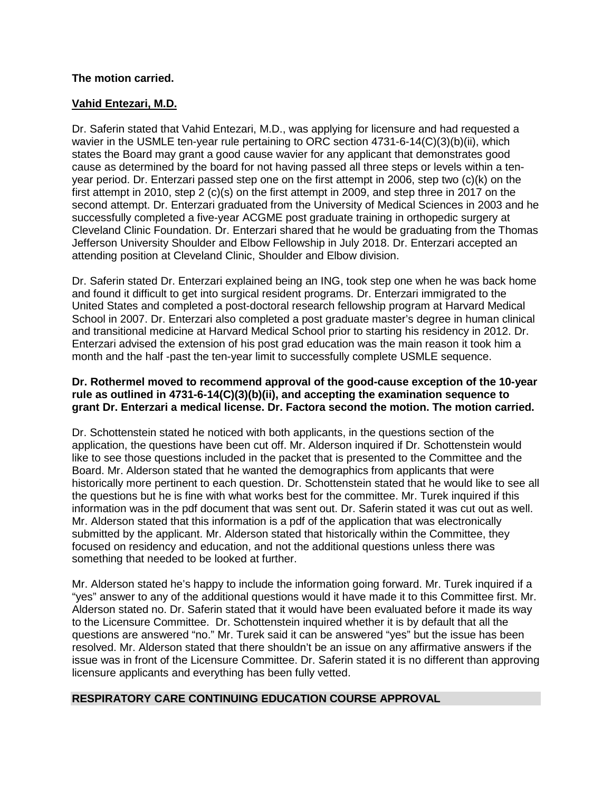# **The motion carried.**

# **Vahid Entezari, M.D.**

Dr. Saferin stated that Vahid Entezari, M.D., was applying for licensure and had requested a wavier in the USMLE ten-year rule pertaining to ORC section 4731-6-14(C)(3)(b)(ii), which states the Board may grant a good cause wavier for any applicant that demonstrates good cause as determined by the board for not having passed all three steps or levels within a tenyear period. Dr. Enterzari passed step one on the first attempt in 2006, step two (c)(k) on the first attempt in 2010, step 2 (c)(s) on the first attempt in 2009, and step three in 2017 on the second attempt. Dr. Enterzari graduated from the University of Medical Sciences in 2003 and he successfully completed a five-year ACGME post graduate training in orthopedic surgery at Cleveland Clinic Foundation. Dr. Enterzari shared that he would be graduating from the Thomas Jefferson University Shoulder and Elbow Fellowship in July 2018. Dr. Enterzari accepted an attending position at Cleveland Clinic, Shoulder and Elbow division.

Dr. Saferin stated Dr. Enterzari explained being an ING, took step one when he was back home and found it difficult to get into surgical resident programs. Dr. Enterzari immigrated to the United States and completed a post-doctoral research fellowship program at Harvard Medical School in 2007. Dr. Enterzari also completed a post graduate master's degree in human clinical and transitional medicine at Harvard Medical School prior to starting his residency in 2012. Dr. Enterzari advised the extension of his post grad education was the main reason it took him a month and the half -past the ten-year limit to successfully complete USMLE sequence.

## **Dr. Rothermel moved to recommend approval of the good-cause exception of the 10-year rule as outlined in 4731-6-14(C)(3)(b)(ii), and accepting the examination sequence to grant Dr. Enterzari a medical license. Dr. Factora second the motion. The motion carried.**

Dr. Schottenstein stated he noticed with both applicants, in the questions section of the application, the questions have been cut off. Mr. Alderson inquired if Dr. Schottenstein would like to see those questions included in the packet that is presented to the Committee and the Board. Mr. Alderson stated that he wanted the demographics from applicants that were historically more pertinent to each question. Dr. Schottenstein stated that he would like to see all the questions but he is fine with what works best for the committee. Mr. Turek inquired if this information was in the pdf document that was sent out. Dr. Saferin stated it was cut out as well. Mr. Alderson stated that this information is a pdf of the application that was electronically submitted by the applicant. Mr. Alderson stated that historically within the Committee, they focused on residency and education, and not the additional questions unless there was something that needed to be looked at further.

Mr. Alderson stated he's happy to include the information going forward. Mr. Turek inquired if a "yes" answer to any of the additional questions would it have made it to this Committee first. Mr. Alderson stated no. Dr. Saferin stated that it would have been evaluated before it made its way to the Licensure Committee. Dr. Schottenstein inquired whether it is by default that all the questions are answered "no." Mr. Turek said it can be answered "yes" but the issue has been resolved. Mr. Alderson stated that there shouldn't be an issue on any affirmative answers if the issue was in front of the Licensure Committee. Dr. Saferin stated it is no different than approving licensure applicants and everything has been fully vetted.

# **RESPIRATORY CARE CONTINUING EDUCATION COURSE APPROVAL**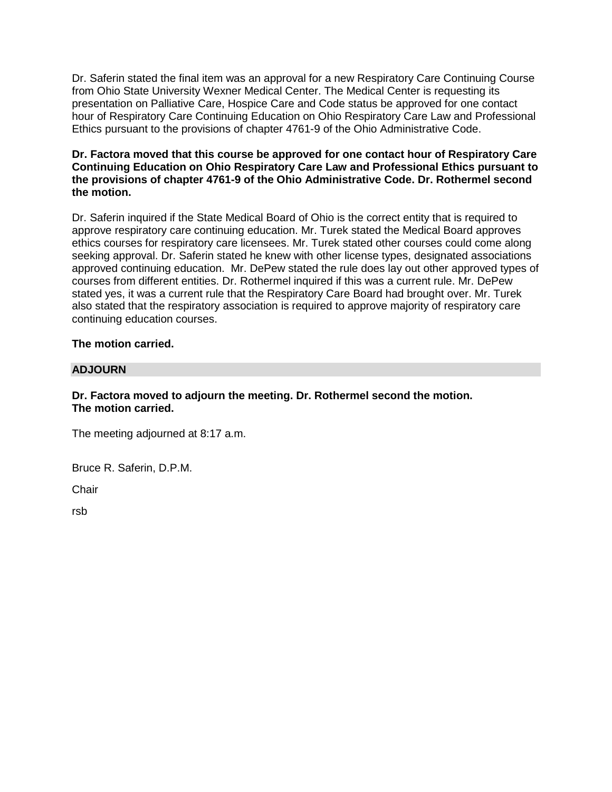Dr. Saferin stated the final item was an approval for a new Respiratory Care Continuing Course from Ohio State University Wexner Medical Center. The Medical Center is requesting its presentation on Palliative Care, Hospice Care and Code status be approved for one contact hour of Respiratory Care Continuing Education on Ohio Respiratory Care Law and Professional Ethics pursuant to the provisions of chapter 4761-9 of the Ohio Administrative Code.

# **Dr. Factora moved that this course be approved for one contact hour of Respiratory Care Continuing Education on Ohio Respiratory Care Law and Professional Ethics pursuant to the provisions of chapter 4761-9 of the Ohio Administrative Code. Dr. Rothermel second the motion.**

Dr. Saferin inquired if the State Medical Board of Ohio is the correct entity that is required to approve respiratory care continuing education. Mr. Turek stated the Medical Board approves ethics courses for respiratory care licensees. Mr. Turek stated other courses could come along seeking approval. Dr. Saferin stated he knew with other license types, designated associations approved continuing education. Mr. DePew stated the rule does lay out other approved types of courses from different entities. Dr. Rothermel inquired if this was a current rule. Mr. DePew stated yes, it was a current rule that the Respiratory Care Board had brought over. Mr. Turek also stated that the respiratory association is required to approve majority of respiratory care continuing education courses.

# **The motion carried.**

## **ADJOURN**

# **Dr. Factora moved to adjourn the meeting. Dr. Rothermel second the motion. The motion carried.**

The meeting adjourned at 8:17 a.m.

Bruce R. Saferin, D.P.M.

**Chair** 

rsb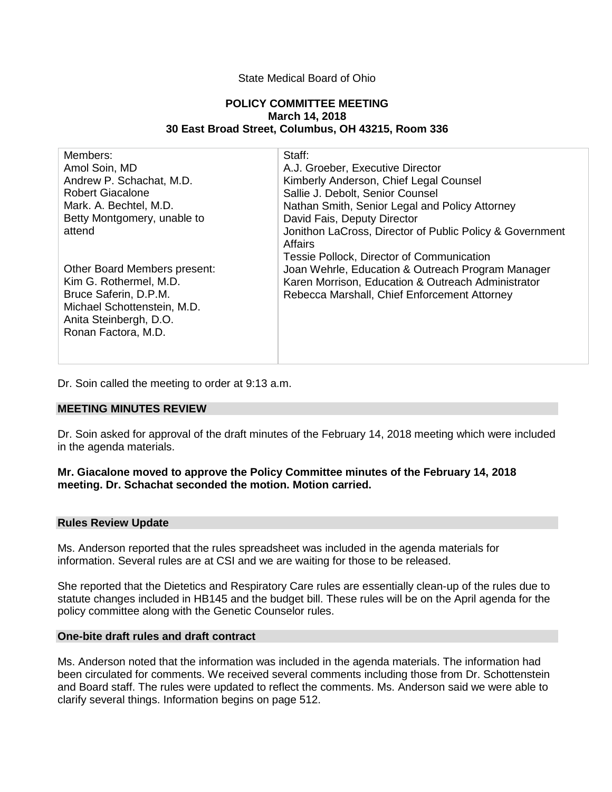## State Medical Board of Ohio

#### **POLICY COMMITTEE MEETING March 14, 2018 30 East Broad Street, Columbus, OH 43215, Room 336**

| Members:                     | Staff:                                                   |
|------------------------------|----------------------------------------------------------|
| Amol Soin, MD                | A.J. Groeber, Executive Director                         |
| Andrew P. Schachat, M.D.     | Kimberly Anderson, Chief Legal Counsel                   |
| <b>Robert Giacalone</b>      | Sallie J. Debolt, Senior Counsel                         |
| Mark. A. Bechtel, M.D.       | Nathan Smith, Senior Legal and Policy Attorney           |
| Betty Montgomery, unable to  | David Fais, Deputy Director                              |
| attend                       | Jonithon LaCross, Director of Public Policy & Government |
|                              | <b>Affairs</b>                                           |
|                              | Tessie Pollock, Director of Communication                |
| Other Board Members present: | Joan Wehrle, Education & Outreach Program Manager        |
| Kim G. Rothermel, M.D.       | Karen Morrison, Education & Outreach Administrator       |
| Bruce Saferin, D.P.M.        | Rebecca Marshall, Chief Enforcement Attorney             |
| Michael Schottenstein, M.D.  |                                                          |
| Anita Steinbergh, D.O.       |                                                          |
| Ronan Factora, M.D.          |                                                          |
|                              |                                                          |
|                              |                                                          |

Dr. Soin called the meeting to order at 9:13 a.m.

# **MEETING MINUTES REVIEW**

Dr. Soin asked for approval of the draft minutes of the February 14, 2018 meeting which were included in the agenda materials.

## **Mr. Giacalone moved to approve the Policy Committee minutes of the February 14, 2018 meeting. Dr. Schachat seconded the motion. Motion carried.**

#### **Rules Review Update**

Ms. Anderson reported that the rules spreadsheet was included in the agenda materials for information. Several rules are at CSI and we are waiting for those to be released.

She reported that the Dietetics and Respiratory Care rules are essentially clean-up of the rules due to statute changes included in HB145 and the budget bill. These rules will be on the April agenda for the policy committee along with the Genetic Counselor rules.

#### **One-bite draft rules and draft contract**

Ms. Anderson noted that the information was included in the agenda materials. The information had been circulated for comments. We received several comments including those from Dr. Schottenstein and Board staff. The rules were updated to reflect the comments. Ms. Anderson said we were able to clarify several things. Information begins on page 512.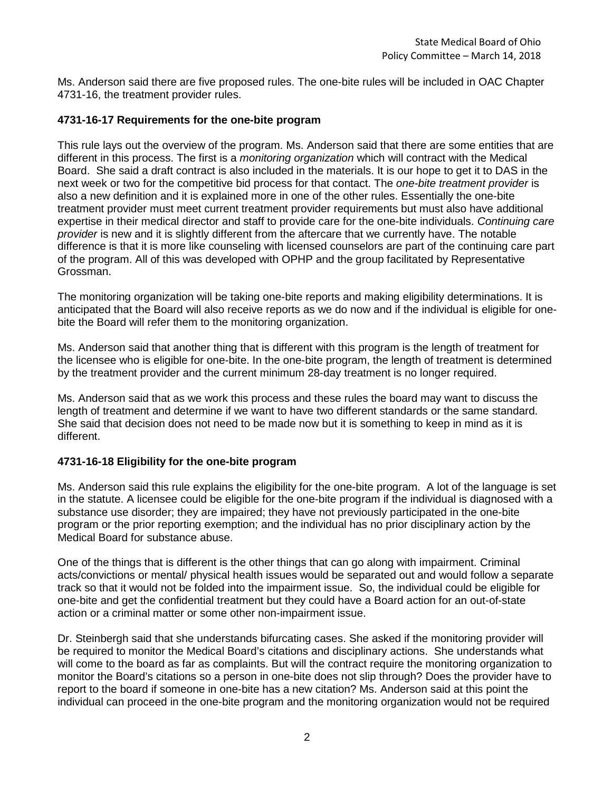Ms. Anderson said there are five proposed rules. The one-bite rules will be included in OAC Chapter 4731-16, the treatment provider rules.

## **4731-16-17 Requirements for the one-bite program**

This rule lays out the overview of the program. Ms. Anderson said that there are some entities that are different in this process. The first is a *monitoring organization* which will contract with the Medical Board. She said a draft contract is also included in the materials. It is our hope to get it to DAS in the next week or two for the competitive bid process for that contact. The *one-bite treatment provider* is also a new definition and it is explained more in one of the other rules. Essentially the one-bite treatment provider must meet current treatment provider requirements but must also have additional expertise in their medical director and staff to provide care for the one-bite individuals. *Continuing care provider* is new and it is slightly different from the aftercare that we currently have. The notable difference is that it is more like counseling with licensed counselors are part of the continuing care part of the program. All of this was developed with OPHP and the group facilitated by Representative Grossman.

The monitoring organization will be taking one-bite reports and making eligibility determinations. It is anticipated that the Board will also receive reports as we do now and if the individual is eligible for onebite the Board will refer them to the monitoring organization.

Ms. Anderson said that another thing that is different with this program is the length of treatment for the licensee who is eligible for one-bite. In the one-bite program, the length of treatment is determined by the treatment provider and the current minimum 28-day treatment is no longer required.

Ms. Anderson said that as we work this process and these rules the board may want to discuss the length of treatment and determine if we want to have two different standards or the same standard. She said that decision does not need to be made now but it is something to keep in mind as it is different.

# **4731-16-18 Eligibility for the one-bite program**

Ms. Anderson said this rule explains the eligibility for the one-bite program. A lot of the language is set in the statute. A licensee could be eligible for the one-bite program if the individual is diagnosed with a substance use disorder; they are impaired; they have not previously participated in the one-bite program or the prior reporting exemption; and the individual has no prior disciplinary action by the Medical Board for substance abuse.

One of the things that is different is the other things that can go along with impairment. Criminal acts/convictions or mental/ physical health issues would be separated out and would follow a separate track so that it would not be folded into the impairment issue. So, the individual could be eligible for one-bite and get the confidential treatment but they could have a Board action for an out-of-state action or a criminal matter or some other non-impairment issue.

Dr. Steinbergh said that she understands bifurcating cases. She asked if the monitoring provider will be required to monitor the Medical Board's citations and disciplinary actions. She understands what will come to the board as far as complaints. But will the contract require the monitoring organization to monitor the Board's citations so a person in one-bite does not slip through? Does the provider have to report to the board if someone in one-bite has a new citation? Ms. Anderson said at this point the individual can proceed in the one-bite program and the monitoring organization would not be required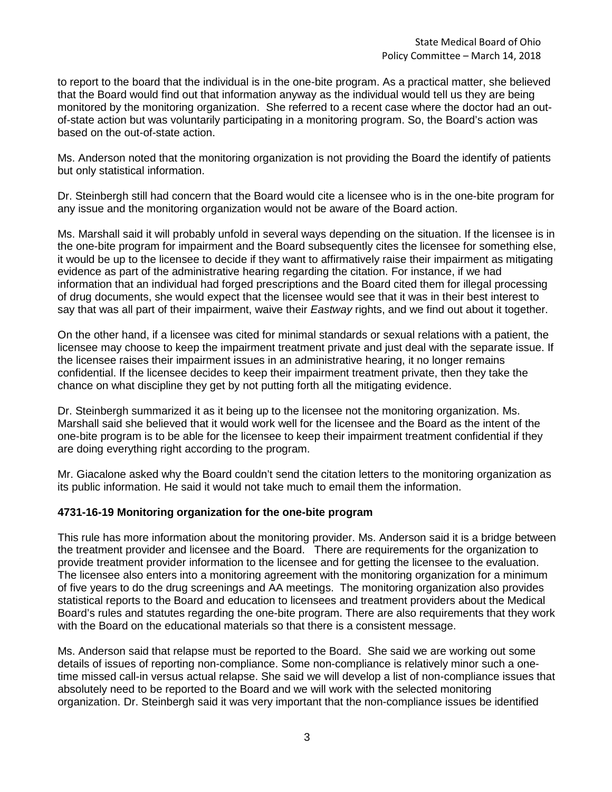to report to the board that the individual is in the one-bite program. As a practical matter, she believed that the Board would find out that information anyway as the individual would tell us they are being monitored by the monitoring organization. She referred to a recent case where the doctor had an outof-state action but was voluntarily participating in a monitoring program. So, the Board's action was based on the out-of-state action.

Ms. Anderson noted that the monitoring organization is not providing the Board the identify of patients but only statistical information.

Dr. Steinbergh still had concern that the Board would cite a licensee who is in the one-bite program for any issue and the monitoring organization would not be aware of the Board action.

Ms. Marshall said it will probably unfold in several ways depending on the situation. If the licensee is in the one-bite program for impairment and the Board subsequently cites the licensee for something else, it would be up to the licensee to decide if they want to affirmatively raise their impairment as mitigating evidence as part of the administrative hearing regarding the citation. For instance, if we had information that an individual had forged prescriptions and the Board cited them for illegal processing of drug documents, she would expect that the licensee would see that it was in their best interest to say that was all part of their impairment, waive their *Eastway* rights, and we find out about it together.

On the other hand, if a licensee was cited for minimal standards or sexual relations with a patient, the licensee may choose to keep the impairment treatment private and just deal with the separate issue. If the licensee raises their impairment issues in an administrative hearing, it no longer remains confidential. If the licensee decides to keep their impairment treatment private, then they take the chance on what discipline they get by not putting forth all the mitigating evidence.

Dr. Steinbergh summarized it as it being up to the licensee not the monitoring organization. Ms. Marshall said she believed that it would work well for the licensee and the Board as the intent of the one-bite program is to be able for the licensee to keep their impairment treatment confidential if they are doing everything right according to the program.

Mr. Giacalone asked why the Board couldn't send the citation letters to the monitoring organization as its public information. He said it would not take much to email them the information.

# **4731-16-19 Monitoring organization for the one-bite program**

This rule has more information about the monitoring provider. Ms. Anderson said it is a bridge between the treatment provider and licensee and the Board. There are requirements for the organization to provide treatment provider information to the licensee and for getting the licensee to the evaluation. The licensee also enters into a monitoring agreement with the monitoring organization for a minimum of five years to do the drug screenings and AA meetings. The monitoring organization also provides statistical reports to the Board and education to licensees and treatment providers about the Medical Board's rules and statutes regarding the one-bite program. There are also requirements that they work with the Board on the educational materials so that there is a consistent message.

Ms. Anderson said that relapse must be reported to the Board. She said we are working out some details of issues of reporting non-compliance. Some non-compliance is relatively minor such a onetime missed call-in versus actual relapse. She said we will develop a list of non-compliance issues that absolutely need to be reported to the Board and we will work with the selected monitoring organization. Dr. Steinbergh said it was very important that the non-compliance issues be identified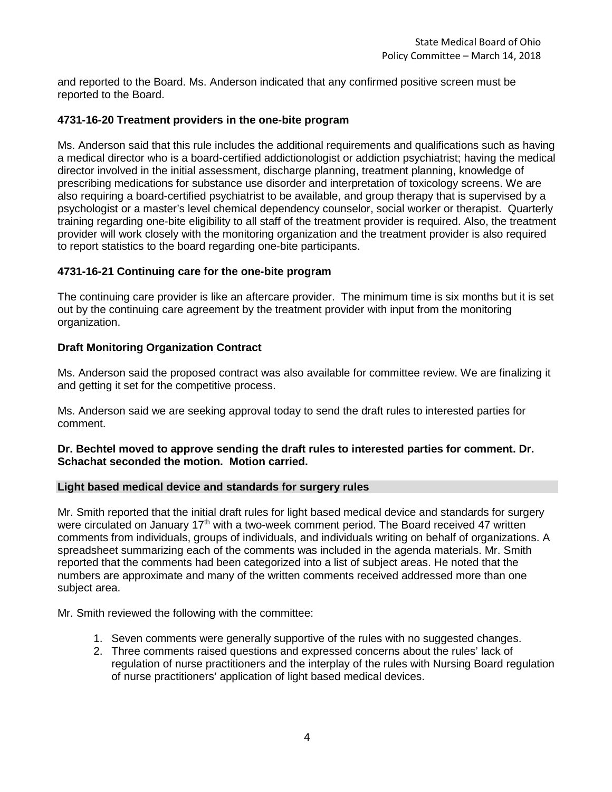and reported to the Board. Ms. Anderson indicated that any confirmed positive screen must be reported to the Board.

## **4731-16-20 Treatment providers in the one-bite program**

Ms. Anderson said that this rule includes the additional requirements and qualifications such as having a medical director who is a board-certified addictionologist or addiction psychiatrist; having the medical director involved in the initial assessment, discharge planning, treatment planning, knowledge of prescribing medications for substance use disorder and interpretation of toxicology screens. We are also requiring a board-certified psychiatrist to be available, and group therapy that is supervised by a psychologist or a master's level chemical dependency counselor, social worker or therapist. Quarterly training regarding one-bite eligibility to all staff of the treatment provider is required. Also, the treatment provider will work closely with the monitoring organization and the treatment provider is also required to report statistics to the board regarding one-bite participants.

## **4731-16-21 Continuing care for the one-bite program**

The continuing care provider is like an aftercare provider. The minimum time is six months but it is set out by the continuing care agreement by the treatment provider with input from the monitoring organization.

## **Draft Monitoring Organization Contract**

Ms. Anderson said the proposed contract was also available for committee review. We are finalizing it and getting it set for the competitive process.

Ms. Anderson said we are seeking approval today to send the draft rules to interested parties for comment.

## **Dr. Bechtel moved to approve sending the draft rules to interested parties for comment. Dr. Schachat seconded the motion. Motion carried.**

## **Light based medical device and standards for surgery rules**

Mr. Smith reported that the initial draft rules for light based medical device and standards for surgery were circulated on January 17<sup>th</sup> with a two-week comment period. The Board received 47 written comments from individuals, groups of individuals, and individuals writing on behalf of organizations. A spreadsheet summarizing each of the comments was included in the agenda materials. Mr. Smith reported that the comments had been categorized into a list of subject areas. He noted that the numbers are approximate and many of the written comments received addressed more than one subject area.

Mr. Smith reviewed the following with the committee:

- 1. Seven comments were generally supportive of the rules with no suggested changes.
- 2. Three comments raised questions and expressed concerns about the rules' lack of regulation of nurse practitioners and the interplay of the rules with Nursing Board regulation of nurse practitioners' application of light based medical devices.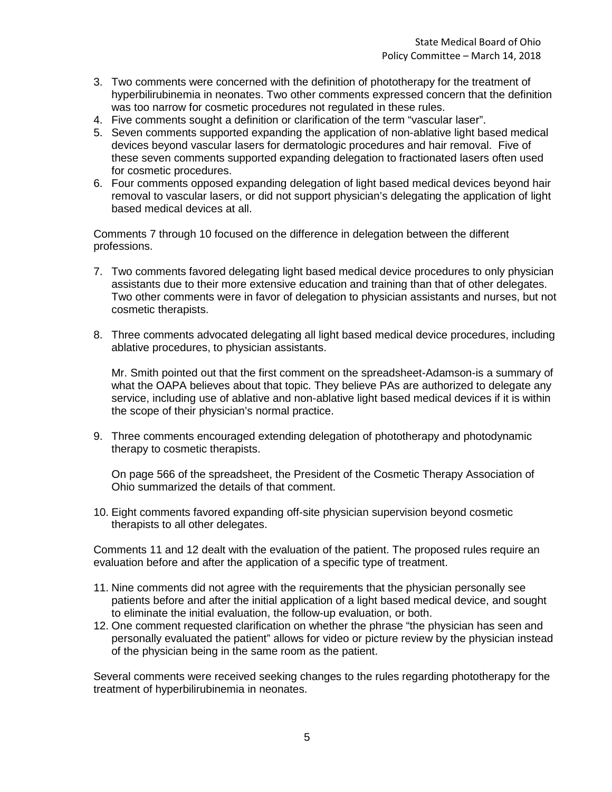- 3. Two comments were concerned with the definition of phototherapy for the treatment of hyperbilirubinemia in neonates. Two other comments expressed concern that the definition was too narrow for cosmetic procedures not regulated in these rules.
- 4. Five comments sought a definition or clarification of the term "vascular laser".
- 5. Seven comments supported expanding the application of non-ablative light based medical devices beyond vascular lasers for dermatologic procedures and hair removal. Five of these seven comments supported expanding delegation to fractionated lasers often used for cosmetic procedures.
- 6. Four comments opposed expanding delegation of light based medical devices beyond hair removal to vascular lasers, or did not support physician's delegating the application of light based medical devices at all.

Comments 7 through 10 focused on the difference in delegation between the different professions.

- 7. Two comments favored delegating light based medical device procedures to only physician assistants due to their more extensive education and training than that of other delegates. Two other comments were in favor of delegation to physician assistants and nurses, but not cosmetic therapists.
- 8. Three comments advocated delegating all light based medical device procedures, including ablative procedures, to physician assistants.

Mr. Smith pointed out that the first comment on the spreadsheet-Adamson-is a summary of what the OAPA believes about that topic. They believe PAs are authorized to delegate any service, including use of ablative and non-ablative light based medical devices if it is within the scope of their physician's normal practice.

9. Three comments encouraged extending delegation of phototherapy and photodynamic therapy to cosmetic therapists.

On page 566 of the spreadsheet, the President of the Cosmetic Therapy Association of Ohio summarized the details of that comment.

10. Eight comments favored expanding off-site physician supervision beyond cosmetic therapists to all other delegates.

Comments 11 and 12 dealt with the evaluation of the patient. The proposed rules require an evaluation before and after the application of a specific type of treatment.

- 11. Nine comments did not agree with the requirements that the physician personally see patients before and after the initial application of a light based medical device, and sought to eliminate the initial evaluation, the follow-up evaluation, or both.
- 12. One comment requested clarification on whether the phrase "the physician has seen and personally evaluated the patient" allows for video or picture review by the physician instead of the physician being in the same room as the patient.

Several comments were received seeking changes to the rules regarding phototherapy for the treatment of hyperbilirubinemia in neonates.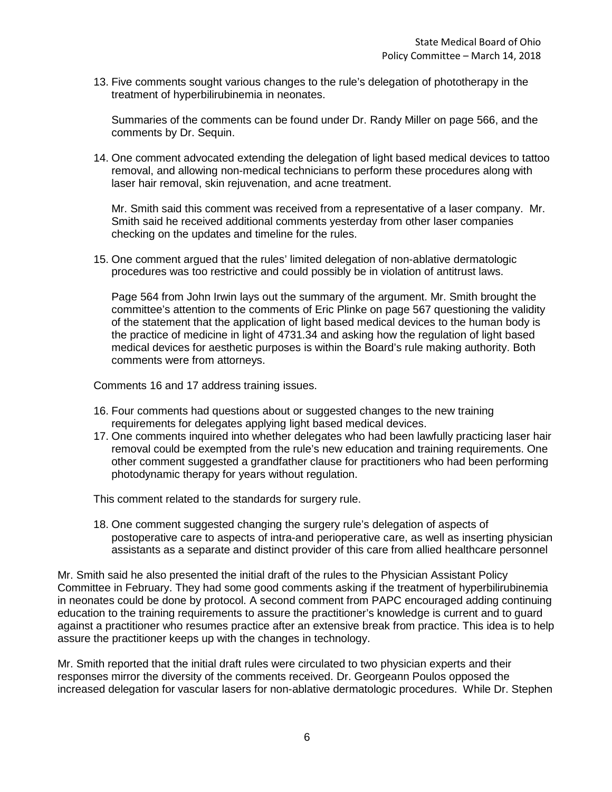13. Five comments sought various changes to the rule's delegation of phototherapy in the treatment of hyperbilirubinemia in neonates.

Summaries of the comments can be found under Dr. Randy Miller on page 566, and the comments by Dr. Sequin.

14. One comment advocated extending the delegation of light based medical devices to tattoo removal, and allowing non-medical technicians to perform these procedures along with laser hair removal, skin rejuvenation, and acne treatment.

Mr. Smith said this comment was received from a representative of a laser company. Mr. Smith said he received additional comments yesterday from other laser companies checking on the updates and timeline for the rules.

15. One comment argued that the rules' limited delegation of non-ablative dermatologic procedures was too restrictive and could possibly be in violation of antitrust laws.

Page 564 from John Irwin lays out the summary of the argument. Mr. Smith brought the committee's attention to the comments of Eric Plinke on page 567 questioning the validity of the statement that the application of light based medical devices to the human body is the practice of medicine in light of 4731.34 and asking how the regulation of light based medical devices for aesthetic purposes is within the Board's rule making authority. Both comments were from attorneys.

Comments 16 and 17 address training issues.

- 16. Four comments had questions about or suggested changes to the new training requirements for delegates applying light based medical devices.
- 17. One comments inquired into whether delegates who had been lawfully practicing laser hair removal could be exempted from the rule's new education and training requirements. One other comment suggested a grandfather clause for practitioners who had been performing photodynamic therapy for years without regulation.

This comment related to the standards for surgery rule.

18. One comment suggested changing the surgery rule's delegation of aspects of postoperative care to aspects of intra-and perioperative care, as well as inserting physician assistants as a separate and distinct provider of this care from allied healthcare personnel

Mr. Smith said he also presented the initial draft of the rules to the Physician Assistant Policy Committee in February. They had some good comments asking if the treatment of hyperbilirubinemia in neonates could be done by protocol. A second comment from PAPC encouraged adding continuing education to the training requirements to assure the practitioner's knowledge is current and to guard against a practitioner who resumes practice after an extensive break from practice. This idea is to help assure the practitioner keeps up with the changes in technology.

Mr. Smith reported that the initial draft rules were circulated to two physician experts and their responses mirror the diversity of the comments received. Dr. Georgeann Poulos opposed the increased delegation for vascular lasers for non-ablative dermatologic procedures. While Dr. Stephen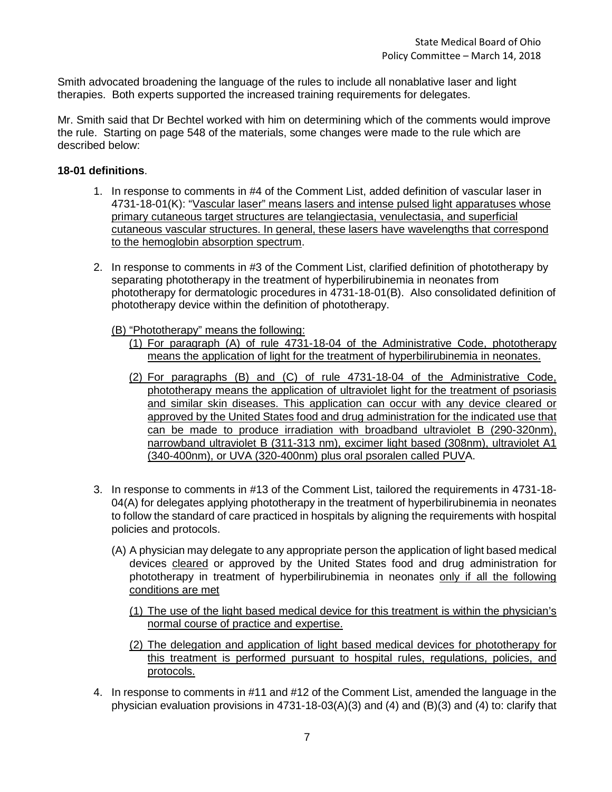Smith advocated broadening the language of the rules to include all nonablative laser and light therapies. Both experts supported the increased training requirements for delegates.

Mr. Smith said that Dr Bechtel worked with him on determining which of the comments would improve the rule. Starting on page 548 of the materials, some changes were made to the rule which are described below:

# **18-01 definitions**.

- 1. In response to comments in #4 of the Comment List, added definition of vascular laser in 4731-18-01(K): "Vascular laser" means lasers and intense pulsed light apparatuses whose primary cutaneous target structures are telangiectasia, venulectasia, and superficial cutaneous vascular structures. In general, these lasers have wavelengths that correspond to the hemoglobin absorption spectrum.
- 2. In response to comments in #3 of the Comment List, clarified definition of phototherapy by separating phototherapy in the treatment of hyperbilirubinemia in neonates from phototherapy for dermatologic procedures in 4731-18-01(B). Also consolidated definition of phototherapy device within the definition of phototherapy.

(B) "Phototherapy" means the following:

- (1) For paragraph (A) of rule 4731-18-04 of the Administrative Code, phototherapy means the application of light for the treatment of hyperbilirubinemia in neonates.
- (2) For paragraphs (B) and (C) of rule 4731-18-04 of the Administrative Code, phototherapy means the application of ultraviolet light for the treatment of psoriasis and similar skin diseases. This application can occur with any device cleared or approved by the United States food and drug administration for the indicated use that can be made to produce irradiation with broadband ultraviolet B (290-320nm), narrowband ultraviolet B (311-313 nm), excimer light based (308nm), ultraviolet A1 (340-400nm), or UVA (320-400nm) plus oral psoralen called PUVA.
- 3. In response to comments in #13 of the Comment List, tailored the requirements in 4731-18- 04(A) for delegates applying phototherapy in the treatment of hyperbilirubinemia in neonates to follow the standard of care practiced in hospitals by aligning the requirements with hospital policies and protocols.
	- (A) A physician may delegate to any appropriate person the application of light based medical devices cleared or approved by the United States food and drug administration for phototherapy in treatment of hyperbilirubinemia in neonates only if all the following conditions are met
		- (1) The use of the light based medical device for this treatment is within the physician's normal course of practice and expertise.
		- (2) The delegation and application of light based medical devices for phototherapy for this treatment is performed pursuant to hospital rules, regulations, policies, and protocols.
- 4. In response to comments in #11 and #12 of the Comment List, amended the language in the physician evaluation provisions in 4731-18-03(A)(3) and (4) and (B)(3) and (4) to: clarify that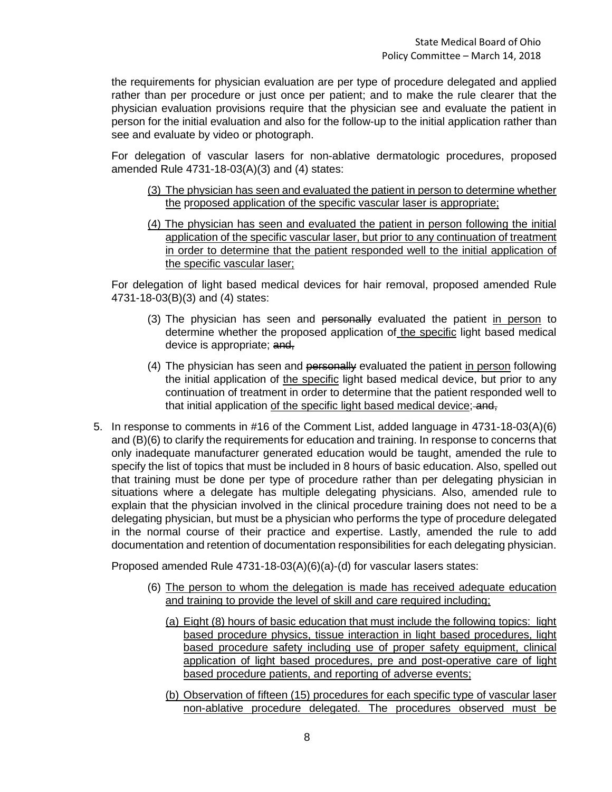the requirements for physician evaluation are per type of procedure delegated and applied rather than per procedure or just once per patient; and to make the rule clearer that the physician evaluation provisions require that the physician see and evaluate the patient in person for the initial evaluation and also for the follow-up to the initial application rather than see and evaluate by video or photograph.

For delegation of vascular lasers for non-ablative dermatologic procedures, proposed amended Rule 4731-18-03(A)(3) and (4) states:

- (3) The physician has seen and evaluated the patient in person to determine whether the proposed application of the specific vascular laser is appropriate;
- (4) The physician has seen and evaluated the patient in person following the initial application of the specific vascular laser, but prior to any continuation of treatment in order to determine that the patient responded well to the initial application of the specific vascular laser;

For delegation of light based medical devices for hair removal, proposed amended Rule 4731-18-03(B)(3) and (4) states:

- (3) The physician has seen and personally evaluated the patient in person to determine whether the proposed application of the specific light based medical device is appropriate; and,
- (4) The physician has seen and personally evaluated the patient in person following the initial application of the specific light based medical device, but prior to any continuation of treatment in order to determine that the patient responded well to that initial application of the specific light based medical device; and,
- 5. In response to comments in #16 of the Comment List, added language in 4731-18-03(A)(6) and (B)(6) to clarify the requirements for education and training. In response to concerns that only inadequate manufacturer generated education would be taught, amended the rule to specify the list of topics that must be included in 8 hours of basic education. Also, spelled out that training must be done per type of procedure rather than per delegating physician in situations where a delegate has multiple delegating physicians. Also, amended rule to explain that the physician involved in the clinical procedure training does not need to be a delegating physician, but must be a physician who performs the type of procedure delegated in the normal course of their practice and expertise. Lastly, amended the rule to add documentation and retention of documentation responsibilities for each delegating physician.

Proposed amended Rule 4731-18-03(A)(6)(a)-(d) for vascular lasers states:

- (6) The person to whom the delegation is made has received adequate education and training to provide the level of skill and care required including;
	- (a) Eight (8) hours of basic education that must include the following topics: light based procedure physics, tissue interaction in light based procedures, light based procedure safety including use of proper safety equipment, clinical application of light based procedures, pre and post-operative care of light based procedure patients, and reporting of adverse events;
	- (b) Observation of fifteen (15) procedures for each specific type of vascular laser non-ablative procedure delegated. The procedures observed must be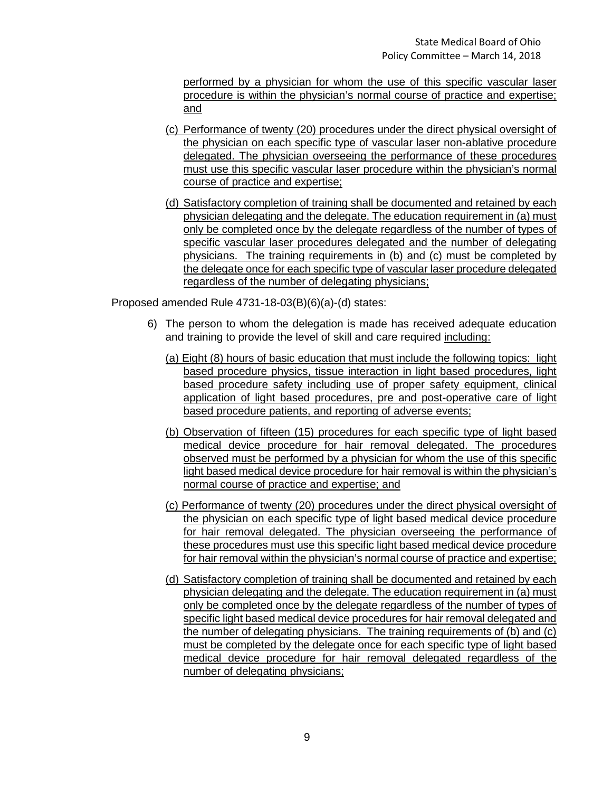performed by a physician for whom the use of this specific vascular laser procedure is within the physician's normal course of practice and expertise; and

- (c) Performance of twenty (20) procedures under the direct physical oversight of the physician on each specific type of vascular laser non-ablative procedure delegated. The physician overseeing the performance of these procedures must use this specific vascular laser procedure within the physician's normal course of practice and expertise;
- (d) Satisfactory completion of training shall be documented and retained by each physician delegating and the delegate. The education requirement in (a) must only be completed once by the delegate regardless of the number of types of specific vascular laser procedures delegated and the number of delegating physicians. The training requirements in (b) and (c) must be completed by the delegate once for each specific type of vascular laser procedure delegated regardless of the number of delegating physicians;

Proposed amended Rule 4731-18-03(B)(6)(a)-(d) states:

- 6) The person to whom the delegation is made has received adequate education and training to provide the level of skill and care required including:
	- (a) Eight (8) hours of basic education that must include the following topics: light based procedure physics, tissue interaction in light based procedures, light based procedure safety including use of proper safety equipment, clinical application of light based procedures, pre and post-operative care of light based procedure patients, and reporting of adverse events;
	- (b) Observation of fifteen (15) procedures for each specific type of light based medical device procedure for hair removal delegated. The procedures observed must be performed by a physician for whom the use of this specific light based medical device procedure for hair removal is within the physician's normal course of practice and expertise; and
	- (c) Performance of twenty (20) procedures under the direct physical oversight of the physician on each specific type of light based medical device procedure for hair removal delegated. The physician overseeing the performance of these procedures must use this specific light based medical device procedure for hair removal within the physician's normal course of practice and expertise;
	- (d) Satisfactory completion of training shall be documented and retained by each physician delegating and the delegate. The education requirement in (a) must only be completed once by the delegate regardless of the number of types of specific light based medical device procedures for hair removal delegated and the number of delegating physicians. The training requirements of (b) and (c) must be completed by the delegate once for each specific type of light based medical device procedure for hair removal delegated regardless of the number of delegating physicians;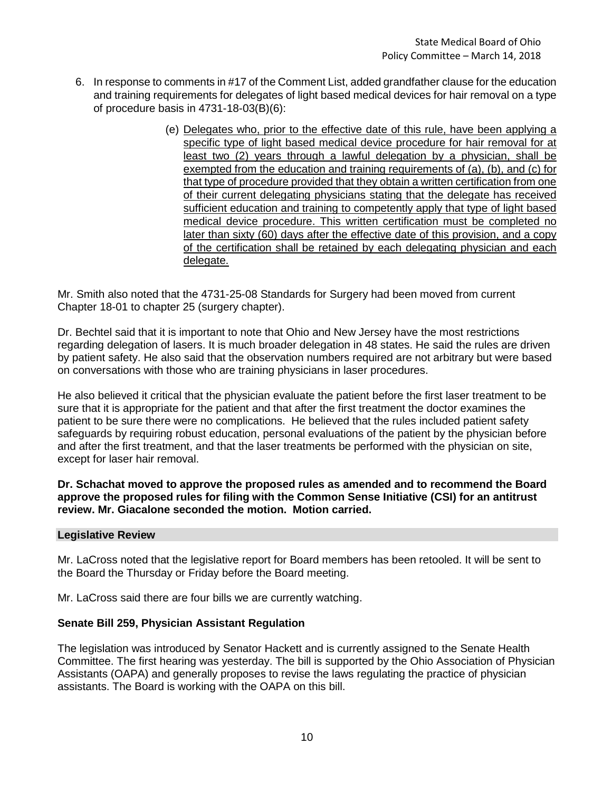- 6. In response to comments in #17 of the Comment List, added grandfather clause for the education and training requirements for delegates of light based medical devices for hair removal on a type of procedure basis in 4731-18-03(B)(6):
	- (e) Delegates who, prior to the effective date of this rule, have been applying a specific type of light based medical device procedure for hair removal for at least two (2) years through a lawful delegation by a physician, shall be exempted from the education and training requirements of (a), (b), and (c) for that type of procedure provided that they obtain a written certification from one of their current delegating physicians stating that the delegate has received sufficient education and training to competently apply that type of light based medical device procedure. This written certification must be completed no later than sixty (60) days after the effective date of this provision, and a copy of the certification shall be retained by each delegating physician and each delegate.

Mr. Smith also noted that the 4731-25-08 Standards for Surgery had been moved from current Chapter 18-01 to chapter 25 (surgery chapter).

Dr. Bechtel said that it is important to note that Ohio and New Jersey have the most restrictions regarding delegation of lasers. It is much broader delegation in 48 states. He said the rules are driven by patient safety. He also said that the observation numbers required are not arbitrary but were based on conversations with those who are training physicians in laser procedures.

He also believed it critical that the physician evaluate the patient before the first laser treatment to be sure that it is appropriate for the patient and that after the first treatment the doctor examines the patient to be sure there were no complications. He believed that the rules included patient safety safeguards by requiring robust education, personal evaluations of the patient by the physician before and after the first treatment, and that the laser treatments be performed with the physician on site, except for laser hair removal.

**Dr. Schachat moved to approve the proposed rules as amended and to recommend the Board approve the proposed rules for filing with the Common Sense Initiative (CSI) for an antitrust review. Mr. Giacalone seconded the motion. Motion carried.** 

## **Legislative Review**

Mr. LaCross noted that the legislative report for Board members has been retooled. It will be sent to the Board the Thursday or Friday before the Board meeting.

Mr. LaCross said there are four bills we are currently watching.

## **Senate Bill 259, Physician Assistant Regulation**

The legislation was introduced by Senator Hackett and is currently assigned to the Senate Health Committee. The first hearing was yesterday. The bill is supported by the Ohio Association of Physician Assistants (OAPA) and generally proposes to revise the laws regulating the practice of physician assistants. The Board is working with the OAPA on this bill.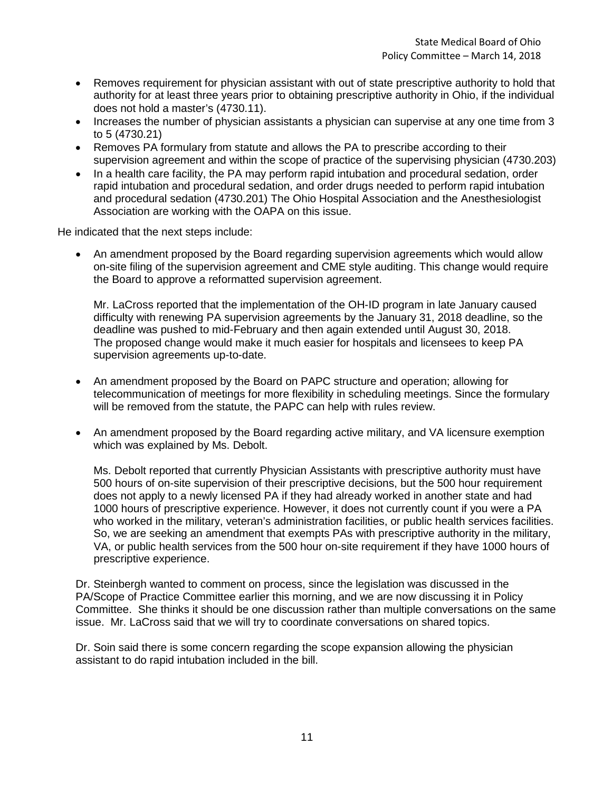- Removes requirement for physician assistant with out of state prescriptive authority to hold that authority for at least three years prior to obtaining prescriptive authority in Ohio, if the individual does not hold a master's (4730.11).
- Increases the number of physician assistants a physician can supervise at any one time from 3 to 5 (4730.21)
- Removes PA formulary from statute and allows the PA to prescribe according to their supervision agreement and within the scope of practice of the supervising physician (4730.203)
- In a health care facility, the PA may perform rapid intubation and procedural sedation, order rapid intubation and procedural sedation, and order drugs needed to perform rapid intubation and procedural sedation (4730.201) The Ohio Hospital Association and the Anesthesiologist Association are working with the OAPA on this issue.

He indicated that the next steps include:

• An amendment proposed by the Board regarding supervision agreements which would allow on-site filing of the supervision agreement and CME style auditing. This change would require the Board to approve a reformatted supervision agreement.

Mr. LaCross reported that the implementation of the OH-ID program in late January caused difficulty with renewing PA supervision agreements by the January 31, 2018 deadline, so the deadline was pushed to mid-February and then again extended until August 30, 2018. The proposed change would make it much easier for hospitals and licensees to keep PA supervision agreements up-to-date.

- An amendment proposed by the Board on PAPC structure and operation; allowing for telecommunication of meetings for more flexibility in scheduling meetings. Since the formulary will be removed from the statute, the PAPC can help with rules review.
- An amendment proposed by the Board regarding active military, and VA licensure exemption which was explained by Ms. Debolt.

Ms. Debolt reported that currently Physician Assistants with prescriptive authority must have 500 hours of on-site supervision of their prescriptive decisions, but the 500 hour requirement does not apply to a newly licensed PA if they had already worked in another state and had 1000 hours of prescriptive experience. However, it does not currently count if you were a PA who worked in the military, veteran's administration facilities, or public health services facilities. So, we are seeking an amendment that exempts PAs with prescriptive authority in the military, VA, or public health services from the 500 hour on-site requirement if they have 1000 hours of prescriptive experience.

Dr. Steinbergh wanted to comment on process, since the legislation was discussed in the PA/Scope of Practice Committee earlier this morning, and we are now discussing it in Policy Committee. She thinks it should be one discussion rather than multiple conversations on the same issue. Mr. LaCross said that we will try to coordinate conversations on shared topics.

Dr. Soin said there is some concern regarding the scope expansion allowing the physician assistant to do rapid intubation included in the bill.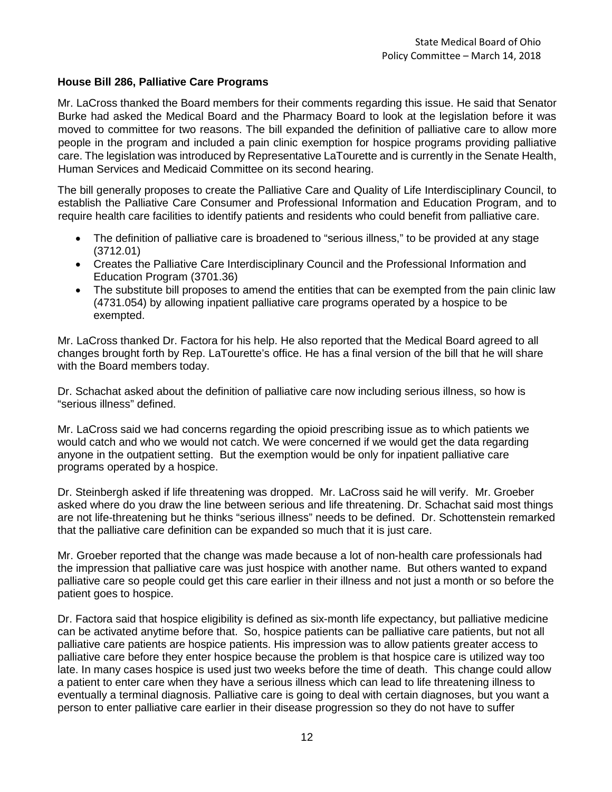# **House Bill 286, Palliative Care Programs**

Mr. LaCross thanked the Board members for their comments regarding this issue. He said that Senator Burke had asked the Medical Board and the Pharmacy Board to look at the legislation before it was moved to committee for two reasons. The bill expanded the definition of palliative care to allow more people in the program and included a pain clinic exemption for hospice programs providing palliative care. The legislation was introduced by Representative LaTourette and is currently in the Senate Health, Human Services and Medicaid Committee on its second hearing.

The bill generally proposes to create the Palliative Care and Quality of Life Interdisciplinary Council, to establish the Palliative Care Consumer and Professional Information and Education Program, and to require health care facilities to identify patients and residents who could benefit from palliative care.

- The definition of palliative care is broadened to "serious illness," to be provided at any stage (3712.01)
- Creates the Palliative Care Interdisciplinary Council and the Professional Information and Education Program (3701.36)
- The substitute bill proposes to amend the entities that can be exempted from the pain clinic law (4731.054) by allowing inpatient palliative care programs operated by a hospice to be exempted.

Mr. LaCross thanked Dr. Factora for his help. He also reported that the Medical Board agreed to all changes brought forth by Rep. LaTourette's office. He has a final version of the bill that he will share with the Board members today.

Dr. Schachat asked about the definition of palliative care now including serious illness, so how is "serious illness" defined.

Mr. LaCross said we had concerns regarding the opioid prescribing issue as to which patients we would catch and who we would not catch. We were concerned if we would get the data regarding anyone in the outpatient setting. But the exemption would be only for inpatient palliative care programs operated by a hospice.

Dr. Steinbergh asked if life threatening was dropped. Mr. LaCross said he will verify. Mr. Groeber asked where do you draw the line between serious and life threatening. Dr. Schachat said most things are not life-threatening but he thinks "serious illness" needs to be defined. Dr. Schottenstein remarked that the palliative care definition can be expanded so much that it is just care.

Mr. Groeber reported that the change was made because a lot of non-health care professionals had the impression that palliative care was just hospice with another name. But others wanted to expand palliative care so people could get this care earlier in their illness and not just a month or so before the patient goes to hospice.

Dr. Factora said that hospice eligibility is defined as six-month life expectancy, but palliative medicine can be activated anytime before that. So, hospice patients can be palliative care patients, but not all palliative care patients are hospice patients. His impression was to allow patients greater access to palliative care before they enter hospice because the problem is that hospice care is utilized way too late. In many cases hospice is used just two weeks before the time of death. This change could allow a patient to enter care when they have a serious illness which can lead to life threatening illness to eventually a terminal diagnosis. Palliative care is going to deal with certain diagnoses, but you want a person to enter palliative care earlier in their disease progression so they do not have to suffer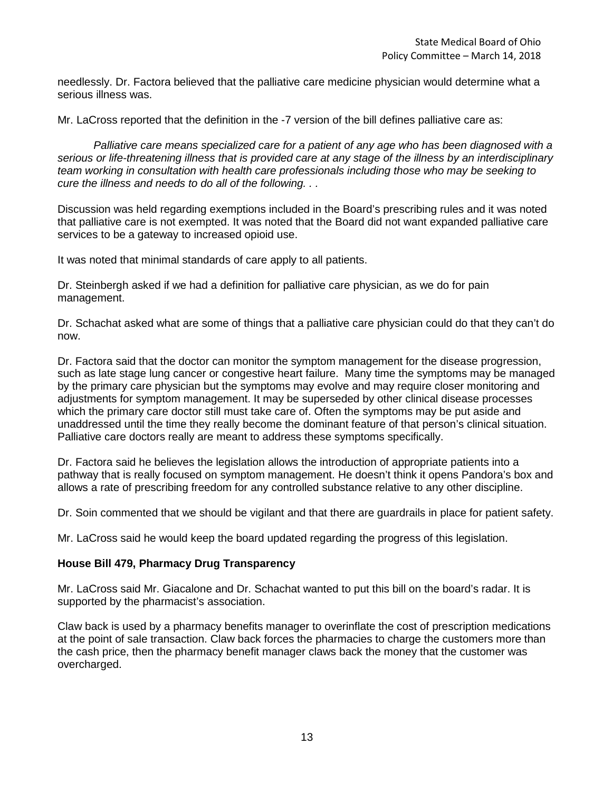needlessly. Dr. Factora believed that the palliative care medicine physician would determine what a serious illness was.

Mr. LaCross reported that the definition in the -7 version of the bill defines palliative care as:

*Palliative care means specialized care for a patient of any age who has been diagnosed with a serious or life-threatening illness that is provided care at any stage of the illness by an interdisciplinary team working in consultation with health care professionals including those who may be seeking to cure the illness and needs to do all of the following. . .* 

Discussion was held regarding exemptions included in the Board's prescribing rules and it was noted that palliative care is not exempted. It was noted that the Board did not want expanded palliative care services to be a gateway to increased opioid use.

It was noted that minimal standards of care apply to all patients.

Dr. Steinbergh asked if we had a definition for palliative care physician, as we do for pain management.

Dr. Schachat asked what are some of things that a palliative care physician could do that they can't do now.

Dr. Factora said that the doctor can monitor the symptom management for the disease progression, such as late stage lung cancer or congestive heart failure. Many time the symptoms may be managed by the primary care physician but the symptoms may evolve and may require closer monitoring and adjustments for symptom management. It may be superseded by other clinical disease processes which the primary care doctor still must take care of. Often the symptoms may be put aside and unaddressed until the time they really become the dominant feature of that person's clinical situation. Palliative care doctors really are meant to address these symptoms specifically.

Dr. Factora said he believes the legislation allows the introduction of appropriate patients into a pathway that is really focused on symptom management. He doesn't think it opens Pandora's box and allows a rate of prescribing freedom for any controlled substance relative to any other discipline.

Dr. Soin commented that we should be vigilant and that there are guardrails in place for patient safety.

Mr. LaCross said he would keep the board updated regarding the progress of this legislation.

# **House Bill 479, Pharmacy Drug Transparency**

Mr. LaCross said Mr. Giacalone and Dr. Schachat wanted to put this bill on the board's radar. It is supported by the pharmacist's association.

Claw back is used by a pharmacy benefits manager to overinflate the cost of prescription medications at the point of sale transaction. Claw back forces the pharmacies to charge the customers more than the cash price, then the pharmacy benefit manager claws back the money that the customer was overcharged.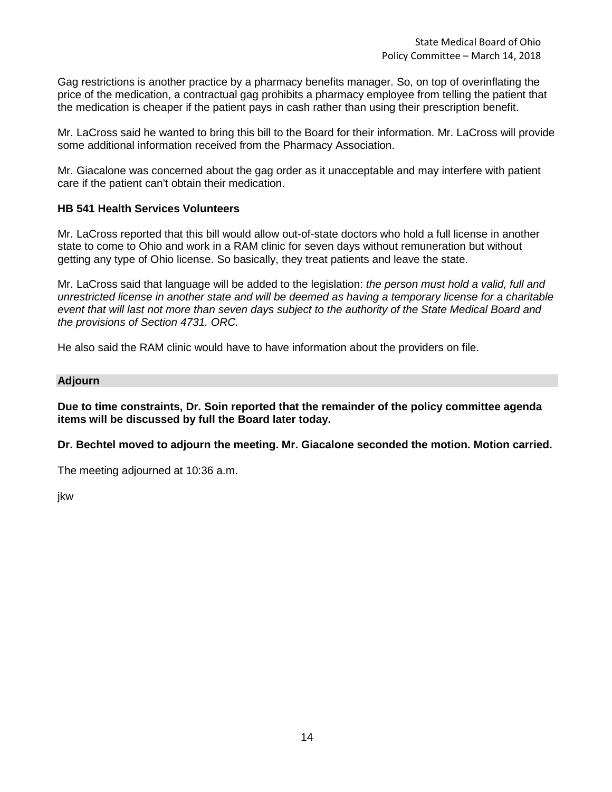Gag restrictions is another practice by a pharmacy benefits manager. So, on top of overinflating the price of the medication, a contractual gag prohibits a pharmacy employee from telling the patient that the medication is cheaper if the patient pays in cash rather than using their prescription benefit.

Mr. LaCross said he wanted to bring this bill to the Board for their information. Mr. LaCross will provide some additional information received from the Pharmacy Association.

Mr. Giacalone was concerned about the gag order as it unacceptable and may interfere with patient care if the patient can't obtain their medication.

# **HB 541 Health Services Volunteers**

Mr. LaCross reported that this bill would allow out-of-state doctors who hold a full license in another state to come to Ohio and work in a RAM clinic for seven days without remuneration but without getting any type of Ohio license. So basically, they treat patients and leave the state.

Mr. LaCross said that language will be added to the legislation: *the person must hold a valid, full and unrestricted license in another state and will be deemed as having a temporary license for a charitable event that will last not more than seven days subject to the authority of the State Medical Board and the provisions of Section 4731. ORC.* 

He also said the RAM clinic would have to have information about the providers on file.

#### **Adjourn**

**Due to time constraints, Dr. Soin reported that the remainder of the policy committee agenda items will be discussed by full the Board later today.**

**Dr. Bechtel moved to adjourn the meeting. Mr. Giacalone seconded the motion. Motion carried.**

The meeting adjourned at 10:36 a.m.

jkw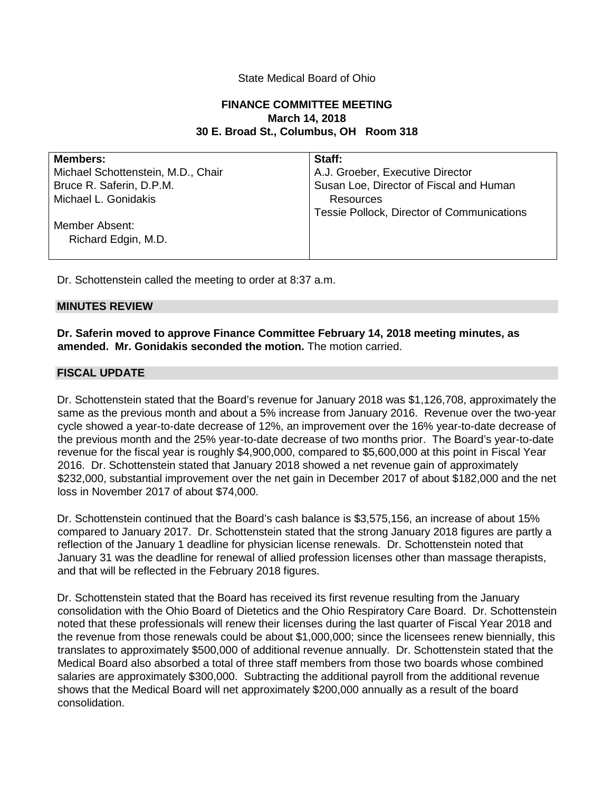# State Medical Board of Ohio

# **FINANCE COMMITTEE MEETING March 14, 2018 30 E. Broad St., Columbus, OH Room 318**

| <b>Members:</b>                    | Staff:                                     |
|------------------------------------|--------------------------------------------|
| Michael Schottenstein, M.D., Chair | A.J. Groeber, Executive Director           |
| Bruce R. Saferin, D.P.M.           | Susan Loe, Director of Fiscal and Human    |
| Michael L. Gonidakis               | Resources                                  |
|                                    | Tessie Pollock, Director of Communications |
| Member Absent:                     |                                            |
| Richard Edgin, M.D.                |                                            |
|                                    |                                            |

Dr. Schottenstein called the meeting to order at 8:37 a.m.

#### **MINUTES REVIEW**

**Dr. Saferin moved to approve Finance Committee February 14, 2018 meeting minutes, as amended. Mr. Gonidakis seconded the motion.** The motion carried.

## **FISCAL UPDATE**

Dr. Schottenstein stated that the Board's revenue for January 2018 was \$1,126,708, approximately the same as the previous month and about a 5% increase from January 2016. Revenue over the two-year cycle showed a year-to-date decrease of 12%, an improvement over the 16% year-to-date decrease of the previous month and the 25% year-to-date decrease of two months prior. The Board's year-to-date revenue for the fiscal year is roughly \$4,900,000, compared to \$5,600,000 at this point in Fiscal Year 2016. Dr. Schottenstein stated that January 2018 showed a net revenue gain of approximately \$232,000, substantial improvement over the net gain in December 2017 of about \$182,000 and the net loss in November 2017 of about \$74,000.

Dr. Schottenstein continued that the Board's cash balance is \$3,575,156, an increase of about 15% compared to January 2017. Dr. Schottenstein stated that the strong January 2018 figures are partly a reflection of the January 1 deadline for physician license renewals. Dr. Schottenstein noted that January 31 was the deadline for renewal of allied profession licenses other than massage therapists, and that will be reflected in the February 2018 figures.

Dr. Schottenstein stated that the Board has received its first revenue resulting from the January consolidation with the Ohio Board of Dietetics and the Ohio Respiratory Care Board. Dr. Schottenstein noted that these professionals will renew their licenses during the last quarter of Fiscal Year 2018 and the revenue from those renewals could be about \$1,000,000; since the licensees renew biennially, this translates to approximately \$500,000 of additional revenue annually. Dr. Schottenstein stated that the Medical Board also absorbed a total of three staff members from those two boards whose combined salaries are approximately \$300,000. Subtracting the additional payroll from the additional revenue shows that the Medical Board will net approximately \$200,000 annually as a result of the board consolidation.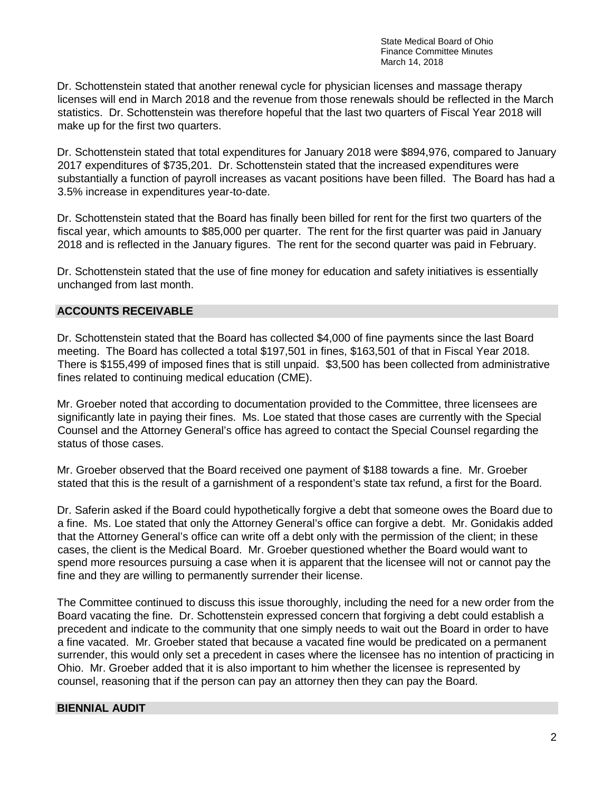Dr. Schottenstein stated that another renewal cycle for physician licenses and massage therapy licenses will end in March 2018 and the revenue from those renewals should be reflected in the March statistics. Dr. Schottenstein was therefore hopeful that the last two quarters of Fiscal Year 2018 will make up for the first two quarters.

Dr. Schottenstein stated that total expenditures for January 2018 were \$894,976, compared to January 2017 expenditures of \$735,201. Dr. Schottenstein stated that the increased expenditures were substantially a function of payroll increases as vacant positions have been filled. The Board has had a 3.5% increase in expenditures year-to-date.

Dr. Schottenstein stated that the Board has finally been billed for rent for the first two quarters of the fiscal year, which amounts to \$85,000 per quarter. The rent for the first quarter was paid in January 2018 and is reflected in the January figures. The rent for the second quarter was paid in February.

Dr. Schottenstein stated that the use of fine money for education and safety initiatives is essentially unchanged from last month.

# **ACCOUNTS RECEIVABLE**

Dr. Schottenstein stated that the Board has collected \$4,000 of fine payments since the last Board meeting. The Board has collected a total \$197,501 in fines, \$163,501 of that in Fiscal Year 2018. There is \$155,499 of imposed fines that is still unpaid. \$3,500 has been collected from administrative fines related to continuing medical education (CME).

Mr. Groeber noted that according to documentation provided to the Committee, three licensees are significantly late in paying their fines. Ms. Loe stated that those cases are currently with the Special Counsel and the Attorney General's office has agreed to contact the Special Counsel regarding the status of those cases.

Mr. Groeber observed that the Board received one payment of \$188 towards a fine. Mr. Groeber stated that this is the result of a garnishment of a respondent's state tax refund, a first for the Board.

Dr. Saferin asked if the Board could hypothetically forgive a debt that someone owes the Board due to a fine. Ms. Loe stated that only the Attorney General's office can forgive a debt. Mr. Gonidakis added that the Attorney General's office can write off a debt only with the permission of the client; in these cases, the client is the Medical Board. Mr. Groeber questioned whether the Board would want to spend more resources pursuing a case when it is apparent that the licensee will not or cannot pay the fine and they are willing to permanently surrender their license.

The Committee continued to discuss this issue thoroughly, including the need for a new order from the Board vacating the fine. Dr. Schottenstein expressed concern that forgiving a debt could establish a precedent and indicate to the community that one simply needs to wait out the Board in order to have a fine vacated. Mr. Groeber stated that because a vacated fine would be predicated on a permanent surrender, this would only set a precedent in cases where the licensee has no intention of practicing in Ohio. Mr. Groeber added that it is also important to him whether the licensee is represented by counsel, reasoning that if the person can pay an attorney then they can pay the Board.

# **BIENNIAL AUDIT**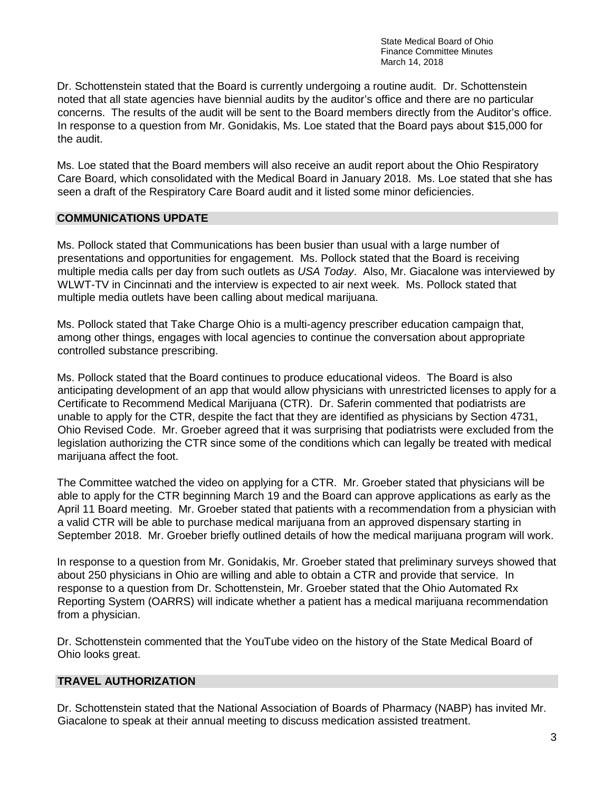Dr. Schottenstein stated that the Board is currently undergoing a routine audit. Dr. Schottenstein noted that all state agencies have biennial audits by the auditor's office and there are no particular concerns. The results of the audit will be sent to the Board members directly from the Auditor's office. In response to a question from Mr. Gonidakis, Ms. Loe stated that the Board pays about \$15,000 for the audit.

Ms. Loe stated that the Board members will also receive an audit report about the Ohio Respiratory Care Board, which consolidated with the Medical Board in January 2018. Ms. Loe stated that she has seen a draft of the Respiratory Care Board audit and it listed some minor deficiencies.

## **COMMUNICATIONS UPDATE**

Ms. Pollock stated that Communications has been busier than usual with a large number of presentations and opportunities for engagement. Ms. Pollock stated that the Board is receiving multiple media calls per day from such outlets as *USA Today*. Also, Mr. Giacalone was interviewed by WLWT-TV in Cincinnati and the interview is expected to air next week. Ms. Pollock stated that multiple media outlets have been calling about medical marijuana.

Ms. Pollock stated that Take Charge Ohio is a multi-agency prescriber education campaign that, among other things, engages with local agencies to continue the conversation about appropriate controlled substance prescribing.

Ms. Pollock stated that the Board continues to produce educational videos. The Board is also anticipating development of an app that would allow physicians with unrestricted licenses to apply for a Certificate to Recommend Medical Marijuana (CTR). Dr. Saferin commented that podiatrists are unable to apply for the CTR, despite the fact that they are identified as physicians by Section 4731, Ohio Revised Code. Mr. Groeber agreed that it was surprising that podiatrists were excluded from the legislation authorizing the CTR since some of the conditions which can legally be treated with medical marijuana affect the foot.

The Committee watched the video on applying for a CTR. Mr. Groeber stated that physicians will be able to apply for the CTR beginning March 19 and the Board can approve applications as early as the April 11 Board meeting. Mr. Groeber stated that patients with a recommendation from a physician with a valid CTR will be able to purchase medical marijuana from an approved dispensary starting in September 2018. Mr. Groeber briefly outlined details of how the medical marijuana program will work.

In response to a question from Mr. Gonidakis, Mr. Groeber stated that preliminary surveys showed that about 250 physicians in Ohio are willing and able to obtain a CTR and provide that service. In response to a question from Dr. Schottenstein, Mr. Groeber stated that the Ohio Automated Rx Reporting System (OARRS) will indicate whether a patient has a medical marijuana recommendation from a physician.

Dr. Schottenstein commented that the YouTube video on the history of the State Medical Board of Ohio looks great.

# **TRAVEL AUTHORIZATION**

Dr. Schottenstein stated that the National Association of Boards of Pharmacy (NABP) has invited Mr. Giacalone to speak at their annual meeting to discuss medication assisted treatment.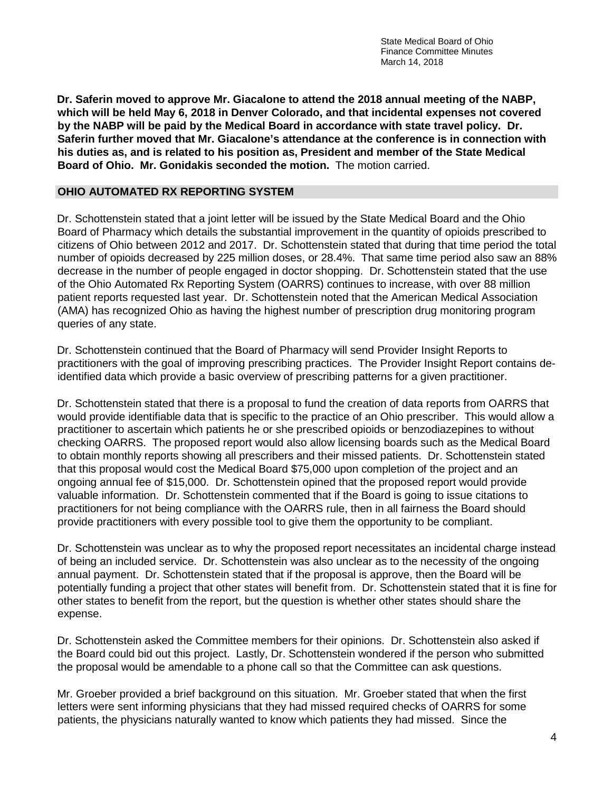**Dr. Saferin moved to approve Mr. Giacalone to attend the 2018 annual meeting of the NABP, which will be held May 6, 2018 in Denver Colorado, and that incidental expenses not covered by the NABP will be paid by the Medical Board in accordance with state travel policy. Dr. Saferin further moved that Mr. Giacalone's attendance at the conference is in connection with his duties as, and is related to his position as, President and member of the State Medical Board of Ohio. Mr. Gonidakis seconded the motion.** The motion carried.

# **OHIO AUTOMATED RX REPORTING SYSTEM**

Dr. Schottenstein stated that a joint letter will be issued by the State Medical Board and the Ohio Board of Pharmacy which details the substantial improvement in the quantity of opioids prescribed to citizens of Ohio between 2012 and 2017. Dr. Schottenstein stated that during that time period the total number of opioids decreased by 225 million doses, or 28.4%. That same time period also saw an 88% decrease in the number of people engaged in doctor shopping. Dr. Schottenstein stated that the use of the Ohio Automated Rx Reporting System (OARRS) continues to increase, with over 88 million patient reports requested last year. Dr. Schottenstein noted that the American Medical Association (AMA) has recognized Ohio as having the highest number of prescription drug monitoring program queries of any state.

Dr. Schottenstein continued that the Board of Pharmacy will send Provider Insight Reports to practitioners with the goal of improving prescribing practices. The Provider Insight Report contains deidentified data which provide a basic overview of prescribing patterns for a given practitioner.

Dr. Schottenstein stated that there is a proposal to fund the creation of data reports from OARRS that would provide identifiable data that is specific to the practice of an Ohio prescriber. This would allow a practitioner to ascertain which patients he or she prescribed opioids or benzodiazepines to without checking OARRS. The proposed report would also allow licensing boards such as the Medical Board to obtain monthly reports showing all prescribers and their missed patients. Dr. Schottenstein stated that this proposal would cost the Medical Board \$75,000 upon completion of the project and an ongoing annual fee of \$15,000. Dr. Schottenstein opined that the proposed report would provide valuable information. Dr. Schottenstein commented that if the Board is going to issue citations to practitioners for not being compliance with the OARRS rule, then in all fairness the Board should provide practitioners with every possible tool to give them the opportunity to be compliant.

Dr. Schottenstein was unclear as to why the proposed report necessitates an incidental charge instead of being an included service. Dr. Schottenstein was also unclear as to the necessity of the ongoing annual payment. Dr. Schottenstein stated that if the proposal is approve, then the Board will be potentially funding a project that other states will benefit from. Dr. Schottenstein stated that it is fine for other states to benefit from the report, but the question is whether other states should share the expense.

Dr. Schottenstein asked the Committee members for their opinions. Dr. Schottenstein also asked if the Board could bid out this project. Lastly, Dr. Schottenstein wondered if the person who submitted the proposal would be amendable to a phone call so that the Committee can ask questions.

Mr. Groeber provided a brief background on this situation. Mr. Groeber stated that when the first letters were sent informing physicians that they had missed required checks of OARRS for some patients, the physicians naturally wanted to know which patients they had missed. Since the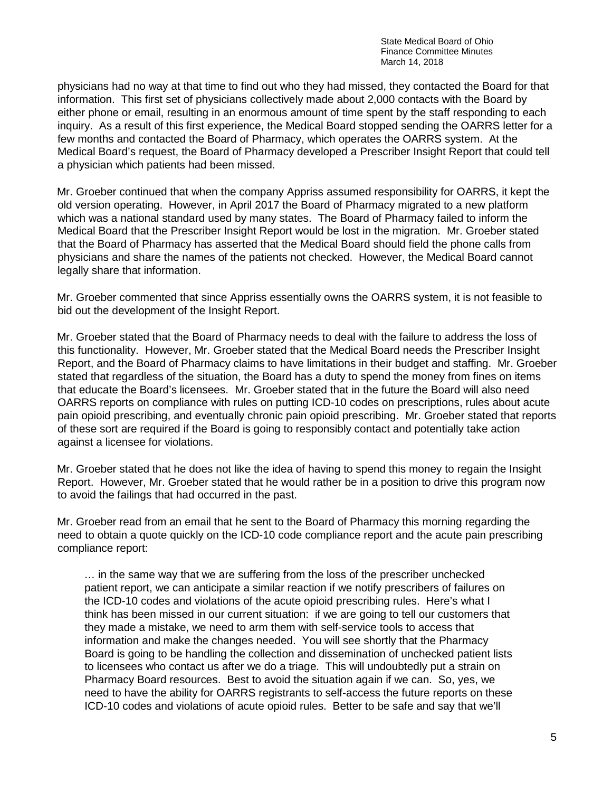physicians had no way at that time to find out who they had missed, they contacted the Board for that information. This first set of physicians collectively made about 2,000 contacts with the Board by either phone or email, resulting in an enormous amount of time spent by the staff responding to each inquiry. As a result of this first experience, the Medical Board stopped sending the OARRS letter for a few months and contacted the Board of Pharmacy, which operates the OARRS system. At the Medical Board's request, the Board of Pharmacy developed a Prescriber Insight Report that could tell a physician which patients had been missed.

Mr. Groeber continued that when the company Appriss assumed responsibility for OARRS, it kept the old version operating. However, in April 2017 the Board of Pharmacy migrated to a new platform which was a national standard used by many states. The Board of Pharmacy failed to inform the Medical Board that the Prescriber Insight Report would be lost in the migration. Mr. Groeber stated that the Board of Pharmacy has asserted that the Medical Board should field the phone calls from physicians and share the names of the patients not checked. However, the Medical Board cannot legally share that information.

Mr. Groeber commented that since Appriss essentially owns the OARRS system, it is not feasible to bid out the development of the Insight Report.

Mr. Groeber stated that the Board of Pharmacy needs to deal with the failure to address the loss of this functionality. However, Mr. Groeber stated that the Medical Board needs the Prescriber Insight Report, and the Board of Pharmacy claims to have limitations in their budget and staffing. Mr. Groeber stated that regardless of the situation, the Board has a duty to spend the money from fines on items that educate the Board's licensees. Mr. Groeber stated that in the future the Board will also need OARRS reports on compliance with rules on putting ICD-10 codes on prescriptions, rules about acute pain opioid prescribing, and eventually chronic pain opioid prescribing. Mr. Groeber stated that reports of these sort are required if the Board is going to responsibly contact and potentially take action against a licensee for violations.

Mr. Groeber stated that he does not like the idea of having to spend this money to regain the Insight Report. However, Mr. Groeber stated that he would rather be in a position to drive this program now to avoid the failings that had occurred in the past.

Mr. Groeber read from an email that he sent to the Board of Pharmacy this morning regarding the need to obtain a quote quickly on the ICD-10 code compliance report and the acute pain prescribing compliance report:

… in the same way that we are suffering from the loss of the prescriber unchecked patient report, we can anticipate a similar reaction if we notify prescribers of failures on the ICD-10 codes and violations of the acute opioid prescribing rules. Here's what I think has been missed in our current situation: if we are going to tell our customers that they made a mistake, we need to arm them with self-service tools to access that information and make the changes needed. You will see shortly that the Pharmacy Board is going to be handling the collection and dissemination of unchecked patient lists to licensees who contact us after we do a triage. This will undoubtedly put a strain on Pharmacy Board resources. Best to avoid the situation again if we can. So, yes, we need to have the ability for OARRS registrants to self-access the future reports on these ICD-10 codes and violations of acute opioid rules. Better to be safe and say that we'll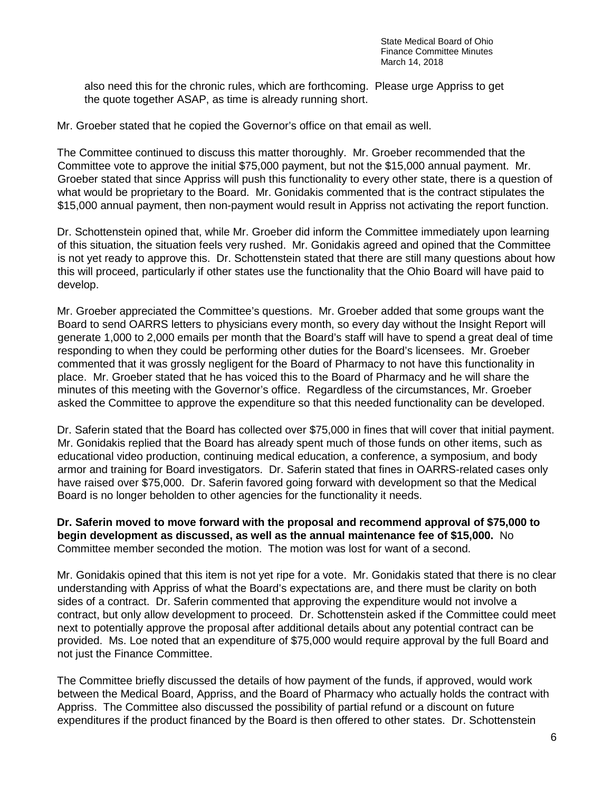also need this for the chronic rules, which are forthcoming. Please urge Appriss to get the quote together ASAP, as time is already running short.

Mr. Groeber stated that he copied the Governor's office on that email as well.

The Committee continued to discuss this matter thoroughly. Mr. Groeber recommended that the Committee vote to approve the initial \$75,000 payment, but not the \$15,000 annual payment. Mr. Groeber stated that since Appriss will push this functionality to every other state, there is a question of what would be proprietary to the Board. Mr. Gonidakis commented that is the contract stipulates the \$15,000 annual payment, then non-payment would result in Appriss not activating the report function.

Dr. Schottenstein opined that, while Mr. Groeber did inform the Committee immediately upon learning of this situation, the situation feels very rushed. Mr. Gonidakis agreed and opined that the Committee is not yet ready to approve this. Dr. Schottenstein stated that there are still many questions about how this will proceed, particularly if other states use the functionality that the Ohio Board will have paid to develop.

Mr. Groeber appreciated the Committee's questions. Mr. Groeber added that some groups want the Board to send OARRS letters to physicians every month, so every day without the Insight Report will generate 1,000 to 2,000 emails per month that the Board's staff will have to spend a great deal of time responding to when they could be performing other duties for the Board's licensees. Mr. Groeber commented that it was grossly negligent for the Board of Pharmacy to not have this functionality in place. Mr. Groeber stated that he has voiced this to the Board of Pharmacy and he will share the minutes of this meeting with the Governor's office. Regardless of the circumstances, Mr. Groeber asked the Committee to approve the expenditure so that this needed functionality can be developed.

Dr. Saferin stated that the Board has collected over \$75,000 in fines that will cover that initial payment. Mr. Gonidakis replied that the Board has already spent much of those funds on other items, such as educational video production, continuing medical education, a conference, a symposium, and body armor and training for Board investigators. Dr. Saferin stated that fines in OARRS-related cases only have raised over \$75,000. Dr. Saferin favored going forward with development so that the Medical Board is no longer beholden to other agencies for the functionality it needs.

**Dr. Saferin moved to move forward with the proposal and recommend approval of \$75,000 to begin development as discussed, as well as the annual maintenance fee of \$15,000.** No Committee member seconded the motion. The motion was lost for want of a second.

Mr. Gonidakis opined that this item is not yet ripe for a vote. Mr. Gonidakis stated that there is no clear understanding with Appriss of what the Board's expectations are, and there must be clarity on both sides of a contract. Dr. Saferin commented that approving the expenditure would not involve a contract, but only allow development to proceed. Dr. Schottenstein asked if the Committee could meet next to potentially approve the proposal after additional details about any potential contract can be provided. Ms. Loe noted that an expenditure of \$75,000 would require approval by the full Board and not just the Finance Committee.

The Committee briefly discussed the details of how payment of the funds, if approved, would work between the Medical Board, Appriss, and the Board of Pharmacy who actually holds the contract with Appriss. The Committee also discussed the possibility of partial refund or a discount on future expenditures if the product financed by the Board is then offered to other states. Dr. Schottenstein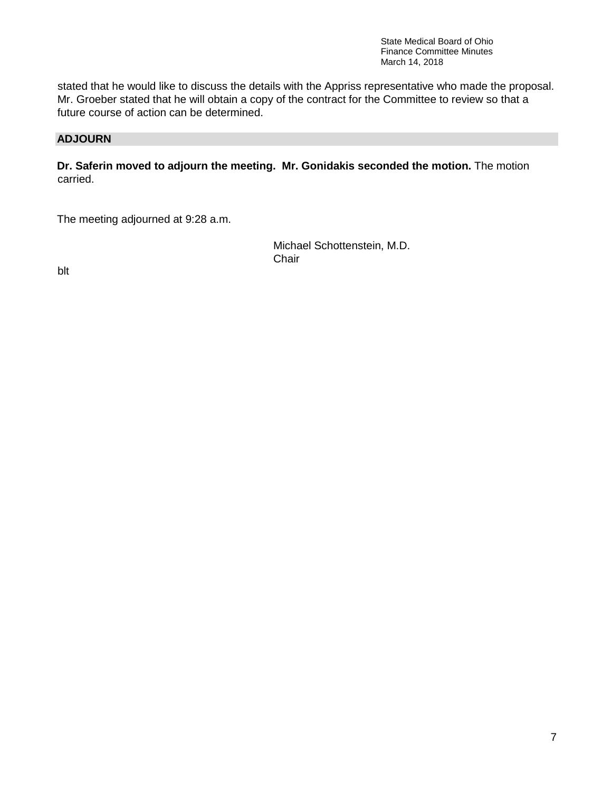stated that he would like to discuss the details with the Appriss representative who made the proposal. Mr. Groeber stated that he will obtain a copy of the contract for the Committee to review so that a future course of action can be determined.

# **ADJOURN**

**Dr. Saferin moved to adjourn the meeting. Mr. Gonidakis seconded the motion.** The motion carried.

The meeting adjourned at 9:28 a.m.

 Michael Schottenstein, M.D. in the contract of the contract of the contract of the contract of the contract of the contract of the contract of the contract of the contract of the contract of the contract of the contract of the contract of the contrac

blt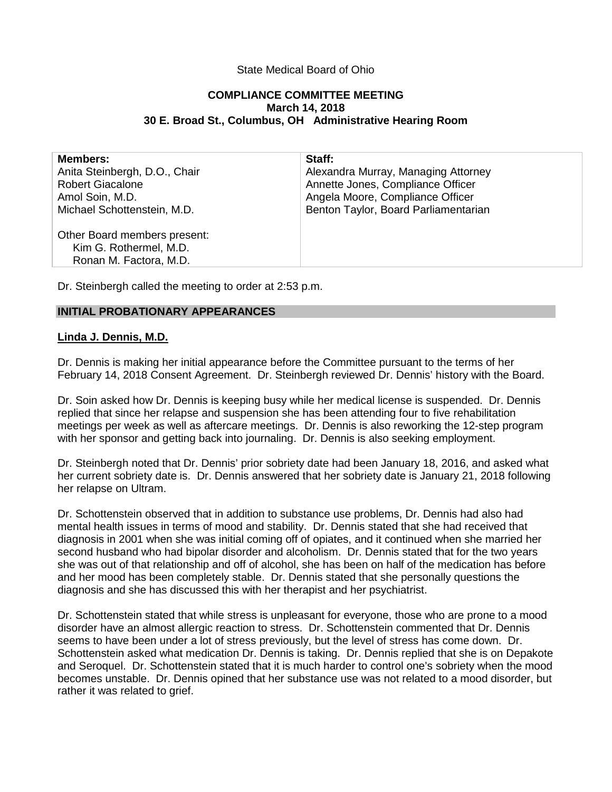# State Medical Board of Ohio

## **COMPLIANCE COMMITTEE MEETING March 14, 2018 30 E. Broad St., Columbus, OH Administrative Hearing Room**

| <b>Members:</b>                                        | Staff:                               |
|--------------------------------------------------------|--------------------------------------|
| Anita Steinbergh, D.O., Chair                          | Alexandra Murray, Managing Attorney  |
| <b>Robert Giacalone</b>                                | Annette Jones, Compliance Officer    |
| Amol Soin, M.D.                                        | Angela Moore, Compliance Officer     |
| Michael Schottenstein, M.D.                            | Benton Taylor, Board Parliamentarian |
| Other Board members present:<br>Kim G. Rothermel, M.D. |                                      |
| Ronan M. Factora, M.D.                                 |                                      |

Dr. Steinbergh called the meeting to order at 2:53 p.m.

## **INITIAL PROBATIONARY APPEARANCES**

## **Linda J. Dennis, M.D.**

Dr. Dennis is making her initial appearance before the Committee pursuant to the terms of her February 14, 2018 Consent Agreement. Dr. Steinbergh reviewed Dr. Dennis' history with the Board.

Dr. Soin asked how Dr. Dennis is keeping busy while her medical license is suspended. Dr. Dennis replied that since her relapse and suspension she has been attending four to five rehabilitation meetings per week as well as aftercare meetings. Dr. Dennis is also reworking the 12-step program with her sponsor and getting back into journaling. Dr. Dennis is also seeking employment.

Dr. Steinbergh noted that Dr. Dennis' prior sobriety date had been January 18, 2016, and asked what her current sobriety date is. Dr. Dennis answered that her sobriety date is January 21, 2018 following her relapse on Ultram.

Dr. Schottenstein observed that in addition to substance use problems, Dr. Dennis had also had mental health issues in terms of mood and stability. Dr. Dennis stated that she had received that diagnosis in 2001 when she was initial coming off of opiates, and it continued when she married her second husband who had bipolar disorder and alcoholism. Dr. Dennis stated that for the two years she was out of that relationship and off of alcohol, she has been on half of the medication has before and her mood has been completely stable. Dr. Dennis stated that she personally questions the diagnosis and she has discussed this with her therapist and her psychiatrist.

Dr. Schottenstein stated that while stress is unpleasant for everyone, those who are prone to a mood disorder have an almost allergic reaction to stress. Dr. Schottenstein commented that Dr. Dennis seems to have been under a lot of stress previously, but the level of stress has come down. Dr. Schottenstein asked what medication Dr. Dennis is taking. Dr. Dennis replied that she is on Depakote and Seroquel. Dr. Schottenstein stated that it is much harder to control one's sobriety when the mood becomes unstable. Dr. Dennis opined that her substance use was not related to a mood disorder, but rather it was related to grief.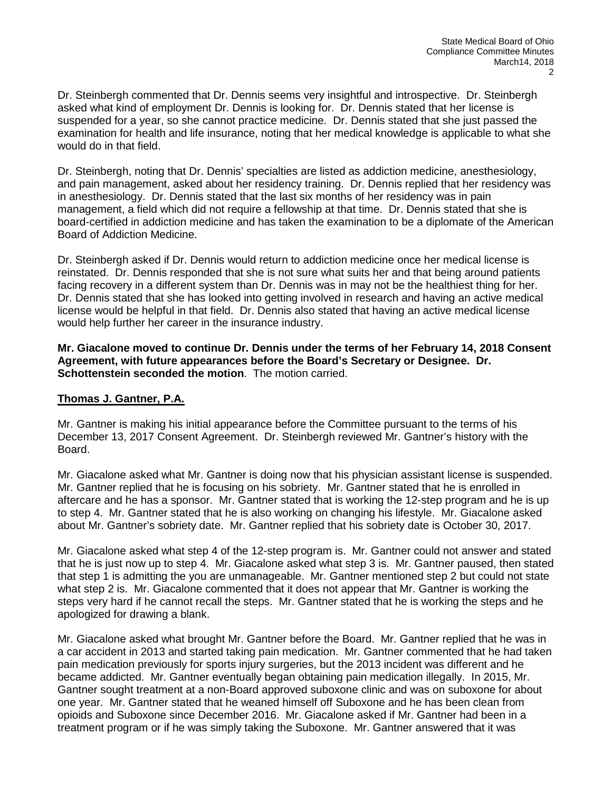Dr. Steinbergh commented that Dr. Dennis seems very insightful and introspective. Dr. Steinbergh asked what kind of employment Dr. Dennis is looking for. Dr. Dennis stated that her license is suspended for a year, so she cannot practice medicine. Dr. Dennis stated that she just passed the examination for health and life insurance, noting that her medical knowledge is applicable to what she would do in that field.

Dr. Steinbergh, noting that Dr. Dennis' specialties are listed as addiction medicine, anesthesiology, and pain management, asked about her residency training. Dr. Dennis replied that her residency was in anesthesiology. Dr. Dennis stated that the last six months of her residency was in pain management, a field which did not require a fellowship at that time. Dr. Dennis stated that she is board-certified in addiction medicine and has taken the examination to be a diplomate of the American Board of Addiction Medicine.

Dr. Steinbergh asked if Dr. Dennis would return to addiction medicine once her medical license is reinstated. Dr. Dennis responded that she is not sure what suits her and that being around patients facing recovery in a different system than Dr. Dennis was in may not be the healthiest thing for her. Dr. Dennis stated that she has looked into getting involved in research and having an active medical license would be helpful in that field. Dr. Dennis also stated that having an active medical license would help further her career in the insurance industry.

## **Mr. Giacalone moved to continue Dr. Dennis under the terms of her February 14, 2018 Consent Agreement, with future appearances before the Board's Secretary or Designee. Dr. Schottenstein seconded the motion**. The motion carried.

# **Thomas J. Gantner, P.A.**

Mr. Gantner is making his initial appearance before the Committee pursuant to the terms of his December 13, 2017 Consent Agreement. Dr. Steinbergh reviewed Mr. Gantner's history with the Board.

Mr. Giacalone asked what Mr. Gantner is doing now that his physician assistant license is suspended. Mr. Gantner replied that he is focusing on his sobriety. Mr. Gantner stated that he is enrolled in aftercare and he has a sponsor. Mr. Gantner stated that is working the 12-step program and he is up to step 4. Mr. Gantner stated that he is also working on changing his lifestyle. Mr. Giacalone asked about Mr. Gantner's sobriety date. Mr. Gantner replied that his sobriety date is October 30, 2017.

Mr. Giacalone asked what step 4 of the 12-step program is. Mr. Gantner could not answer and stated that he is just now up to step 4. Mr. Giacalone asked what step 3 is. Mr. Gantner paused, then stated that step 1 is admitting the you are unmanageable. Mr. Gantner mentioned step 2 but could not state what step 2 is. Mr. Giacalone commented that it does not appear that Mr. Gantner is working the steps very hard if he cannot recall the steps. Mr. Gantner stated that he is working the steps and he apologized for drawing a blank.

Mr. Giacalone asked what brought Mr. Gantner before the Board. Mr. Gantner replied that he was in a car accident in 2013 and started taking pain medication. Mr. Gantner commented that he had taken pain medication previously for sports injury surgeries, but the 2013 incident was different and he became addicted. Mr. Gantner eventually began obtaining pain medication illegally. In 2015, Mr. Gantner sought treatment at a non-Board approved suboxone clinic and was on suboxone for about one year. Mr. Gantner stated that he weaned himself off Suboxone and he has been clean from opioids and Suboxone since December 2016. Mr. Giacalone asked if Mr. Gantner had been in a treatment program or if he was simply taking the Suboxone. Mr. Gantner answered that it was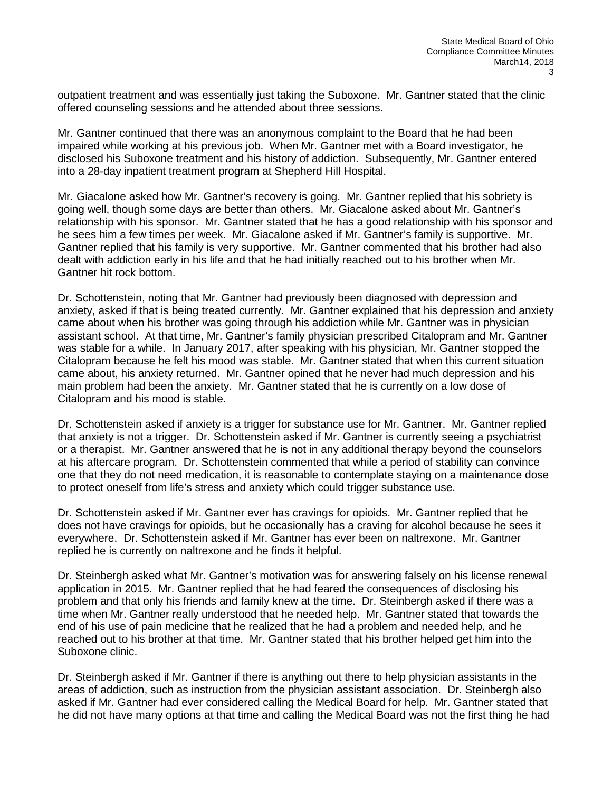outpatient treatment and was essentially just taking the Suboxone. Mr. Gantner stated that the clinic offered counseling sessions and he attended about three sessions.

Mr. Gantner continued that there was an anonymous complaint to the Board that he had been impaired while working at his previous job. When Mr. Gantner met with a Board investigator, he disclosed his Suboxone treatment and his history of addiction. Subsequently, Mr. Gantner entered into a 28-day inpatient treatment program at Shepherd Hill Hospital.

Mr. Giacalone asked how Mr. Gantner's recovery is going. Mr. Gantner replied that his sobriety is going well, though some days are better than others. Mr. Giacalone asked about Mr. Gantner's relationship with his sponsor. Mr. Gantner stated that he has a good relationship with his sponsor and he sees him a few times per week. Mr. Giacalone asked if Mr. Gantner's family is supportive. Mr. Gantner replied that his family is very supportive. Mr. Gantner commented that his brother had also dealt with addiction early in his life and that he had initially reached out to his brother when Mr. Gantner hit rock bottom.

Dr. Schottenstein, noting that Mr. Gantner had previously been diagnosed with depression and anxiety, asked if that is being treated currently. Mr. Gantner explained that his depression and anxiety came about when his brother was going through his addiction while Mr. Gantner was in physician assistant school. At that time, Mr. Gantner's family physician prescribed Citalopram and Mr. Gantner was stable for a while. In January 2017, after speaking with his physician, Mr. Gantner stopped the Citalopram because he felt his mood was stable. Mr. Gantner stated that when this current situation came about, his anxiety returned. Mr. Gantner opined that he never had much depression and his main problem had been the anxiety. Mr. Gantner stated that he is currently on a low dose of Citalopram and his mood is stable.

Dr. Schottenstein asked if anxiety is a trigger for substance use for Mr. Gantner. Mr. Gantner replied that anxiety is not a trigger. Dr. Schottenstein asked if Mr. Gantner is currently seeing a psychiatrist or a therapist. Mr. Gantner answered that he is not in any additional therapy beyond the counselors at his aftercare program. Dr. Schottenstein commented that while a period of stability can convince one that they do not need medication, it is reasonable to contemplate staying on a maintenance dose to protect oneself from life's stress and anxiety which could trigger substance use.

Dr. Schottenstein asked if Mr. Gantner ever has cravings for opioids. Mr. Gantner replied that he does not have cravings for opioids, but he occasionally has a craving for alcohol because he sees it everywhere. Dr. Schottenstein asked if Mr. Gantner has ever been on naltrexone. Mr. Gantner replied he is currently on naltrexone and he finds it helpful.

Dr. Steinbergh asked what Mr. Gantner's motivation was for answering falsely on his license renewal application in 2015. Mr. Gantner replied that he had feared the consequences of disclosing his problem and that only his friends and family knew at the time. Dr. Steinbergh asked if there was a time when Mr. Gantner really understood that he needed help. Mr. Gantner stated that towards the end of his use of pain medicine that he realized that he had a problem and needed help, and he reached out to his brother at that time. Mr. Gantner stated that his brother helped get him into the Suboxone clinic.

Dr. Steinbergh asked if Mr. Gantner if there is anything out there to help physician assistants in the areas of addiction, such as instruction from the physician assistant association. Dr. Steinbergh also asked if Mr. Gantner had ever considered calling the Medical Board for help. Mr. Gantner stated that he did not have many options at that time and calling the Medical Board was not the first thing he had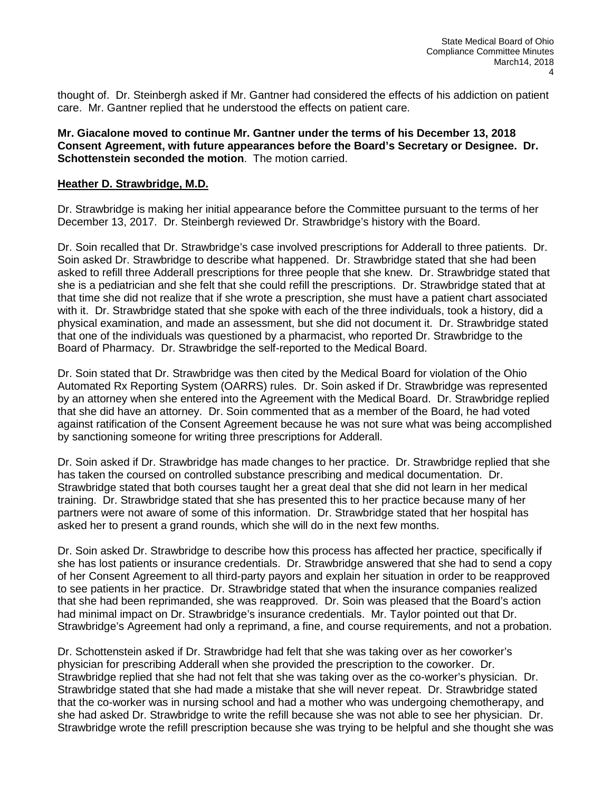thought of. Dr. Steinbergh asked if Mr. Gantner had considered the effects of his addiction on patient care. Mr. Gantner replied that he understood the effects on patient care.

**Mr. Giacalone moved to continue Mr. Gantner under the terms of his December 13, 2018 Consent Agreement, with future appearances before the Board's Secretary or Designee. Dr. Schottenstein seconded the motion**. The motion carried.

# **Heather D. Strawbridge, M.D.**

Dr. Strawbridge is making her initial appearance before the Committee pursuant to the terms of her December 13, 2017. Dr. Steinbergh reviewed Dr. Strawbridge's history with the Board.

Dr. Soin recalled that Dr. Strawbridge's case involved prescriptions for Adderall to three patients. Dr. Soin asked Dr. Strawbridge to describe what happened. Dr. Strawbridge stated that she had been asked to refill three Adderall prescriptions for three people that she knew. Dr. Strawbridge stated that she is a pediatrician and she felt that she could refill the prescriptions. Dr. Strawbridge stated that at that time she did not realize that if she wrote a prescription, she must have a patient chart associated with it. Dr. Strawbridge stated that she spoke with each of the three individuals, took a history, did a physical examination, and made an assessment, but she did not document it. Dr. Strawbridge stated that one of the individuals was questioned by a pharmacist, who reported Dr. Strawbridge to the Board of Pharmacy. Dr. Strawbridge the self-reported to the Medical Board.

Dr. Soin stated that Dr. Strawbridge was then cited by the Medical Board for violation of the Ohio Automated Rx Reporting System (OARRS) rules. Dr. Soin asked if Dr. Strawbridge was represented by an attorney when she entered into the Agreement with the Medical Board. Dr. Strawbridge replied that she did have an attorney. Dr. Soin commented that as a member of the Board, he had voted against ratification of the Consent Agreement because he was not sure what was being accomplished by sanctioning someone for writing three prescriptions for Adderall.

Dr. Soin asked if Dr. Strawbridge has made changes to her practice. Dr. Strawbridge replied that she has taken the coursed on controlled substance prescribing and medical documentation. Dr. Strawbridge stated that both courses taught her a great deal that she did not learn in her medical training. Dr. Strawbridge stated that she has presented this to her practice because many of her partners were not aware of some of this information. Dr. Strawbridge stated that her hospital has asked her to present a grand rounds, which she will do in the next few months.

Dr. Soin asked Dr. Strawbridge to describe how this process has affected her practice, specifically if she has lost patients or insurance credentials. Dr. Strawbridge answered that she had to send a copy of her Consent Agreement to all third-party payors and explain her situation in order to be reapproved to see patients in her practice. Dr. Strawbridge stated that when the insurance companies realized that she had been reprimanded, she was reapproved. Dr. Soin was pleased that the Board's action had minimal impact on Dr. Strawbridge's insurance credentials. Mr. Taylor pointed out that Dr. Strawbridge's Agreement had only a reprimand, a fine, and course requirements, and not a probation.

Dr. Schottenstein asked if Dr. Strawbridge had felt that she was taking over as her coworker's physician for prescribing Adderall when she provided the prescription to the coworker. Dr. Strawbridge replied that she had not felt that she was taking over as the co-worker's physician. Dr. Strawbridge stated that she had made a mistake that she will never repeat. Dr. Strawbridge stated that the co-worker was in nursing school and had a mother who was undergoing chemotherapy, and she had asked Dr. Strawbridge to write the refill because she was not able to see her physician. Dr. Strawbridge wrote the refill prescription because she was trying to be helpful and she thought she was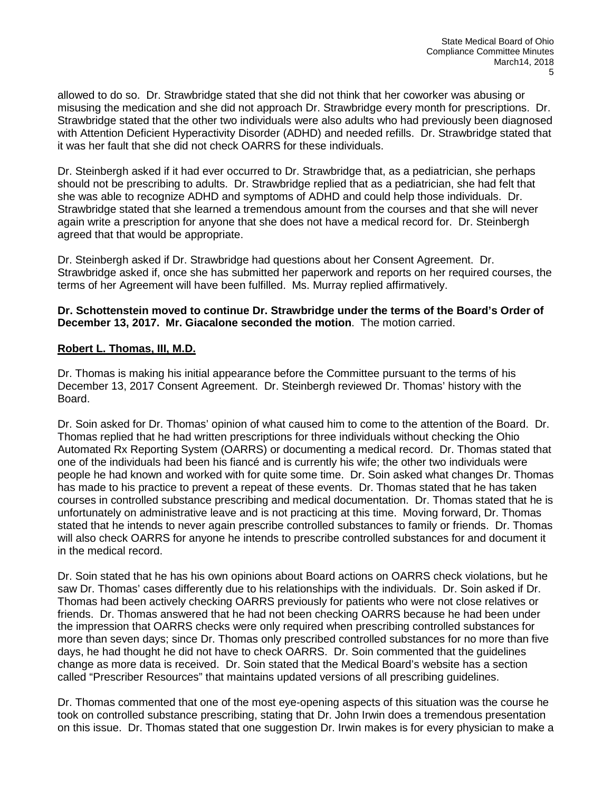allowed to do so. Dr. Strawbridge stated that she did not think that her coworker was abusing or misusing the medication and she did not approach Dr. Strawbridge every month for prescriptions. Dr. Strawbridge stated that the other two individuals were also adults who had previously been diagnosed with Attention Deficient Hyperactivity Disorder (ADHD) and needed refills. Dr. Strawbridge stated that it was her fault that she did not check OARRS for these individuals.

Dr. Steinbergh asked if it had ever occurred to Dr. Strawbridge that, as a pediatrician, she perhaps should not be prescribing to adults. Dr. Strawbridge replied that as a pediatrician, she had felt that she was able to recognize ADHD and symptoms of ADHD and could help those individuals. Dr. Strawbridge stated that she learned a tremendous amount from the courses and that she will never again write a prescription for anyone that she does not have a medical record for. Dr. Steinbergh agreed that that would be appropriate.

Dr. Steinbergh asked if Dr. Strawbridge had questions about her Consent Agreement. Dr. Strawbridge asked if, once she has submitted her paperwork and reports on her required courses, the terms of her Agreement will have been fulfilled. Ms. Murray replied affirmatively.

# **Dr. Schottenstein moved to continue Dr. Strawbridge under the terms of the Board's Order of December 13, 2017. Mr. Giacalone seconded the motion**. The motion carried.

# **Robert L. Thomas, III, M.D.**

Dr. Thomas is making his initial appearance before the Committee pursuant to the terms of his December 13, 2017 Consent Agreement. Dr. Steinbergh reviewed Dr. Thomas' history with the Board.

Dr. Soin asked for Dr. Thomas' opinion of what caused him to come to the attention of the Board. Dr. Thomas replied that he had written prescriptions for three individuals without checking the Ohio Automated Rx Reporting System (OARRS) or documenting a medical record. Dr. Thomas stated that one of the individuals had been his fiancé and is currently his wife; the other two individuals were people he had known and worked with for quite some time. Dr. Soin asked what changes Dr. Thomas has made to his practice to prevent a repeat of these events. Dr. Thomas stated that he has taken courses in controlled substance prescribing and medical documentation. Dr. Thomas stated that he is unfortunately on administrative leave and is not practicing at this time. Moving forward, Dr. Thomas stated that he intends to never again prescribe controlled substances to family or friends. Dr. Thomas will also check OARRS for anyone he intends to prescribe controlled substances for and document it in the medical record.

Dr. Soin stated that he has his own opinions about Board actions on OARRS check violations, but he saw Dr. Thomas' cases differently due to his relationships with the individuals. Dr. Soin asked if Dr. Thomas had been actively checking OARRS previously for patients who were not close relatives or friends. Dr. Thomas answered that he had not been checking OARRS because he had been under the impression that OARRS checks were only required when prescribing controlled substances for more than seven days; since Dr. Thomas only prescribed controlled substances for no more than five days, he had thought he did not have to check OARRS. Dr. Soin commented that the guidelines change as more data is received. Dr. Soin stated that the Medical Board's website has a section called "Prescriber Resources" that maintains updated versions of all prescribing guidelines.

Dr. Thomas commented that one of the most eye-opening aspects of this situation was the course he took on controlled substance prescribing, stating that Dr. John Irwin does a tremendous presentation on this issue. Dr. Thomas stated that one suggestion Dr. Irwin makes is for every physician to make a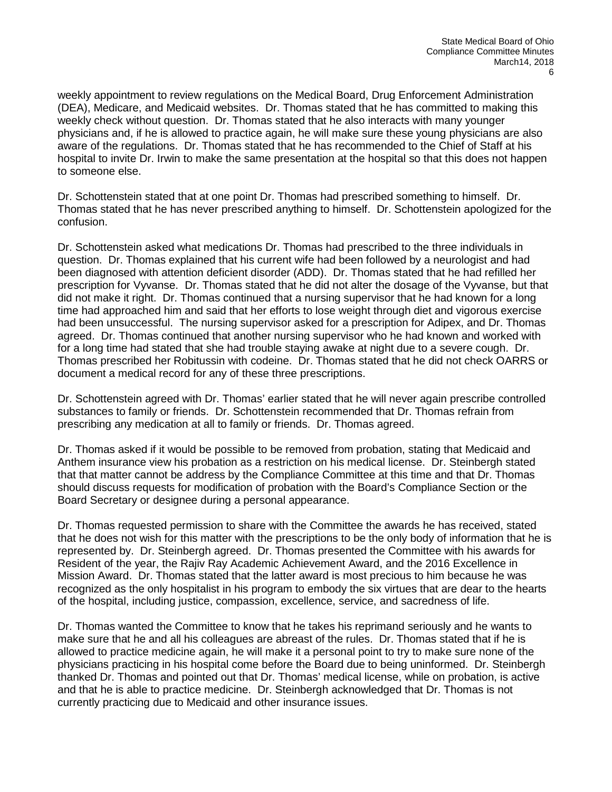weekly appointment to review regulations on the Medical Board, Drug Enforcement Administration (DEA), Medicare, and Medicaid websites. Dr. Thomas stated that he has committed to making this weekly check without question. Dr. Thomas stated that he also interacts with many younger physicians and, if he is allowed to practice again, he will make sure these young physicians are also aware of the regulations. Dr. Thomas stated that he has recommended to the Chief of Staff at his hospital to invite Dr. Irwin to make the same presentation at the hospital so that this does not happen to someone else.

Dr. Schottenstein stated that at one point Dr. Thomas had prescribed something to himself. Dr. Thomas stated that he has never prescribed anything to himself. Dr. Schottenstein apologized for the confusion.

Dr. Schottenstein asked what medications Dr. Thomas had prescribed to the three individuals in question. Dr. Thomas explained that his current wife had been followed by a neurologist and had been diagnosed with attention deficient disorder (ADD). Dr. Thomas stated that he had refilled her prescription for Vyvanse. Dr. Thomas stated that he did not alter the dosage of the Vyvanse, but that did not make it right. Dr. Thomas continued that a nursing supervisor that he had known for a long time had approached him and said that her efforts to lose weight through diet and vigorous exercise had been unsuccessful. The nursing supervisor asked for a prescription for Adipex, and Dr. Thomas agreed. Dr. Thomas continued that another nursing supervisor who he had known and worked with for a long time had stated that she had trouble staying awake at night due to a severe cough. Dr. Thomas prescribed her Robitussin with codeine. Dr. Thomas stated that he did not check OARRS or document a medical record for any of these three prescriptions.

Dr. Schottenstein agreed with Dr. Thomas' earlier stated that he will never again prescribe controlled substances to family or friends. Dr. Schottenstein recommended that Dr. Thomas refrain from prescribing any medication at all to family or friends. Dr. Thomas agreed.

Dr. Thomas asked if it would be possible to be removed from probation, stating that Medicaid and Anthem insurance view his probation as a restriction on his medical license. Dr. Steinbergh stated that that matter cannot be address by the Compliance Committee at this time and that Dr. Thomas should discuss requests for modification of probation with the Board's Compliance Section or the Board Secretary or designee during a personal appearance.

Dr. Thomas requested permission to share with the Committee the awards he has received, stated that he does not wish for this matter with the prescriptions to be the only body of information that he is represented by. Dr. Steinbergh agreed. Dr. Thomas presented the Committee with his awards for Resident of the year, the Rajiv Ray Academic Achievement Award, and the 2016 Excellence in Mission Award. Dr. Thomas stated that the latter award is most precious to him because he was recognized as the only hospitalist in his program to embody the six virtues that are dear to the hearts of the hospital, including justice, compassion, excellence, service, and sacredness of life.

Dr. Thomas wanted the Committee to know that he takes his reprimand seriously and he wants to make sure that he and all his colleagues are abreast of the rules. Dr. Thomas stated that if he is allowed to practice medicine again, he will make it a personal point to try to make sure none of the physicians practicing in his hospital come before the Board due to being uninformed. Dr. Steinbergh thanked Dr. Thomas and pointed out that Dr. Thomas' medical license, while on probation, is active and that he is able to practice medicine. Dr. Steinbergh acknowledged that Dr. Thomas is not currently practicing due to Medicaid and other insurance issues.